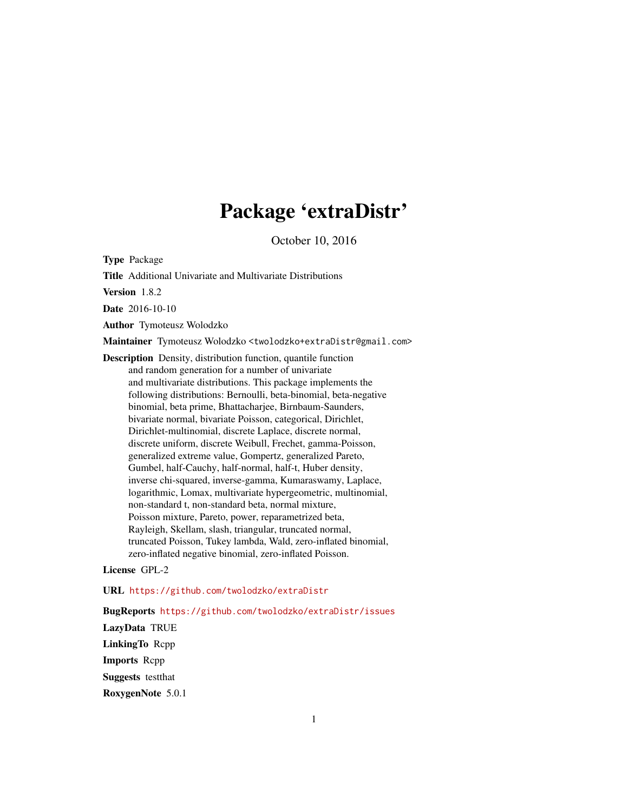# Package 'extraDistr'

October 10, 2016

<span id="page-0-0"></span>Type Package

Title Additional Univariate and Multivariate Distributions

Version 1.8.2

Date 2016-10-10

Author Tymoteusz Wolodzko

Maintainer Tymoteusz Wolodzko <twolodzko+extraDistr@gmail.com>

Description Density, distribution function, quantile function and random generation for a number of univariate and multivariate distributions. This package implements the following distributions: Bernoulli, beta-binomial, beta-negative binomial, beta prime, Bhattacharjee, Birnbaum-Saunders, bivariate normal, bivariate Poisson, categorical, Dirichlet, Dirichlet-multinomial, discrete Laplace, discrete normal, discrete uniform, discrete Weibull, Frechet, gamma-Poisson, generalized extreme value, Gompertz, generalized Pareto, Gumbel, half-Cauchy, half-normal, half-t, Huber density, inverse chi-squared, inverse-gamma, Kumaraswamy, Laplace, logarithmic, Lomax, multivariate hypergeometric, multinomial, non-standard t, non-standard beta, normal mixture, Poisson mixture, Pareto, power, reparametrized beta, Rayleigh, Skellam, slash, triangular, truncated normal, truncated Poisson, Tukey lambda, Wald, zero-inflated binomial, zero-inflated negative binomial, zero-inflated Poisson.

License GPL-2

URL <https://github.com/twolodzko/extraDistr>

BugReports <https://github.com/twolodzko/extraDistr/issues>

LazyData TRUE LinkingTo Rcpp Imports Rcpp Suggests testthat RoxygenNote 5.0.1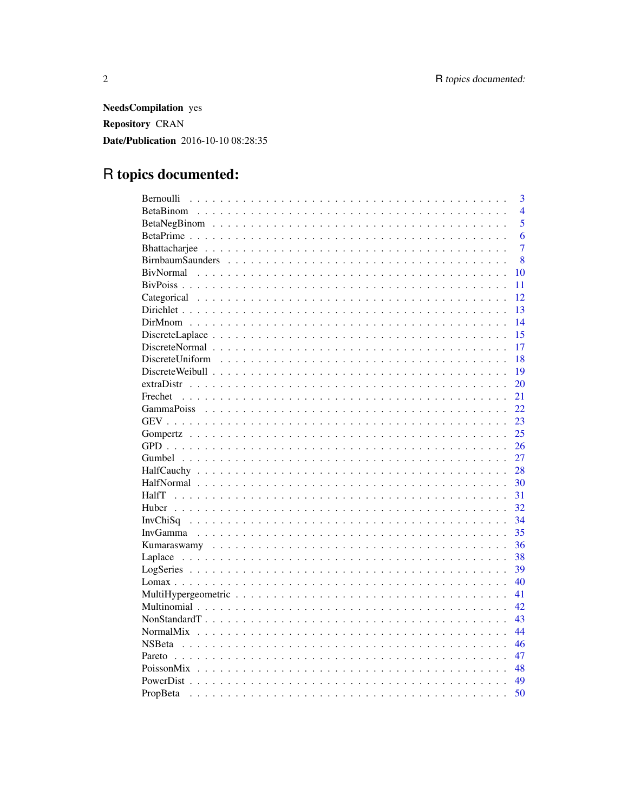**NeedsCompilation** yes Repository CRAN **Date/Publication** 2016-10-10 08:28:35

## R topics documented:

| $\overline{3}$ |
|----------------|
| $\overline{4}$ |
| 5              |
| 6              |
| $\overline{7}$ |
| 8              |
| 10             |
| 11             |
| 12             |
| 13             |
| 14             |
| 15             |
| 17             |
| 18             |
| 19             |
| 20             |
| 21<br>Frechet  |
| 22             |
| 23             |
| 25             |
| 26             |
| 27             |
| 28             |
| 30             |
| 31             |
| 32             |
| 34             |
| 35             |
| 36             |
| 38             |
| 39             |
| 40             |
| 41             |
| 42             |
| 43             |
| 44             |
| 46             |
| 47             |
| 48             |
| 49             |
| 50<br>PropBeta |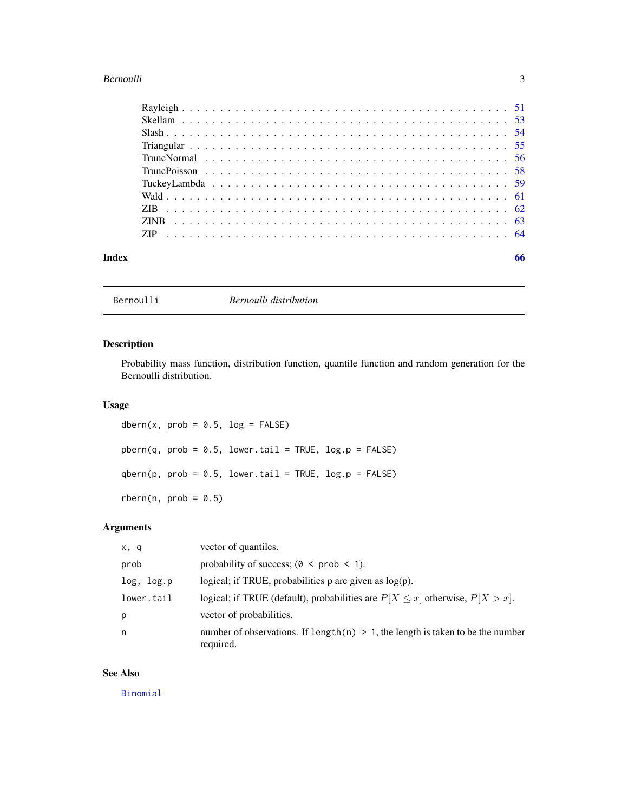#### <span id="page-2-0"></span>Bernoulli 3

| Index | 66 |
|-------|----|

Bernoulli *Bernoulli distribution*

#### Description

Probability mass function, distribution function, quantile function and random generation for the Bernoulli distribution.

#### Usage

dbern(x,  $prob = 0.5$ ,  $log = FALSE$ )  $pbern(q, prob = 0.5, lower.tail = TRUE, log.p = FALSE)$  $qbern(p, prob = 0.5, lower$ **tail = TRUE, log.p = FALSE)**  $rbern(n, prob = 0.5)$ 

#### Arguments

| x, q       | vector of quantiles.                                                                           |
|------------|------------------------------------------------------------------------------------------------|
| prob       | probability of success; $(0 \lt prob \lt 1)$ .                                                 |
| log, log.p | logical; if TRUE, probabilities p are given as $log(p)$ .                                      |
| lower.tail | logical; if TRUE (default), probabilities are $P[X \le x]$ otherwise, $P[X > x]$ .             |
| p          | vector of probabilities.                                                                       |
| n          | number of observations. If length(n) $> 1$ , the length is taken to be the number<br>required. |

#### See Also

[Binomial](#page-0-0)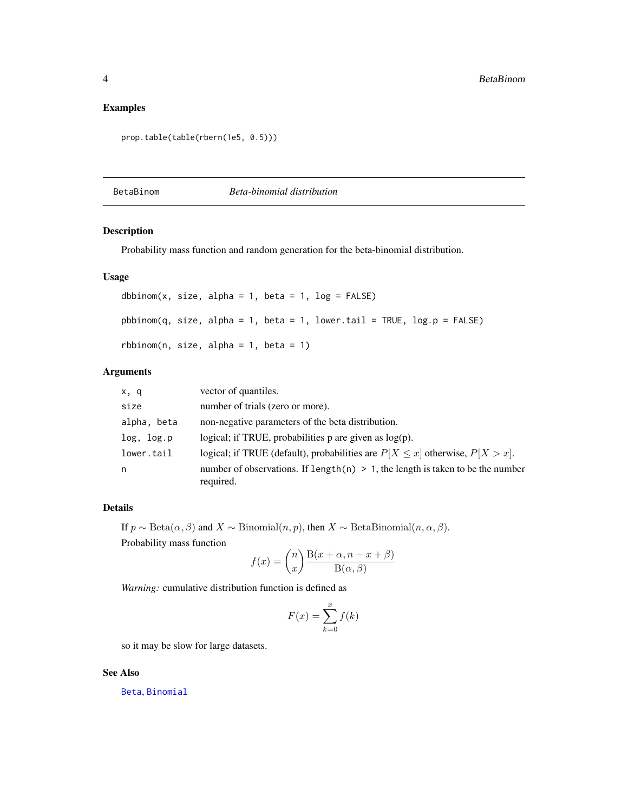#### <span id="page-3-0"></span>Examples

```
prop.table(table(rbern(1e5, 0.5)))
```
BetaBinom *Beta-binomial distribution*

#### Description

Probability mass function and random generation for the beta-binomial distribution.

#### Usage

```
dbbinom{x}{, size, alpha = 1, beta = 1, log = FALSE)}pbbinom(q, size, alpha = 1, beta = 1, lower.tail = TRUE, log.p = FALSE)
rbbinom(n, size, alpha = 1, beta = 1)
```
#### Arguments

| x, q        | vector of quantiles.                                                                           |
|-------------|------------------------------------------------------------------------------------------------|
| size        | number of trials (zero or more).                                                               |
| alpha, beta | non-negative parameters of the beta distribution.                                              |
| log, log.p  | logical; if TRUE, probabilities $p$ are given as $log(p)$ .                                    |
| lower.tail  | logical; if TRUE (default), probabilities are $P[X \le x]$ otherwise, $P[X > x]$ .             |
| n           | number of observations. If length(n) $> 1$ , the length is taken to be the number<br>required. |

#### Details

If  $p \sim \text{Beta}(\alpha, \beta)$  and  $X \sim \text{Binomial}(n, p)$ , then  $X \sim \text{BetaBinomial}(n, \alpha, \beta)$ .

Probability mass function

$$
f(x) = {n \choose x} \frac{B(x + \alpha, n - x + \beta)}{B(\alpha, \beta)}
$$

*Warning:* cumulative distribution function is defined as

$$
F(x) = \sum_{k=0}^{x} f(k)
$$

so it may be slow for large datasets.

#### See Also

[Beta](#page-0-0), [Binomial](#page-0-0)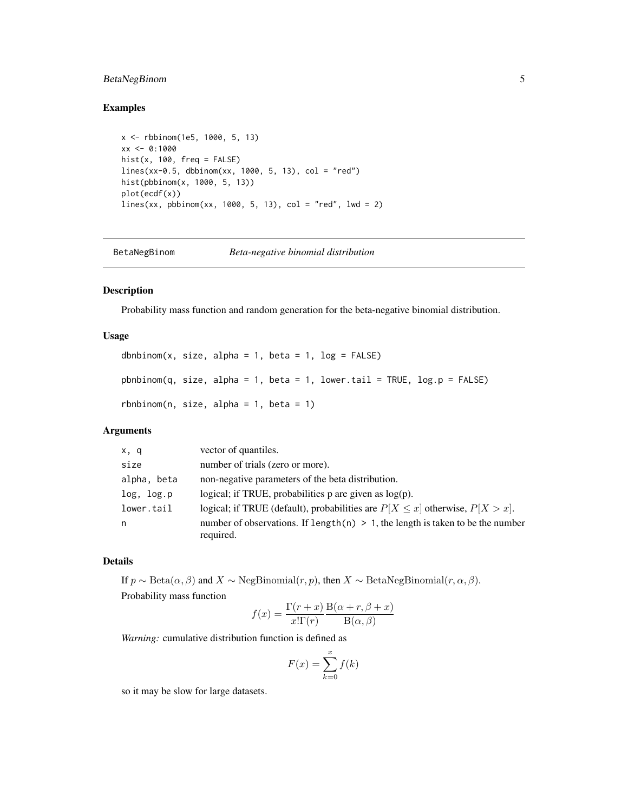#### <span id="page-4-0"></span>BetaNegBinom 5

#### Examples

```
x <- rbbinom(1e5, 1000, 5, 13)
xx <- 0:1000
hist(x, 100, freq = FALSE)
lines(xx-0.5, dbbinom(xx, 1000, 5, 13), col = "red")hist(pbbinom(x, 1000, 5, 13))
plot(ecdf(x))
lines(xx, pbbinom(xx, 1000, 5, 13), col = "red", 1wd = 2)
```

```
BetaNegBinom Beta-negative binomial distribution
```
#### Description

Probability mass function and random generation for the beta-negative binomial distribution.

#### Usage

```
dbnbinom(x, size, alpha = 1, beta = 1, log = FALSE)
pbnbinom(q, size, alpha = 1, beta = 1, lower.tail = TRUE, log.p = FALSE)
rbhbinom(n, size, alpha = 1, beta = 1)
```
#### Arguments

| x, q        | vector of quantiles.                                                                            |
|-------------|-------------------------------------------------------------------------------------------------|
| size        | number of trials (zero or more).                                                                |
| alpha, beta | non-negative parameters of the beta distribution.                                               |
| log, log.p  | logical; if TRUE, probabilities $p$ are given as $log(p)$ .                                     |
| lower.tail  | logical; if TRUE (default), probabilities are $P[X \le x]$ otherwise, $P[X > x]$ .              |
| n           | number of observations. If length $(n) > 1$ , the length is taken to be the number<br>required. |

#### Details

If  $p \sim \text{Beta}(\alpha, \beta)$  and  $X \sim \text{NegBinomial}(r, p)$ , then  $X \sim \text{BetaNegBinomial}(r, \alpha, \beta)$ . Probability mass function

$$
f(x) = \frac{\Gamma(r+x)}{x!\Gamma(r)} \frac{\text{B}(\alpha+r,\beta+x)}{\text{B}(\alpha,\beta)}
$$

*Warning:* cumulative distribution function is defined as

$$
F(x) = \sum_{k=0}^{x} f(k)
$$

so it may be slow for large datasets.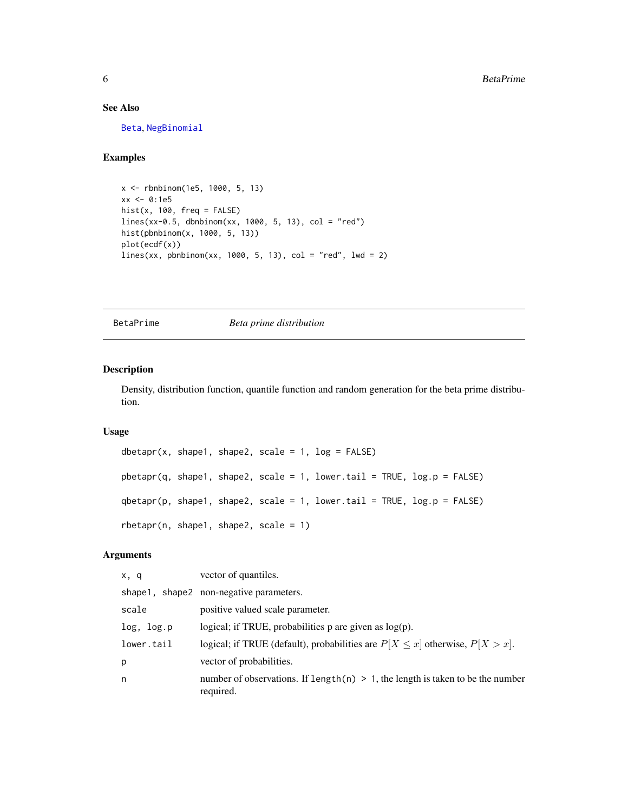#### See Also

[Beta](#page-0-0), [NegBinomial](#page-0-0)

#### Examples

```
x <- rbnbinom(1e5, 1000, 5, 13)
xx < -0:1e5hist(x, 100, freq = FALSE)
lines(xx-0.5, dbnbinom(xx, 1000, 5, 13), col = "red")
hist(pbnbinom(x, 1000, 5, 13))
plot(ecdf(x))
lines(xx, pbnbinom(xx, 1000, 5, 13), col = "red", 1wd = 2)
```
BetaPrime *Beta prime distribution*

#### Description

Density, distribution function, quantile function and random generation for the beta prime distribution.

#### Usage

```
dbetapr(x, shape1, shape2, scale = 1, log = FALSE)
pbetapr(q, shape1, shape2, scale = 1, lower.tail = TRUE, log.p = FALSE)
qbetapr(p, shape1, shape2, scale = 1, lower.tail = TRUE, log.p = FALSE)
rbetapr(n, shape1, shape2, scale = 1)
```
#### Arguments

| x, q       | vector of quantiles.                                                                           |
|------------|------------------------------------------------------------------------------------------------|
|            | shape1, shape2 non-negative parameters.                                                        |
| scale      | positive valued scale parameter.                                                               |
| log, log.p | logical; if TRUE, probabilities $p$ are given as $log(p)$ .                                    |
| lower.tail | logical; if TRUE (default), probabilities are $P[X \le x]$ otherwise, $P[X > x]$ .             |
| р          | vector of probabilities.                                                                       |
| n          | number of observations. If length(n) $> 1$ , the length is taken to be the number<br>required. |

<span id="page-5-0"></span>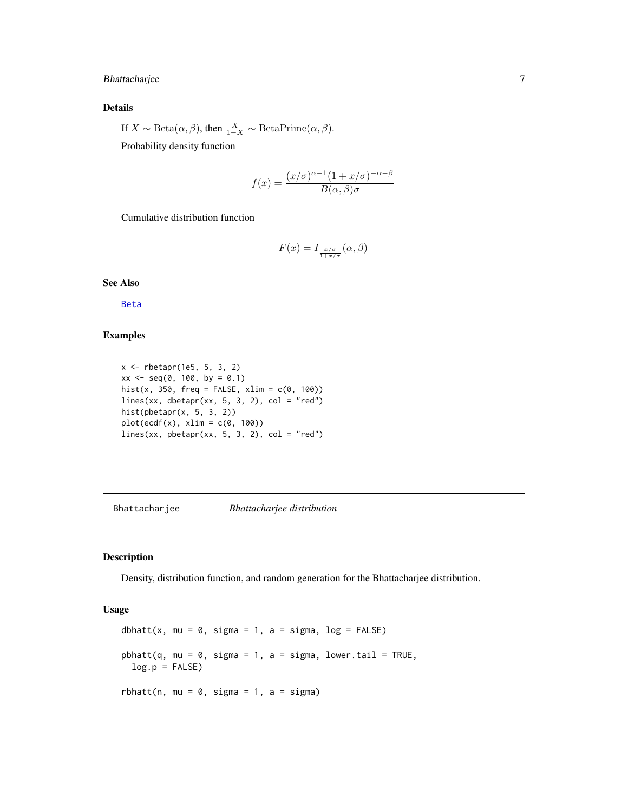#### <span id="page-6-0"></span>Bhattacharjee 7

#### Details

If  $X \sim \text{Beta}(\alpha, \beta)$ , then  $\frac{X}{1-X} \sim \text{BetaPrime}(\alpha, \beta)$ .

Probability density function

$$
f(x) = \frac{(x/\sigma)^{\alpha - 1}(1 + x/\sigma)^{-\alpha - \beta}}{B(\alpha, \beta)\sigma}
$$

Cumulative distribution function

$$
F(x) = I_{\frac{x/\sigma}{1+x/\sigma}}(\alpha, \beta)
$$

See Also

[Beta](#page-0-0)

#### Examples

```
x <- rbetapr(1e5, 5, 3, 2)
xx \le - seq(0, 100, by = 0.1)
hist(x, 350, freq = FALSE, xlim = c(0, 100))
lines(xx, dbetapr(xx, 5, 3, 2), col = "red")hist(pbetapr(x, 5, 3, 2))
plot(ecdf(x), xlim = c(0, 100))lines(xx, pbetapr(xx, 5, 3, 2), col = "red")
```
Bhattacharjee *Bhattacharjee distribution*

#### Description

Density, distribution function, and random generation for the Bhattacharjee distribution.

#### Usage

dbhatt(x, mu =  $0$ , sigma = 1, a = sigma, log = FALSE)  $pbhat(q, mu = 0, sigma = 1, a = sigma, lower$ **tail = TRUE** $,$  $log.p = FALSE$ rbhatt(n, mu =  $0$ , sigma = 1, a = sigma)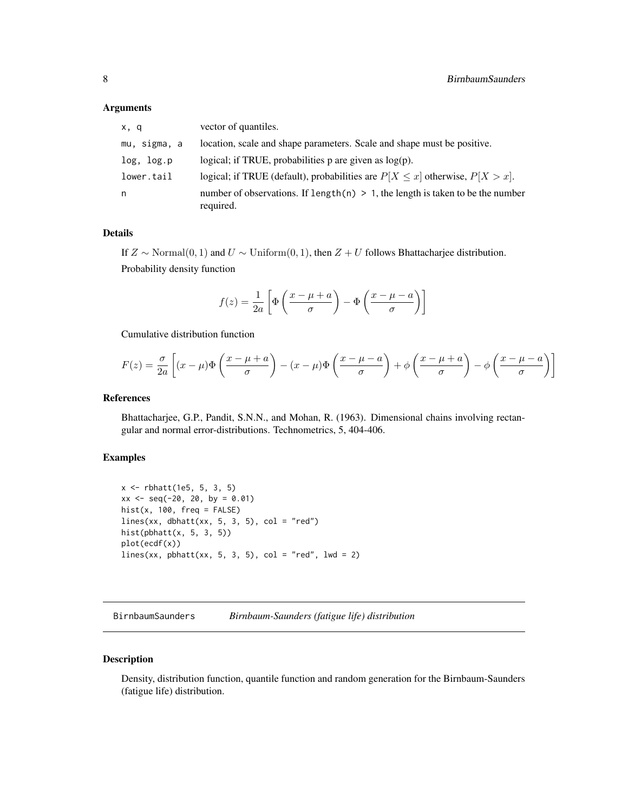#### <span id="page-7-0"></span>Arguments

| x, q         | vector of quantiles.                                                                           |
|--------------|------------------------------------------------------------------------------------------------|
| mu, sigma, a | location, scale and shape parameters. Scale and shape must be positive.                        |
| log, log.p   | logical; if TRUE, probabilities $p$ are given as $log(p)$ .                                    |
| lower.tail   | logical; if TRUE (default), probabilities are $P[X \le x]$ otherwise, $P[X > x]$ .             |
| n            | number of observations. If length(n) $> 1$ , the length is taken to be the number<br>required. |

#### Details

If  $Z \sim \text{Normal}(0, 1)$  and  $U \sim \text{Uniform}(0, 1)$ , then  $Z + U$  follows Bhattacharjee distribution. Probability density function

$$
f(z) = \frac{1}{2a} \left[ \Phi \left( \frac{x - \mu + a}{\sigma} \right) - \Phi \left( \frac{x - \mu - a}{\sigma} \right) \right]
$$

Cumulative distribution function

$$
F(z) = \frac{\sigma}{2a} \left[ (x - \mu) \Phi \left( \frac{x - \mu + a}{\sigma} \right) - (x - \mu) \Phi \left( \frac{x - \mu - a}{\sigma} \right) + \phi \left( \frac{x - \mu + a}{\sigma} \right) - \phi \left( \frac{x - \mu - a}{\sigma} \right) \right]
$$

#### References

Bhattacharjee, G.P., Pandit, S.N.N., and Mohan, R. (1963). Dimensional chains involving rectangular and normal error-distributions. Technometrics, 5, 404-406.

#### Examples

```
x <- rbhatt(1e5, 5, 3, 5)
xx \le - seq(-20, 20, by = 0.01)
hist(x, 100, freq = FALSE)
lines(xx, dbhatt(xx, 5, 3, 5), col = "red")
hist(pbhatt(x, 5, 3, 5))
plot(ecdf(x))
lines(xx, pbhatt(xx, 5, 3, 5), col = "red", 1wd = 2)
```
BirnbaumSaunders *Birnbaum-Saunders (fatigue life) distribution*

#### Description

Density, distribution function, quantile function and random generation for the Birnbaum-Saunders (fatigue life) distribution.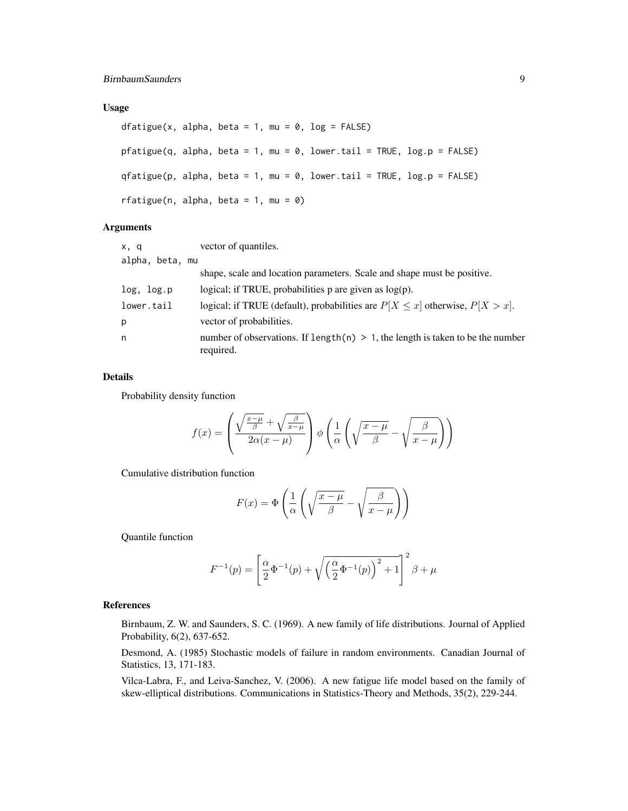#### Usage

```
dfatigue(x, alpha, beta = 1, mu = 0, log = FALSE)
pfatingue(q, alpha, beta = 1, mu = 0, lower.tail = TRUE, log.p = FALSE)qfatigue(p, alpha, beta = 1, mu = 0, lower.tail = TRUE, log.p = FALSE)rfatigue(n, alpha, beta = 1, mu = 0)
```
#### Arguments

| x, q            | vector of quantiles.                                                                           |
|-----------------|------------------------------------------------------------------------------------------------|
| alpha, beta, mu |                                                                                                |
|                 | shape, scale and location parameters. Scale and shape must be positive.                        |
| log, log.p      | logical; if TRUE, probabilities $p$ are given as $log(p)$ .                                    |
| lower.tail      | logical; if TRUE (default), probabilities are $P[X \le x]$ otherwise, $P[X > x]$ .             |
| p               | vector of probabilities.                                                                       |
| n               | number of observations. If length(n) $> 1$ , the length is taken to be the number<br>required. |

#### Details

Probability density function

$$
f(x) = \left(\frac{\sqrt{\frac{x-\mu}{\beta}} + \sqrt{\frac{\beta}{x-\mu}}}{2\alpha(x-\mu)}\right)\phi\left(\frac{1}{\alpha}\left(\sqrt{\frac{x-\mu}{\beta}} - \sqrt{\frac{\beta}{x-\mu}}\right)\right)
$$

Cumulative distribution function

$$
F(x) = \Phi\left(\frac{1}{\alpha}\left(\sqrt{\frac{x-\mu}{\beta}} - \sqrt{\frac{\beta}{x-\mu}}\right)\right)
$$

Quantile function

$$
F^{-1}(p) = \left[\frac{\alpha}{2}\Phi^{-1}(p) + \sqrt{\left(\frac{\alpha}{2}\Phi^{-1}(p)\right)^2 + 1}\right]^2 \beta + \mu
$$

#### References

Birnbaum, Z. W. and Saunders, S. C. (1969). A new family of life distributions. Journal of Applied Probability, 6(2), 637-652.

Desmond, A. (1985) Stochastic models of failure in random environments. Canadian Journal of Statistics, 13, 171-183.

Vilca-Labra, F., and Leiva-Sanchez, V. (2006). A new fatigue life model based on the family of skew-elliptical distributions. Communications in Statistics-Theory and Methods, 35(2), 229-244.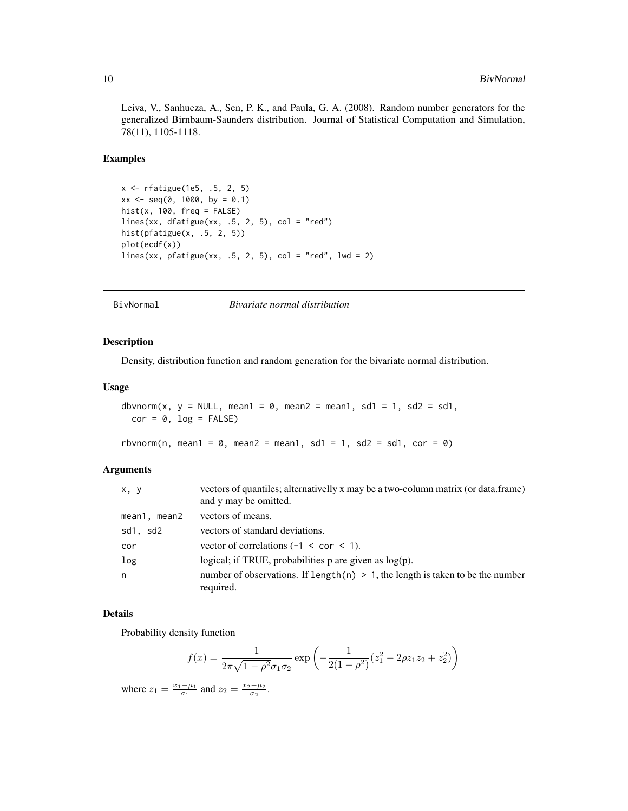<span id="page-9-0"></span>Leiva, V., Sanhueza, A., Sen, P. K., and Paula, G. A. (2008). Random number generators for the generalized Birnbaum-Saunders distribution. Journal of Statistical Computation and Simulation, 78(11), 1105-1118.

#### Examples

```
x <- rfatigue(1e5, .5, 2, 5)
xx \le - seq(0, 1000, by = 0.1)
hist(x, 100, freq = FALSE)
lines(xx, dfatigue(xx, .5, 2, 5), col = "red")hist(pfatigue(x, .5, 2, 5))
plot(ecdf(x))
lines(xx, pfatigue(xx, .5, 2, 5), col = "red", lwd = 2)
```
BivNormal *Bivariate normal distribution*

#### Description

Density, distribution function and random generation for the bivariate normal distribution.

#### Usage

```
dbvnorm(x, y = NULL, mean1 = 0, mean2 = mean1, sd1 = 1, sd2 = sd1,
 cor = 0, log = FALSE)
```

```
rbvnorm(n, mean1 = 0, mean2 = mean1, sd1 = 1, sd2 = sd1, cor = 0)
```
#### Arguments

| x, y         | vectors of quantiles; alternativelly x may be a two-column matrix (or data.frame)<br>and y may be omitted. |
|--------------|------------------------------------------------------------------------------------------------------------|
| mean1, mean2 | vectors of means.                                                                                          |
| sd1, sd2     | vectors of standard deviations.                                                                            |
| cor          | vector of correlations $(-1 < \text{cor} < 1)$ .                                                           |
| log          | logical; if TRUE, probabilities $p$ are given as $log(p)$ .                                                |
| n            | number of observations. If length $(n) > 1$ , the length is taken to be the number<br>required.            |

#### Details

Probability density function

$$
f(x) = \frac{1}{2\pi\sqrt{1 - \rho^2}\sigma_1\sigma_2} \exp\left(-\frac{1}{2(1 - \rho^2)}(z_1^2 - 2\rho z_1 z_2 + z_2^2)\right)
$$

where  $z_1 = \frac{x_1 - \mu_1}{\sigma_1}$  and  $z_2 = \frac{x_2 - \mu_2}{\sigma_2}$ .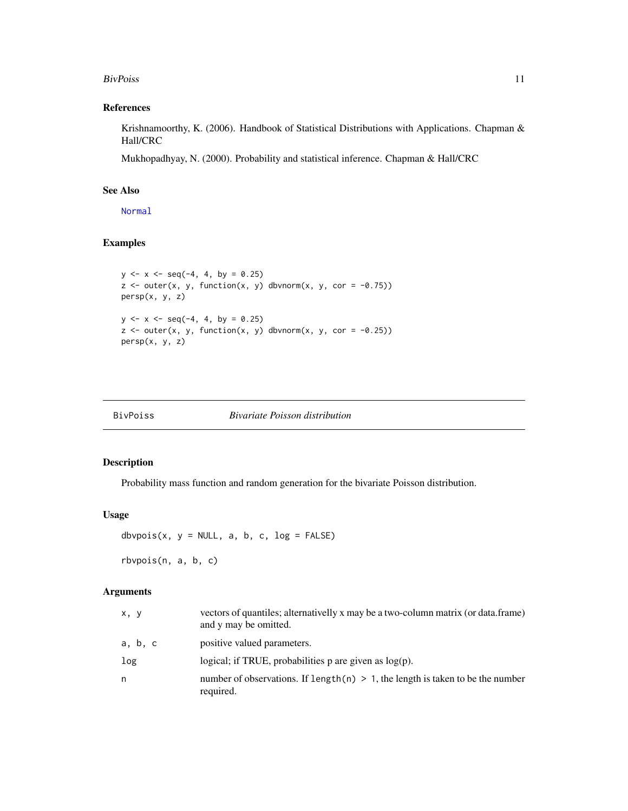#### <span id="page-10-0"></span>BivPoiss 2012 11 2013 11 2014 12:30 12:30 12:30 12:30 12:30 12:30 12:30 12:30 12:30 12:30 12:30 12:30 12:30 12:30 12:30 12:30 12:30 12:30 12:30 12:30 12:30 12:30 12:30 12:30 12:30 12:30 12:30 12:30 12:30 12:30 12:30 12:30

#### References

Krishnamoorthy, K. (2006). Handbook of Statistical Distributions with Applications. Chapman & Hall/CRC

Mukhopadhyay, N. (2000). Probability and statistical inference. Chapman & Hall/CRC

#### See Also

[Normal](#page-0-0)

#### Examples

```
y \le -x \le -\text{seq}(-4, 4, \text{ by } = 0.25)z \le outer(x, y, function(x, y) dbvnorm(x, y, cor = -0.75))
persp(x, y, z)
y \le -x \le -\text{seq}(-4, 4, \text{ by } = 0.25)z \le outer(x, y, function(x, y) dbvnorm(x, y, cor = -0.25))
persp(x, y, z)
```
#### Description

Probability mass function and random generation for the bivariate Poisson distribution.

#### Usage

dbvpois(x,  $y = NULL$ , a, b, c,  $log = FALSE$ )

rbvpois(n, a, b, c)

#### Arguments

| x, y    | vectors of quantiles; alternativelly x may be a two-column matrix (or data.frame)<br>and y may be omitted. |
|---------|------------------------------------------------------------------------------------------------------------|
| a, b, c | positive valued parameters.                                                                                |
| log     | logical; if TRUE, probabilities $p$ are given as $log(p)$ .                                                |
| n       | number of observations. If length $(n) > 1$ , the length is taken to be the number<br>required.            |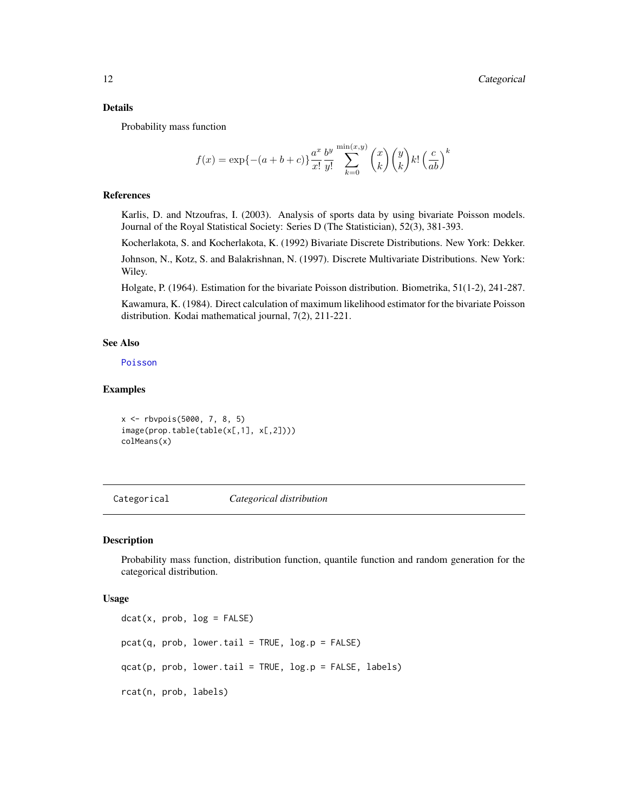#### <span id="page-11-0"></span>Details

Probability mass function

$$
f(x) = \exp\{- (a+b+c)\} \frac{a^x}{x!} \frac{b^y}{y!} \sum_{k=0}^{\min(x,y)} \binom{x}{k} \binom{y}{k} k! \left(\frac{c}{ab}\right)^k
$$

#### References

Karlis, D. and Ntzoufras, I. (2003). Analysis of sports data by using bivariate Poisson models. Journal of the Royal Statistical Society: Series D (The Statistician), 52(3), 381-393.

Kocherlakota, S. and Kocherlakota, K. (1992) Bivariate Discrete Distributions. New York: Dekker. Johnson, N., Kotz, S. and Balakrishnan, N. (1997). Discrete Multivariate Distributions. New York: Wiley.

Holgate, P. (1964). Estimation for the bivariate Poisson distribution. Biometrika, 51(1-2), 241-287.

Kawamura, K. (1984). Direct calculation of maximum likelihood estimator for the bivariate Poisson distribution. Kodai mathematical journal, 7(2), 211-221.

#### See Also

[Poisson](#page-0-0)

#### Examples

```
x <- rbvpois(5000, 7, 8, 5)
image(prop.table(table(x[,1], x[,2])))
colMeans(x)
```
Categorical *Categorical distribution*

#### Description

Probability mass function, distribution function, quantile function and random generation for the categorical distribution.

#### Usage

 $dot(x, prob, log = FALSE)$  $pcat(q, prob, lower.tail = TRUE, log.p = FALSE)$  $qcat(p, prob, lower.tail = TRUE, log.p = FALSE, labels)$ rcat(n, prob, labels)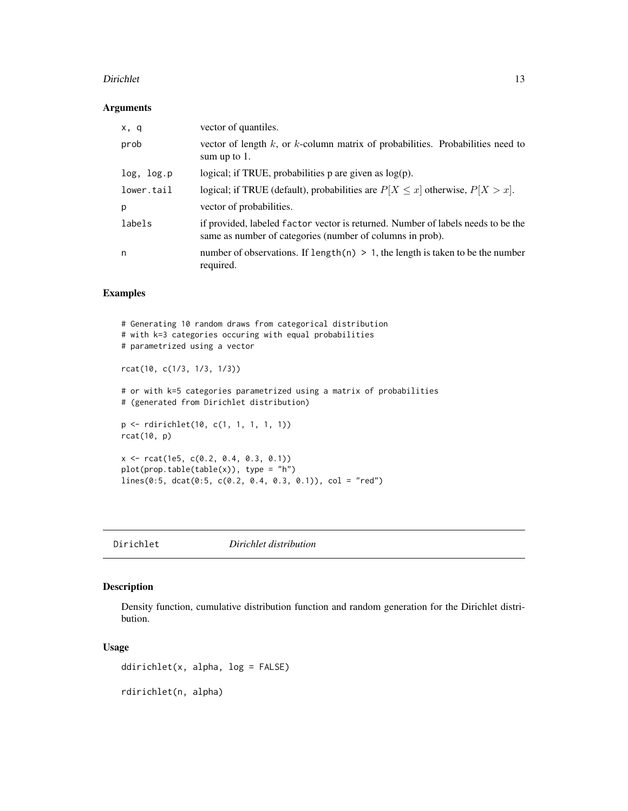#### <span id="page-12-0"></span>Dirichlet 13

#### Arguments

| x, q       | vector of quantiles.                                                                                                                          |
|------------|-----------------------------------------------------------------------------------------------------------------------------------------------|
| prob       | vector of length $k$ , or $k$ -column matrix of probabilities. Probabilities need to<br>sum up to $1$ .                                       |
| log, log.p | logical; if TRUE, probabilities $p$ are given as $log(p)$ .                                                                                   |
| lower.tail | logical; if TRUE (default), probabilities are $P[X \le x]$ otherwise, $P[X > x]$ .                                                            |
| р          | vector of probabilities.                                                                                                                      |
| labels     | if provided, labeled factor vector is returned. Number of labels needs to be the<br>same as number of categories (number of columns in prob). |
| n          | number of observations. If length(n) $> 1$ , the length is taken to be the number<br>required.                                                |

#### Examples

```
# Generating 10 random draws from categorical distribution
# with k=3 categories occuring with equal probabilities
# parametrized using a vector
rcat(10, c(1/3, 1/3, 1/3))
# or with k=5 categories parametrized using a matrix of probabilities
# (generated from Dirichlet distribution)
p <- rdirichlet(10, c(1, 1, 1, 1, 1))
rcat(10, p)
x <- rcat(1e5, c(0.2, 0.4, 0.3, 0.1))
plot(prop.table(table(x)), type = "h")lines(0:5, dcat(0:5, c(0.2, 0.4, 0.3, 0.1)), col = "red")
```
<span id="page-12-1"></span>Dirichlet *Dirichlet distribution*

#### Description

Density function, cumulative distribution function and random generation for the Dirichlet distribution.

#### Usage

ddirichlet(x, alpha, log = FALSE)

rdirichlet(n, alpha)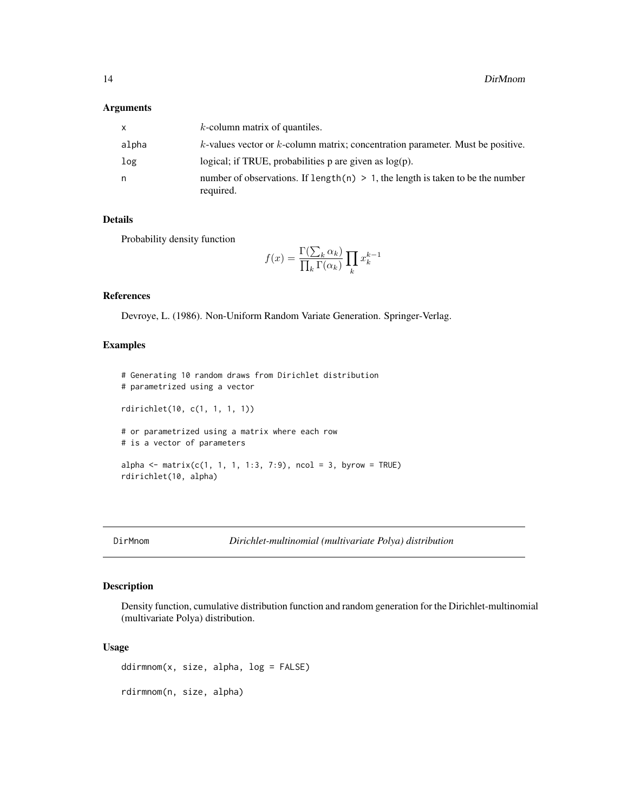#### <span id="page-13-0"></span>Arguments

| x     | $k$ -column matrix of quantiles.                                                                |
|-------|-------------------------------------------------------------------------------------------------|
| alpha | $k$ -values vector or $k$ -column matrix; concentration parameter. Must be positive.            |
| log   | logical; if TRUE, probabilities p are given as $log(p)$ .                                       |
| n     | number of observations. If length $(n) > 1$ , the length is taken to be the number<br>required. |

#### Details

Probability density function

$$
f(x) = \frac{\Gamma(\sum_{k} \alpha_k)}{\prod_{k} \Gamma(\alpha_k)} \prod_{k} x_k^{k-1}
$$

#### References

Devroye, L. (1986). Non-Uniform Random Variate Generation. Springer-Verlag.

#### Examples

```
# Generating 10 random draws from Dirichlet distribution
# parametrized using a vector
rdirichlet(10, c(1, 1, 1, 1))
# or parametrized using a matrix where each row
# is a vector of parameters
alpha <- matrix(c(1, 1, 1, 1:3, 7:9), ncol = 3, byrow = TRUE)
rdirichlet(10, alpha)
```
#### Description

Density function, cumulative distribution function and random generation for the Dirichlet-multinomial (multivariate Polya) distribution.

#### Usage

ddirmnom(x, size, alpha, log = FALSE) rdirmnom(n, size, alpha)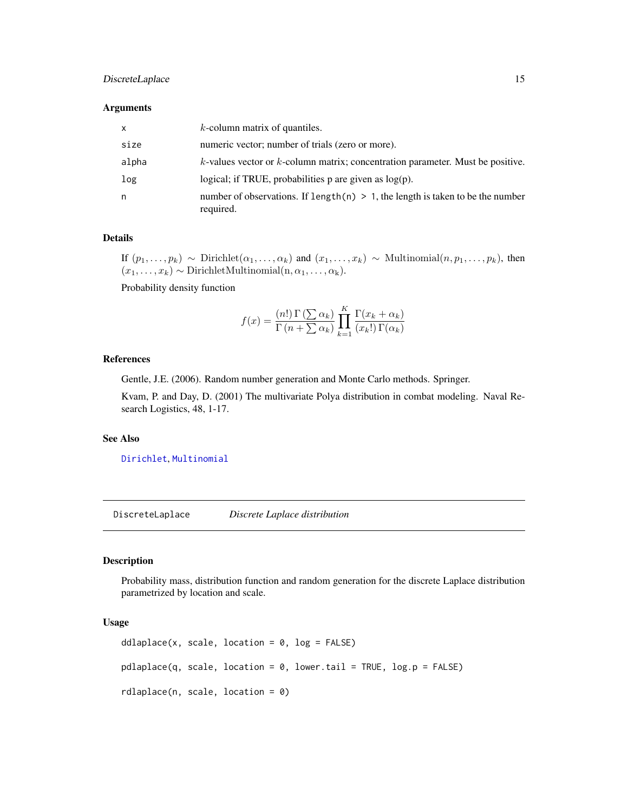#### <span id="page-14-0"></span>DiscreteLaplace 15

#### **Arguments**

| X     | $k$ -column matrix of quantiles.                                                                |
|-------|-------------------------------------------------------------------------------------------------|
| size  | numeric vector; number of trials (zero or more).                                                |
| alpha | $k$ -values vector or $k$ -column matrix; concentration parameter. Must be positive.            |
| log   | logical; if TRUE, probabilities $p$ are given as $log(p)$ .                                     |
| n     | number of observations. If length $(n) > 1$ , the length is taken to be the number<br>required. |

#### Details

If  $(p_1, \ldots, p_k) \sim$  Dirichlet $(\alpha_1, \ldots, \alpha_k)$  and  $(x_1, \ldots, x_k) \sim$  Multinomial $(n, p_1, \ldots, p_k)$ , then  $(x_1, \ldots, x_k) \sim \text{DirichletMultinomial}(n, \alpha_1, \ldots, \alpha_k).$ 

Probability density function

$$
f(x) = \frac{(n!)\Gamma(\sum \alpha_k)}{\Gamma(n + \sum \alpha_k)} \prod_{k=1}^K \frac{\Gamma(x_k + \alpha_k)}{(x_k!)\Gamma(\alpha_k)}
$$

#### References

Gentle, J.E. (2006). Random number generation and Monte Carlo methods. Springer.

Kvam, P. and Day, D. (2001) The multivariate Polya distribution in combat modeling. Naval Research Logistics, 48, 1-17.

#### See Also

[Dirichlet](#page-12-1), [Multinomial](#page-41-1)

DiscreteLaplace *Discrete Laplace distribution*

#### Description

Probability mass, distribution function and random generation for the discrete Laplace distribution parametrized by location and scale.

#### Usage

```
ddlaplace(x, scale, location = 0, log = FALSE)
pdlaplace(q, scale, location = 0, lower.tail = TRUE, log.p = FALSE)rdlaplace(n, scale, location = 0)
```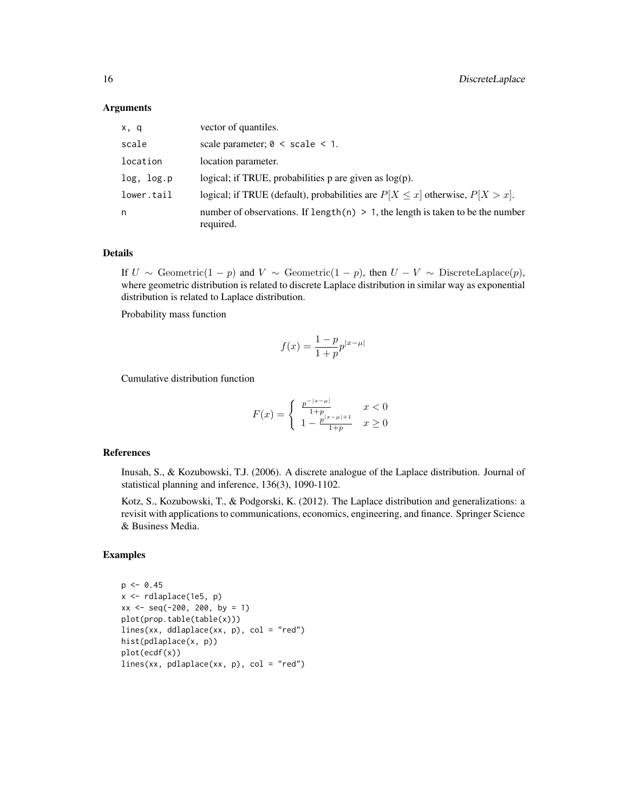#### **Arguments**

| x, q       | vector of quantiles.                                                                           |
|------------|------------------------------------------------------------------------------------------------|
| scale      | scale parameter; $0 \le$ scale $\le$ 1.                                                        |
| location   | location parameter.                                                                            |
| log, log.p | logical; if TRUE, probabilities $p$ are given as $log(p)$ .                                    |
| lower.tail | logical; if TRUE (default), probabilities are $P[X \le x]$ otherwise, $P[X > x]$ .             |
| n          | number of observations. If length(n) $> 1$ , the length is taken to be the number<br>required. |

#### Details

If  $U \sim$  Geometric(1 – p) and  $V \sim$  Geometric(1 – p), then  $U - V \sim$  DiscreteLaplace(p), where geometric distribution is related to discrete Laplace distribution in similar way as exponential distribution is related to Laplace distribution.

Probability mass function

$$
f(x) = \frac{1 - p}{1 + p} p^{|x - \mu|}
$$

Cumulative distribution function

$$
F(x) = \begin{cases} \frac{p^{-|x-\mu|}}{1+p} & x < 0\\ 1 - \frac{p^{|x-\mu|+1}}{1+p} & x \ge 0 \end{cases}
$$

#### References

Inusah, S., & Kozubowski, T.J. (2006). A discrete analogue of the Laplace distribution. Journal of statistical planning and inference, 136(3), 1090-1102.

Kotz, S., Kozubowski, T., & Podgorski, K. (2012). The Laplace distribution and generalizations: a revisit with applications to communications, economics, engineering, and finance. Springer Science & Business Media.

#### Examples

```
p \le -0.45x <- rdlaplace(1e5, p)
xx \le - seq(-200, 200, by = 1)
plot(prop.table(table(x)))
lines(xx, ddlaplace(xx, p), col = "red")
hist(pdlaplace(x, p))
plot(ecdf(x))
lines(xx, pdlaplace(xx, p), col = "red")
```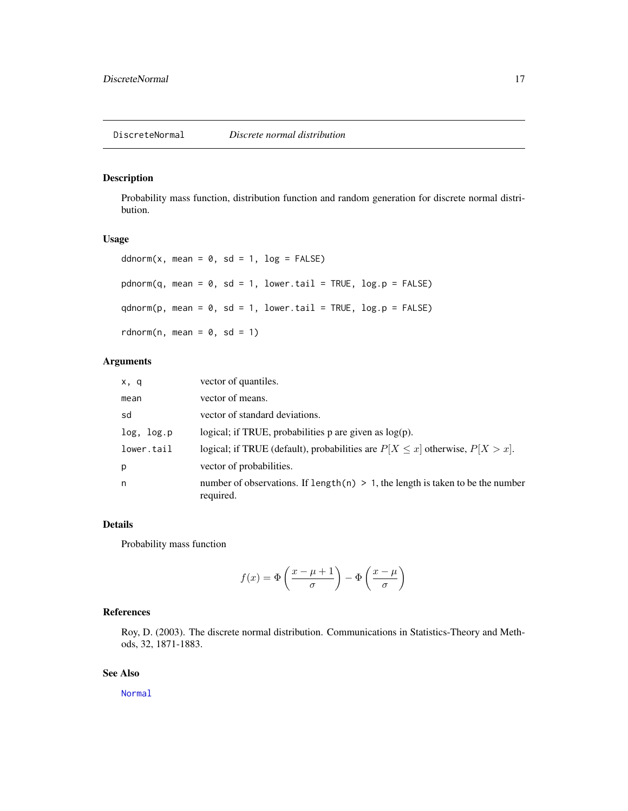<span id="page-16-0"></span>Probability mass function, distribution function and random generation for discrete normal distribution.

#### Usage

```
ddnorm(x, \text{mean} = 0, \text{sd} = 1, \text{log} = \text{FALSE})pdnorm(q, mean = 0, sd = 1, lower.tail = TRUE, log.p = FALSE)
qdnorm(p, mean = 0, sd = 1, lowertail = TRUE, <math>log.p = FALSE)
rdnorm(n, mean = 0, sd = 1)
```
#### Arguments

| x, q       | vector of quantiles.                                                                           |
|------------|------------------------------------------------------------------------------------------------|
| mean       | vector of means.                                                                               |
| sd         | vector of standard deviations.                                                                 |
| log, log.p | logical; if TRUE, probabilities $p$ are given as $log(p)$ .                                    |
| lower.tail | logical; if TRUE (default), probabilities are $P[X \le x]$ otherwise, $P[X > x]$ .             |
| p          | vector of probabilities.                                                                       |
| n          | number of observations. If length(n) $> 1$ , the length is taken to be the number<br>required. |

#### Details

Probability mass function

$$
f(x) = \Phi\left(\frac{x - \mu + 1}{\sigma}\right) - \Phi\left(\frac{x - \mu}{\sigma}\right)
$$

#### References

Roy, D. (2003). The discrete normal distribution. Communications in Statistics-Theory and Methods, 32, 1871-1883.

#### See Also

[Normal](#page-0-0)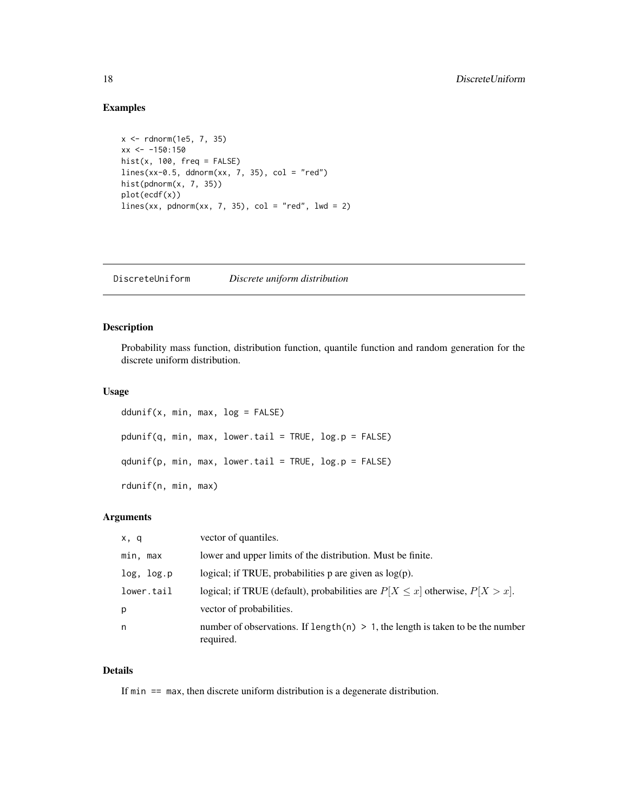#### Examples

```
x <- rdnorm(1e5, 7, 35)
xx < -150:150hist(x, 100, freq = FALSE)lines(xx-0.5, ddnorm(xx, 7, 35), col = "red")
hist(pdnorm(x, 7, 35))
plot(ecdf(x))
lines(xx, pdnorm(xx, 7, 35), col = "red", lwd = 2)
```
DiscreteUniform *Discrete uniform distribution*

#### Description

Probability mass function, distribution function, quantile function and random generation for the discrete uniform distribution.

#### Usage

```
ddunif(x, min, max, log = FALSE)
pdunif(q, min, max, lower.tail = TRUE, log.p = FALSE)qdunif(p, min, max, lower.tail = TRUE, log.p = FALSE)
rdunif(n, min, max)
```
#### Arguments

| x, q       | vector of quantiles.                                                                           |
|------------|------------------------------------------------------------------------------------------------|
| min, max   | lower and upper limits of the distribution. Must be finite.                                    |
| log, log.p | logical; if TRUE, probabilities $p$ are given as $log(p)$ .                                    |
| lower.tail | logical; if TRUE (default), probabilities are $P[X \le x]$ otherwise, $P[X > x]$ .             |
| p          | vector of probabilities.                                                                       |
| n          | number of observations. If length(n) $> 1$ , the length is taken to be the number<br>required. |

#### Details

If min == max, then discrete uniform distribution is a degenerate distribution.

<span id="page-17-0"></span>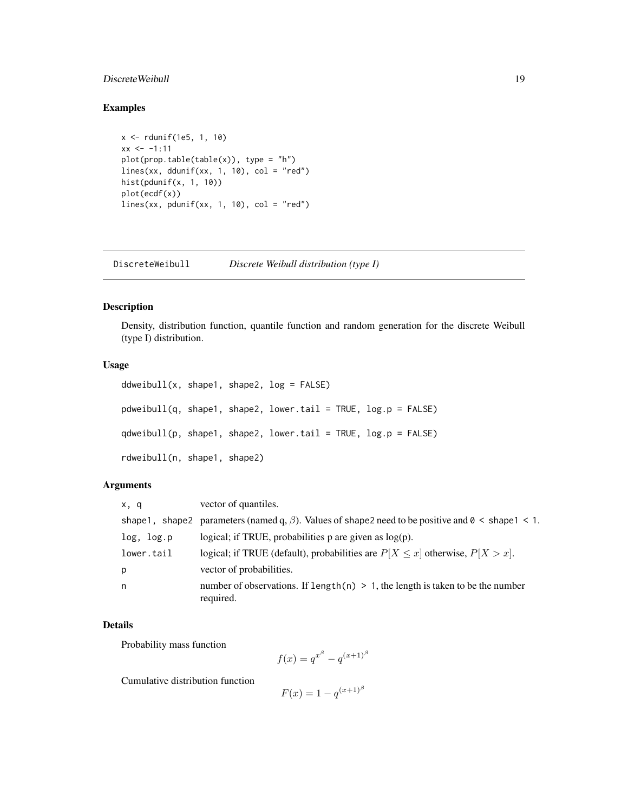#### <span id="page-18-0"></span>DiscreteWeibull 19

#### Examples

```
x <- rdunif(1e5, 1, 10)
xx < -1:11plot(prop.table(table(x)), type = "h")lines(xx, ddunif(xx, 1, 10), col = "red")hist(pdunif(x, 1, 10))
plot(ecdf(x))
lines(xx, pdunif(xx, 1, 10), col = "red")
```
DiscreteWeibull *Discrete Weibull distribution (type I)*

#### Description

Density, distribution function, quantile function and random generation for the discrete Weibull (type I) distribution.

#### Usage

```
ddweibull(x, shape1, shape2, log = FALSE)pdweibull(q, shape1, shape2, lower.tail = TRUE, log.p = FALSE)
qdweibull(p, shape1, shape2, lower.tail = TRUE, log.p = FALSE)
rdweibull(n, shape1, shape2)
```
#### Arguments

| x, q       | vector of quantiles.                                                                                                  |
|------------|-----------------------------------------------------------------------------------------------------------------------|
|            | shape 1, shape 2 parameters (named q, $\beta$ ). Values of shape 2 need to be positive and $0 \leq$ shape 1 $\leq$ 1. |
| log, log.p | logical; if TRUE, probabilities $p$ are given as $log(p)$ .                                                           |
| lower.tail | logical; if TRUE (default), probabilities are $P[X \le x]$ otherwise, $P[X > x]$ .                                    |
| p          | vector of probabilities.                                                                                              |
| n          | number of observations. If length $(n) > 1$ , the length is taken to be the number<br>required.                       |

#### Details

Probability mass function

$$
f(x) = q^{x^{\beta}} - q^{(x+1)^{\beta}}
$$

Cumulative distribution function

 $F(x) = 1 - q^{(x+1)^\beta}$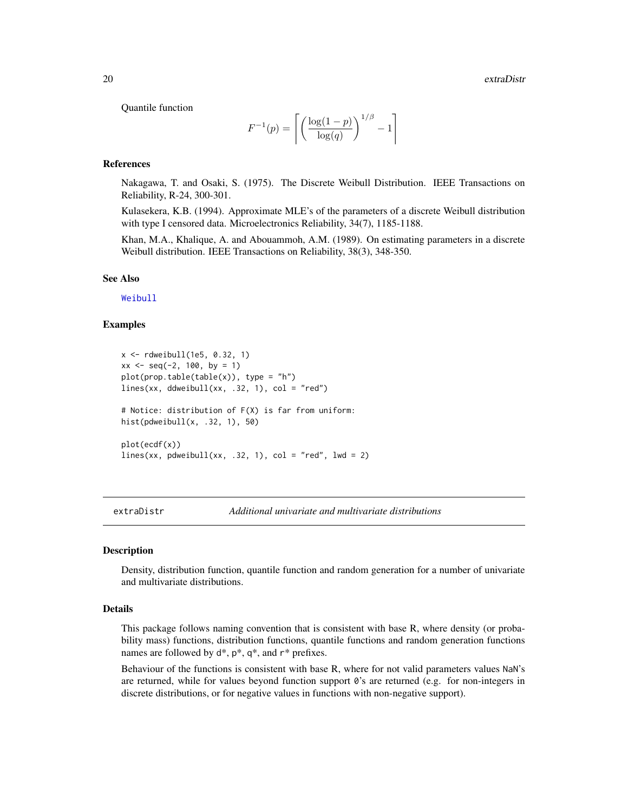<span id="page-19-0"></span>Quantile function

$$
F^{-1}(p) = \left\lceil \left( \frac{\log(1-p)}{\log(q)} \right)^{1/\beta} - 1 \right\rceil
$$

#### References

Nakagawa, T. and Osaki, S. (1975). The Discrete Weibull Distribution. IEEE Transactions on Reliability, R-24, 300-301.

Kulasekera, K.B. (1994). Approximate MLE's of the parameters of a discrete Weibull distribution with type I censored data. Microelectronics Reliability, 34(7), 1185-1188.

Khan, M.A., Khalique, A. and Abouammoh, A.M. (1989). On estimating parameters in a discrete Weibull distribution. IEEE Transactions on Reliability, 38(3), 348-350.

#### See Also

[Weibull](#page-0-0)

#### Examples

```
x \le - rdweibull(1e5, 0.32, 1)
xx \le - seq(-2, 100, by = 1)
plot(prop.table(table(x)), type = "h")
lines(xx, ddweibull(xx, .32, 1), col = "red")# Notice: distribution of F(X) is far from uniform:
hist(pdweibull(x, .32, 1), 50)
plot(ecdf(x))
lines(xx, pdweibull(xx, .32, 1), col = "red", lwd = 2)
```
extraDistr *Additional univariate and multivariate distributions*

#### Description

Density, distribution function, quantile function and random generation for a number of univariate and multivariate distributions.

#### Details

This package follows naming convention that is consistent with base R, where density (or probability mass) functions, distribution functions, quantile functions and random generation functions names are followed by  $d^*$ ,  $p^*$ ,  $q^*$ , and  $r^*$  prefixes.

Behaviour of the functions is consistent with base R, where for not valid parameters values NaN's are returned, while for values beyond function support  $\theta$ 's are returned (e.g. for non-integers in discrete distributions, or for negative values in functions with non-negative support).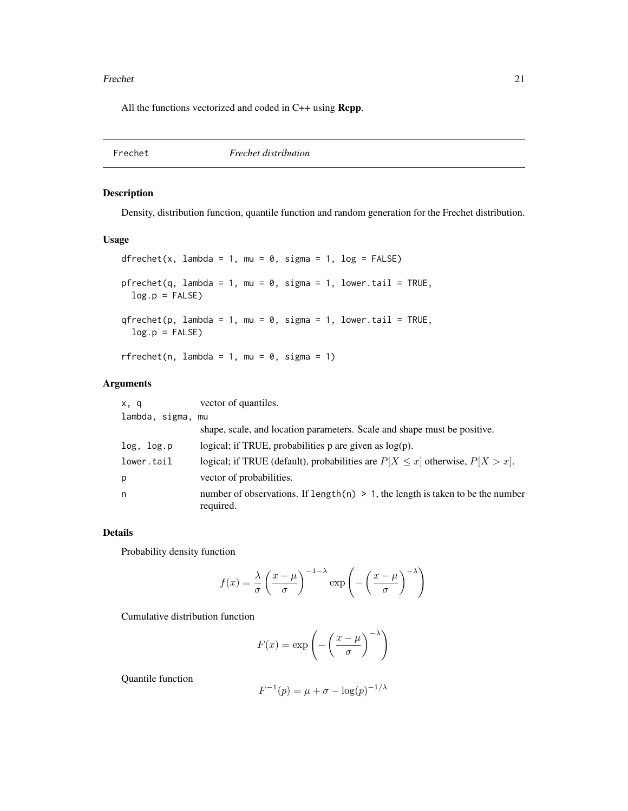#### <span id="page-20-0"></span>Frechet 21 and 22 and 22 and 22 and 22 and 22 and 22 and 23 and 23 and 23 and 23 and 24 and 25 and 27 and 27 and 27 and 27 and 27 and 27 and 27 and 27 and 27 and 27 and 27 and 27 and 27 and 27 and 27 and 27 and 27 and 27 a

All the functions vectorized and coded in C++ using **Rcpp**.

Frechet *Frechet distribution*

#### Description

Density, distribution function, quantile function and random generation for the Frechet distribution.

#### Usage

```
dfrechet(x, lambda = 1, mu = 0, sigma = 1, log = FALSE)
pfrechet(q, lambda = 1, mu = 0, sigma = 1, lower.tail = TRUE,
 log.p = FALSE)qfrechet(p, lambda = 1, mu = 0, sigma = 1, lowertail = TRUE,log.p = FALSE)
rfrechet(n, lambda = 1, mu = 0, sigma = 1)
```
#### Arguments

| x, q              | vector of quantiles.                                                                           |
|-------------------|------------------------------------------------------------------------------------------------|
| lambda, sigma, mu |                                                                                                |
|                   | shape, scale, and location parameters. Scale and shape must be positive.                       |
| log, log.p        | logical; if TRUE, probabilities p are given as $log(p)$ .                                      |
| lower.tail        | logical; if TRUE (default), probabilities are $P[X \le x]$ otherwise, $P[X > x]$ .             |
| р                 | vector of probabilities.                                                                       |
| n                 | number of observations. If length(n) $> 1$ , the length is taken to be the number<br>required. |

#### Details

Probability density function

$$
f(x) = \frac{\lambda}{\sigma} \left( \frac{x - \mu}{\sigma} \right)^{-1 - \lambda} \exp \left( - \left( \frac{x - \mu}{\sigma} \right)^{-\lambda} \right)
$$

Cumulative distribution function

$$
F(x) = \exp\left(-\left(\frac{x-\mu}{\sigma}\right)^{-\lambda}\right)
$$

Quantile function

$$
F^{-1}(p)=\mu+\sigma-\log(p)^{-1/\lambda}
$$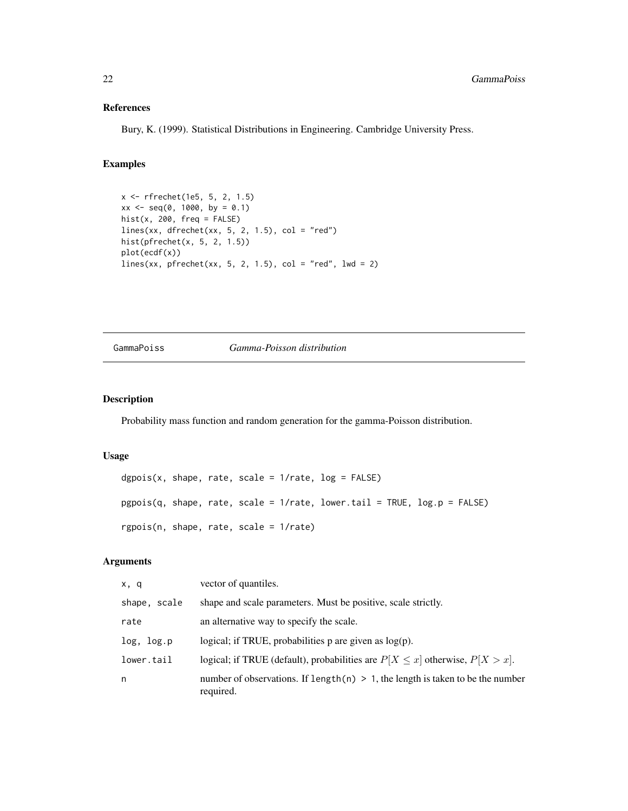#### <span id="page-21-0"></span>References

Bury, K. (1999). Statistical Distributions in Engineering. Cambridge University Press.

#### Examples

```
x <- rfrechet(1e5, 5, 2, 1.5)
xx \le - seq(0, 1000, by = 0.1)
hist(x, 200, freq = FALSE)
lines(xx, dfrechet(xx, 5, 2, 1.5), col = "red")hist(pfrechet(x, 5, 2, 1.5))
plot(ecdf(x))
lines(xx, pfrechet(xx, 5, 2, 1.5), col = "red", 1wd = 2)
```
GammaPoiss *Gamma-Poisson distribution*

#### Description

Probability mass function and random generation for the gamma-Poisson distribution.

#### Usage

```
dgpois(x, shape, rate, scale = 1/rate, log = FALSE)
pgois(q, shape, rate, scale = 1/rate, lowertail = TRUE, <math>log.p = FALSE)rgpois(n, shape, rate, scale = 1/rate)
```
#### Arguments

| x, q         | vector of quantiles.                                                                           |
|--------------|------------------------------------------------------------------------------------------------|
| shape, scale | shape and scale parameters. Must be positive, scale strictly.                                  |
| rate         | an alternative way to specify the scale.                                                       |
| log, log.p   | logical; if TRUE, probabilities $p$ are given as $log(p)$ .                                    |
| lower.tail   | logical; if TRUE (default), probabilities are $P[X \le x]$ otherwise, $P[X > x]$ .             |
| n            | number of observations. If length(n) $> 1$ , the length is taken to be the number<br>required. |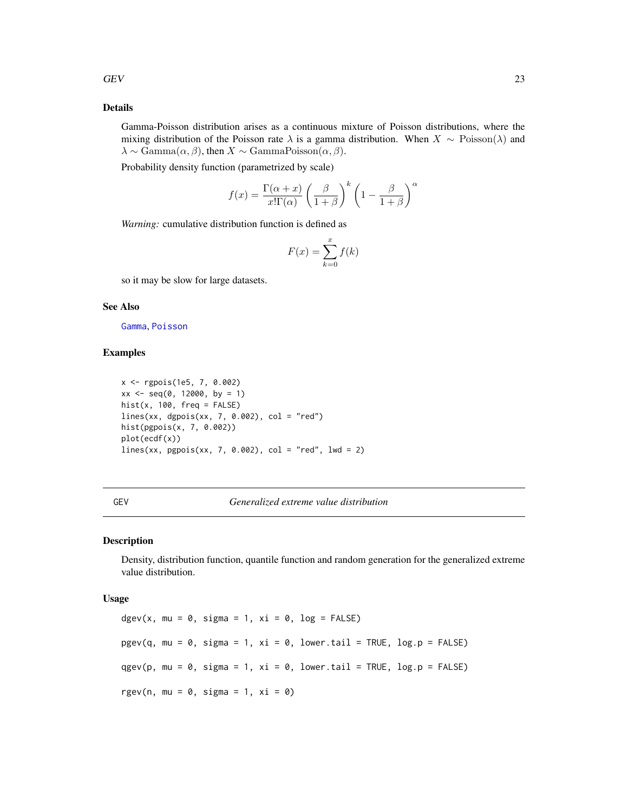#### <span id="page-22-0"></span>Details

Gamma-Poisson distribution arises as a continuous mixture of Poisson distributions, where the mixing distribution of the Poisson rate  $\lambda$  is a gamma distribution. When  $X \sim \text{Poisson}(\lambda)$  and  $\lambda \sim \text{Gamma}(\alpha, \beta)$ , then  $X \sim \text{GammaPoisson}(\alpha, \beta)$ .

Probability density function (parametrized by scale)

$$
f(x) = \frac{\Gamma(\alpha + x)}{x!\Gamma(\alpha)} \left(\frac{\beta}{1+\beta}\right)^k \left(1 - \frac{\beta}{1+\beta}\right)^{\alpha}
$$

*Warning:* cumulative distribution function is defined as

$$
F(x) = \sum_{k=0}^{x} f(k)
$$

so it may be slow for large datasets.

#### See Also

[Gamma](#page-0-0), [Poisson](#page-0-0)

#### Examples

```
x <- rgpois(1e5, 7, 0.002)
xx \leq -\text{seq}(0, 12000, \text{ by } = 1)hist(x, 100, freq = FALSE)
lines(xx, dgpois(xx, 7, 0.002), col = "red")
hist(pgpois(x, 7, 0.002))
plot(ecdf(x))
lines(xx, pgpois(xx, 7, 0.002), col = "red", lwd = 2)
```
#### GEV *Generalized extreme value distribution*

#### Description

Density, distribution function, quantile function and random generation for the generalized extreme value distribution.

#### Usage

dgev(x, mu =  $0$ , sigma = 1, xi =  $0$ , log = FALSE)  $pgev(q, mu = 0, sigma = 1, xi = 0, lower.tail = TRUE, log.p = FALSE)$ qgev(p, mu = 0, sigma = 1, xi = 0, lower.tail = TRUE,  $log.p = FALSE$ ) rgev(n, mu =  $0$ , sigma = 1, xi =  $0$ )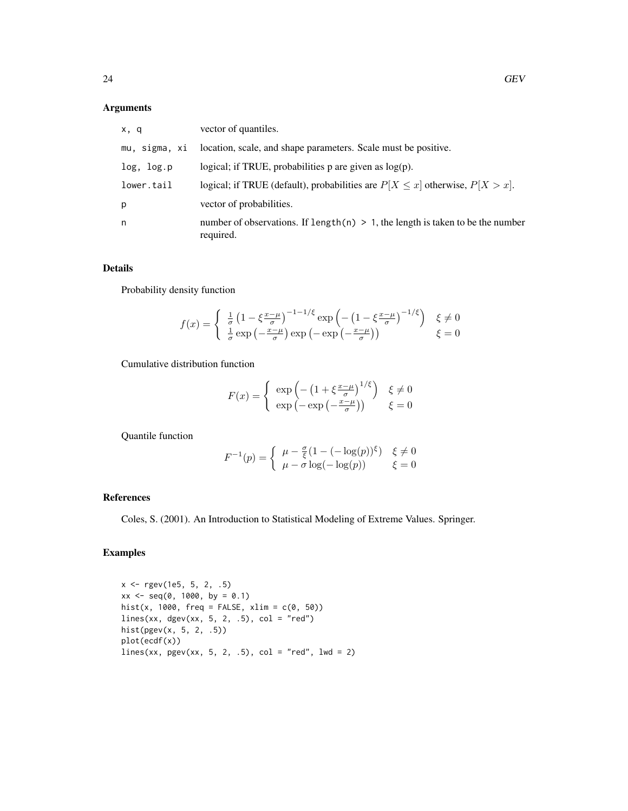#### Arguments

| x, q          | vector of quantiles.                                                                           |
|---------------|------------------------------------------------------------------------------------------------|
| mu, sigma, xi | location, scale, and shape parameters. Scale must be positive.                                 |
| log, log.p    | logical; if TRUE, probabilities $p$ are given as $log(p)$ .                                    |
| lower.tail    | logical; if TRUE (default), probabilities are $P[X \le x]$ otherwise, $P[X > x]$ .             |
| p             | vector of probabilities.                                                                       |
| n             | number of observations. If length(n) $> 1$ , the length is taken to be the number<br>required. |

#### Details

Probability density function

$$
f(x) = \begin{cases} \frac{1}{\sigma} \left( 1 - \xi \frac{x - \mu}{\sigma} \right)^{-1 - 1/\xi} \exp\left( -\left( 1 - \xi \frac{x - \mu}{\sigma} \right)^{-1/\xi} \right) & \xi \neq 0\\ \frac{1}{\sigma} \exp\left( -\frac{x - \mu}{\sigma} \right) \exp\left( -\exp\left( -\frac{x - \mu}{\sigma} \right) \right) & \xi = 0 \end{cases}
$$

Cumulative distribution function

$$
F(x) = \begin{cases} \exp\left(-\left(1 + \xi \frac{x-\mu}{\sigma}\right)^{1/\xi}\right) & \xi \neq 0\\ \exp\left(-\exp\left(-\frac{x-\mu}{\sigma}\right)\right) & \xi = 0 \end{cases}
$$

Quantile function

$$
F^{-1}(p) = \begin{cases} \mu - \frac{\sigma}{\xi} (1 - (-\log(p))^{\xi}) & \xi \neq 0 \\ \mu - \sigma \log(-\log(p)) & \xi = 0 \end{cases}
$$

#### References

Coles, S. (2001). An Introduction to Statistical Modeling of Extreme Values. Springer.

### Examples

x <- rgev(1e5, 5, 2, .5)  $xx \le -$  seq(0, 1000, by = 0.1) hist(x, 1000, freq = FALSE, xlim =  $c(0, 50)$ ) lines(xx, dgev(xx, 5, 2, .5),  $col = "red")$ hist(pgev(x, 5, 2, .5)) plot(ecdf(x))  $lines(xx, pgev(xx, 5, 2, .5), col = "red", lwd = 2)$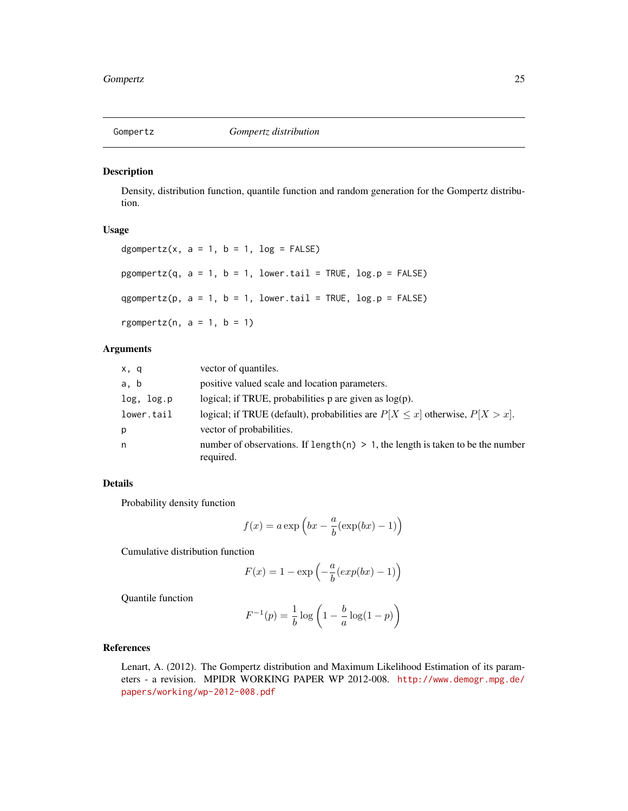<span id="page-24-0"></span>

Density, distribution function, quantile function and random generation for the Gompertz distribution.

#### Usage

```
dgompertz(x, a = 1, b = 1, log = FALSE)
pgompertz(q, a = 1, b = 1, lower.tail = TRUE, log.p = FALSE)
qgompertz(p, a = 1, b = 1, lower.tail = TRUE, log.p = FALSE)
rgompertz(n, a = 1, b = 1)
```
#### Arguments

| x, q       | vector of quantiles.                                                                           |
|------------|------------------------------------------------------------------------------------------------|
| a, b       | positive valued scale and location parameters.                                                 |
| log, log.p | logical; if TRUE, probabilities $p$ are given as $log(p)$ .                                    |
| lower.tail | logical; if TRUE (default), probabilities are $P[X \le x]$ otherwise, $P[X > x]$ .             |
| p          | vector of probabilities.                                                                       |
| n          | number of observations. If length(n) $> 1$ , the length is taken to be the number<br>required. |

#### Details

Probability density function

$$
f(x) = a \exp\left(bx - \frac{a}{b}(\exp(bx) - 1)\right)
$$

Cumulative distribution function

$$
F(x) = 1 - \exp\left(-\frac{a}{b}(exp(bx) - 1)\right)
$$

Quantile function

$$
F^{-1}(p) = \frac{1}{b} \log \left( 1 - \frac{b}{a} \log(1 - p) \right)
$$

#### References

Lenart, A. (2012). The Gompertz distribution and Maximum Likelihood Estimation of its parameters - a revision. MPIDR WORKING PAPER WP 2012-008. [http://www.demogr.mpg.de/](http://www.demogr.mpg.de/papers/working/wp-2012-008.pdf) [papers/working/wp-2012-008.pdf](http://www.demogr.mpg.de/papers/working/wp-2012-008.pdf)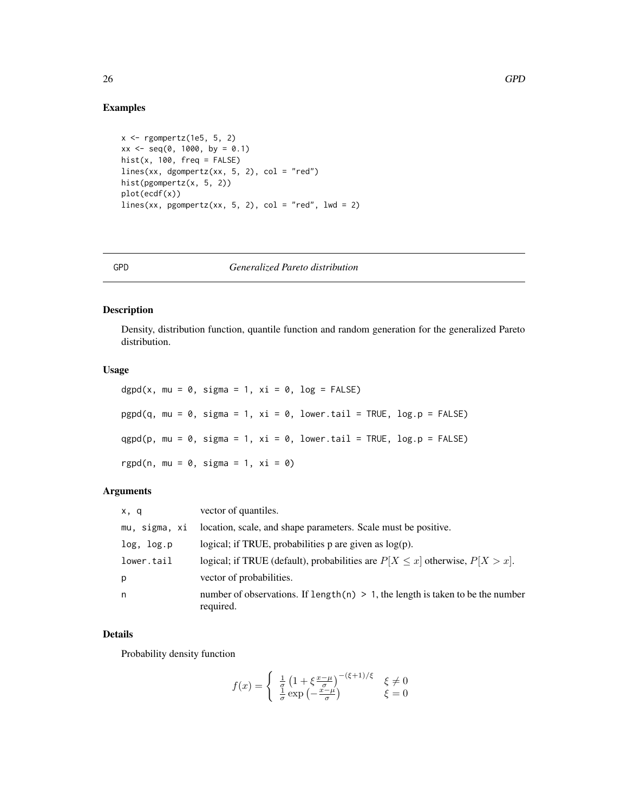#### Examples

```
x <- rgompertz(1e5, 5, 2)
xx \le - seq(0, 1000, by = 0.1)
hist(x, 100, freq = FALSE)
lines(xx, dgompertz(xx, 5, 2), col = "red")hist(pgompertz(x, 5, 2))
plot(ecdf(x))
lines(xx, pgompertz(xx, 5, 2), col = "red", lwd = 2)
```
#### GPD *Generalized Pareto distribution*

#### Description

Density, distribution function, quantile function and random generation for the generalized Pareto distribution.

#### Usage

dgpd(x, mu = 0, sigma = 1,  $xi = 0$ , log = FALSE)  $pgpd(q, mu = 0, sigma = 1, xi = 0, lower.tail = TRUE, log.p = FALSE)$  $qgpd(p, mu = 0, sigma = 1, xi = 0, lower.tail = TRUE, log.p = FALSE)$ rgpd(n, mu =  $0$ , sigma = 1, xi =  $0$ )

#### Arguments

| x, q          | vector of quantiles.                                                                           |
|---------------|------------------------------------------------------------------------------------------------|
| mu, sigma, xi | location, scale, and shape parameters. Scale must be positive.                                 |
| log, log.p    | logical; if TRUE, probabilities $p$ are given as $log(p)$ .                                    |
| lower.tail    | logical; if TRUE (default), probabilities are $P[X \le x]$ otherwise, $P[X > x]$ .             |
| р             | vector of probabilities.                                                                       |
| n             | number of observations. If length(n) $> 1$ , the length is taken to be the number<br>required. |

#### Details

Probability density function

$$
f(x) = \begin{cases} \frac{1}{q} \left( 1 + \xi \frac{x - \mu}{\sigma} \right)^{-(\xi + 1)/\xi} & \xi \neq 0\\ \frac{1}{\sigma} \exp\left( -\frac{x - \mu}{\sigma} \right) & \xi = 0 \end{cases}
$$

<span id="page-25-0"></span>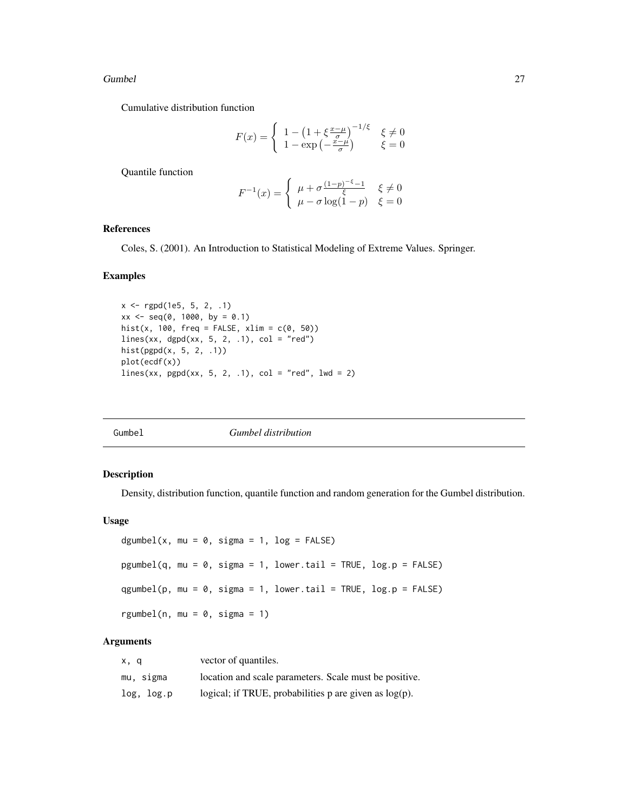#### <span id="page-26-0"></span>Gumbel 27

Cumulative distribution function

$$
F(x) = \begin{cases} 1 - \left(1 + \xi \frac{x - \mu}{\sigma}\right)^{-1/\xi} & \xi \neq 0\\ 1 - \exp\left(-\frac{x - \mu}{\sigma}\right) & \xi = 0 \end{cases}
$$

Quantile function

$$
F^{-1}(x) = \begin{cases} \mu + \sigma \frac{(1-p)^{-\xi} - 1}{\xi} & \xi \neq 0\\ \mu - \sigma \log(1-p) & \xi = 0 \end{cases}
$$

#### References

Coles, S. (2001). An Introduction to Statistical Modeling of Extreme Values. Springer.

#### Examples

```
x <- rgpd(1e5, 5, 2, .1)
xx \le - seq(0, 1000, by = 0.1)
hist(x, 100, freq = FALSE, xlim = c(0, 50))
lines(xx, dgpd(xx, 5, 2, .1), col = "red")hist(pgpd(x, 5, 2, .1))
plot(ecdf(x))
lines(xx, pgpd(xx, 5, 2, .1), col = "red", lwd = 2)
```

| Gumbel | <i>Gumbel distribution</i> |  |
|--------|----------------------------|--|

#### Description

Density, distribution function, quantile function and random generation for the Gumbel distribution.

#### Usage

```
dgumbel(x, mu = 0, sigma = 1, log = FALSE)
pgumbel(q, mu = 0, sigma = 1, lower.tail = TRUE, log.p = FALSE)
qgumbel(p, mu = 0, sigma = 1, lower.tail = TRUE, log.p = FALSE)
rgumbel(n, mu = 0, sigma = 1)
```
#### Arguments

| x, q       | vector of quantiles.                                        |
|------------|-------------------------------------------------------------|
| mu, sigma  | location and scale parameters. Scale must be positive.      |
| log, log.p | logical; if TRUE, probabilities $p$ are given as $log(p)$ . |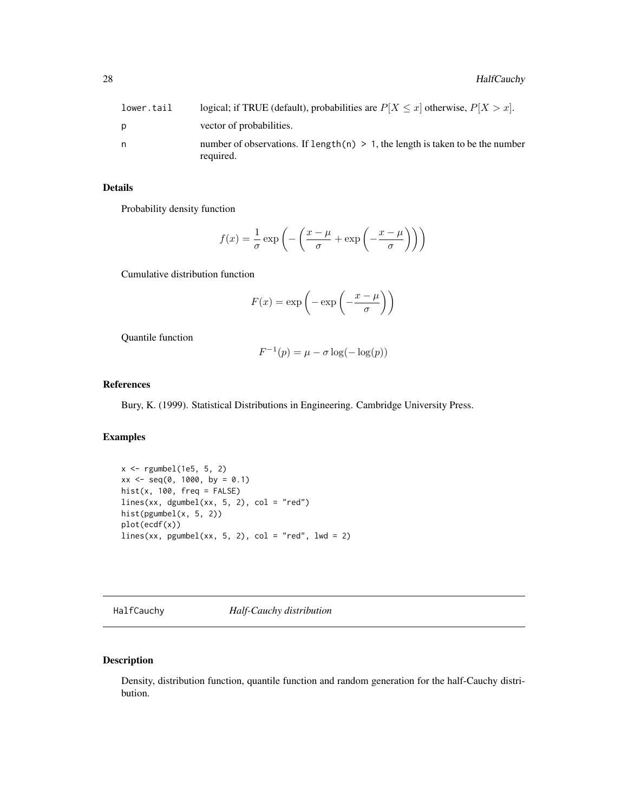<span id="page-27-0"></span>

| lower.tail | logical; if TRUE (default), probabilities are $P[X \le x]$ otherwise, $P[X > x]$ .             |
|------------|------------------------------------------------------------------------------------------------|
| D          | vector of probabilities.                                                                       |
| n          | number of observations. If length(n) $> 1$ , the length is taken to be the number<br>required. |

#### Details

Probability density function

$$
f(x) = \frac{1}{\sigma} \exp\left(-\left(\frac{x-\mu}{\sigma} + \exp\left(-\frac{x-\mu}{\sigma}\right)\right)\right)
$$

Cumulative distribution function

$$
F(x) = \exp\left(-\exp\left(-\frac{x-\mu}{\sigma}\right)\right)
$$

Quantile function

$$
F^{-1}(p) = \mu - \sigma \log(-\log(p))
$$

#### References

Bury, K. (1999). Statistical Distributions in Engineering. Cambridge University Press.

#### Examples

```
x <- rgumbel(1e5, 5, 2)
xx \le - seq(0, 1000, by = 0.1)
hist(x, 100, freq = FALSE)
lines(xx, dgumbel(xx, 5, 2), col = "red")
hist(pgumbel(x, 5, 2))
plot(ecdf(x))
lines(xx, pgumbel(xx, 5, 2), col = "red", lwd = 2)
```
<span id="page-27-1"></span>HalfCauchy *Half-Cauchy distribution*

#### Description

Density, distribution function, quantile function and random generation for the half-Cauchy distribution.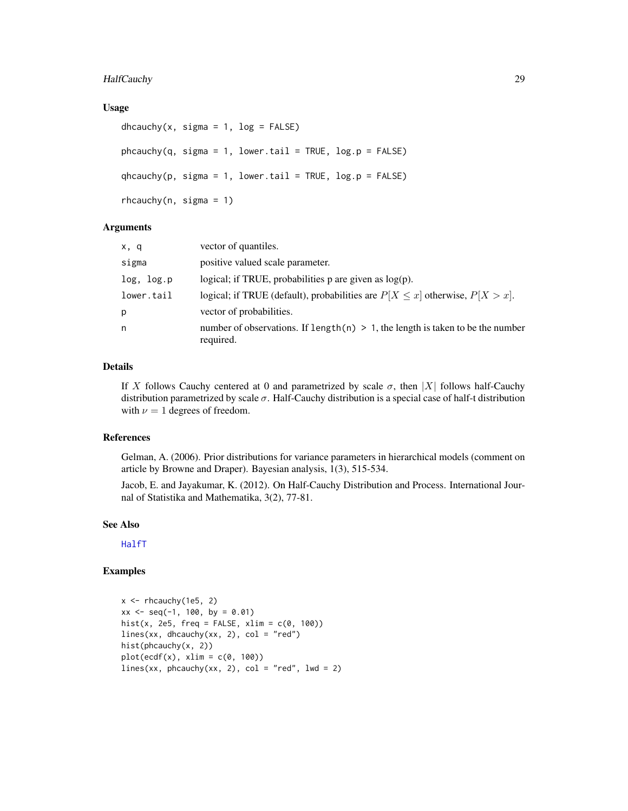#### <span id="page-28-0"></span>HalfCauchy 29

#### Usage

```
dhcauchy(x, sigma = 1, log = FALSE)
phcauchy(q, sigma = 1, lower.tail = TRUE, log.p = FALSE)qhcauchy(p, sigma = 1, lower.tail = TRUE, log.p = FALSE)
rhcauchy(n, sigma = 1)
```
#### **Arguments**

| x, q       | vector of quantiles.                                                                           |
|------------|------------------------------------------------------------------------------------------------|
| sigma      | positive valued scale parameter.                                                               |
| log, log.p | logical; if TRUE, probabilities $p$ are given as $log(p)$ .                                    |
| lower.tail | logical; if TRUE (default), probabilities are $P[X \le x]$ otherwise, $P[X > x]$ .             |
| р          | vector of probabilities.                                                                       |
| n          | number of observations. If length(n) $> 1$ , the length is taken to be the number<br>required. |

#### Details

If X follows Cauchy centered at 0 and parametrized by scale  $\sigma$ , then |X| follows half-Cauchy distribution parametrized by scale  $\sigma$ . Half-Cauchy distribution is a special case of half-t distribution with  $\nu = 1$  degrees of freedom.

#### References

Gelman, A. (2006). Prior distributions for variance parameters in hierarchical models (comment on article by Browne and Draper). Bayesian analysis, 1(3), 515-534.

Jacob, E. and Jayakumar, K. (2012). On Half-Cauchy Distribution and Process. International Journal of Statistika and Mathematika, 3(2), 77-81.

#### See Also

[HalfT](#page-30-1)

#### Examples

```
x \leftarrow rhcauchy(1e5, 2)
xx \le - seq(-1, 100, by = 0.01)
hist(x, 2e5, freq = FALSE, xlim = c(0, 100))
lines(xx, dhcauchy(xx, 2), col = "red")
hist(phcauchy(x, 2))
plot(ecdf(x), xlim = c(0, 100))lines(xx, phcauchy(xx, 2), col = "red", lwd = 2)
```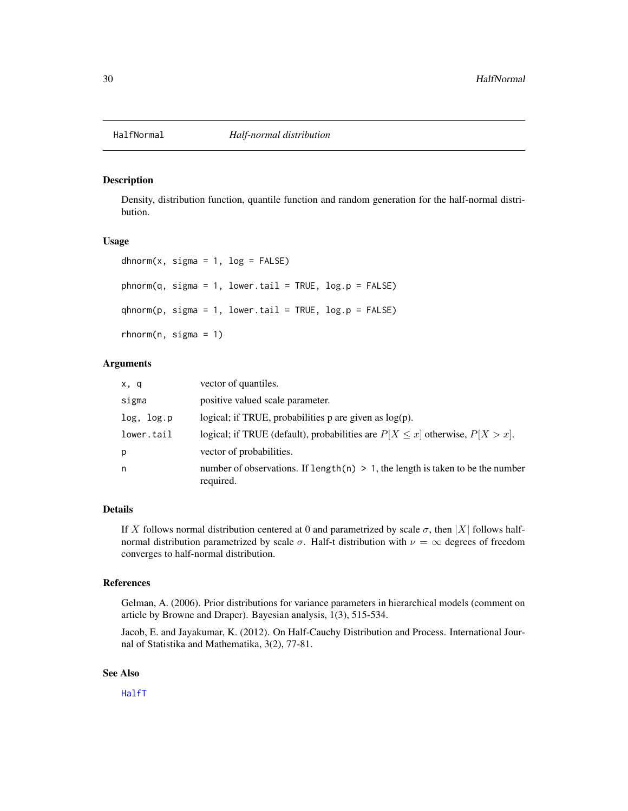<span id="page-29-1"></span><span id="page-29-0"></span>

Density, distribution function, quantile function and random generation for the half-normal distribution.

#### Usage

```
dhnorm(x, \text{sigma} = 1, \text{log} = \text{FALSE})phnorm(q, sigma = 1, lowertail = TRUE, log.p = FALSE)qhnorm(p, sigma = 1, lowertail = TRUE, <math>log.p = FALSE)
rhnorm(n, \text{sigma} = 1)
```
#### Arguments

| x, q       | vector of quantiles.                                                                           |
|------------|------------------------------------------------------------------------------------------------|
| sigma      | positive valued scale parameter.                                                               |
| log, log.p | logical; if TRUE, probabilities $p$ are given as $log(p)$ .                                    |
| lower.tail | logical; if TRUE (default), probabilities are $P[X \le x]$ otherwise, $P[X > x]$ .             |
| р          | vector of probabilities.                                                                       |
| n          | number of observations. If length(n) $> 1$ , the length is taken to be the number<br>required. |

#### Details

If X follows normal distribution centered at 0 and parametrized by scale  $\sigma$ , then |X| follows halfnormal distribution parametrized by scale σ. Half-t distribution with  $ν = ∞$  degrees of freedom converges to half-normal distribution.

#### References

Gelman, A. (2006). Prior distributions for variance parameters in hierarchical models (comment on article by Browne and Draper). Bayesian analysis, 1(3), 515-534.

Jacob, E. and Jayakumar, K. (2012). On Half-Cauchy Distribution and Process. International Journal of Statistika and Mathematika, 3(2), 77-81.

#### See Also

[HalfT](#page-30-1)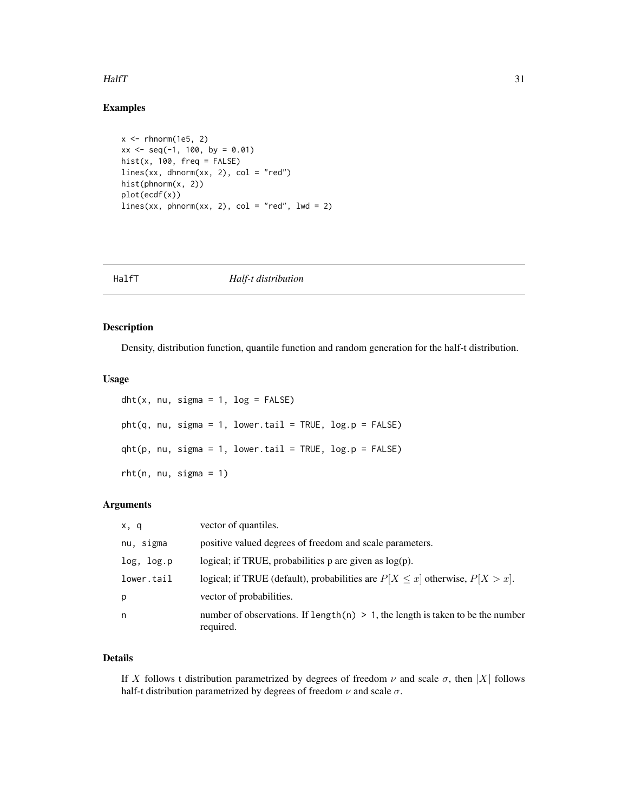#### <span id="page-30-0"></span> $H\llap{a}$  31

#### Examples

```
x <- rhnorm(1e5, 2)
xx \le - seq(-1, 100, by = 0.01)
hist(x, 100, freq = FALSE)lines(xx, dhnorm(xx, 2), col = "red")hist(phnorm(x, 2))
plot(ecdf(x))
lines(xx, phonorm(xx, 2), col = "red", lwd = 2)
```
<span id="page-30-1"></span>HalfT *Half-t distribution*

#### Description

Density, distribution function, quantile function and random generation for the half-t distribution.

#### Usage

```
dht(x, nu, sigma = 1, log = FALSE)plt(q, nu, sigma = 1, lower.tail = TRUE, log.p = FALSE)qht(p, nu, sigma = 1, lower.tail = TRUE, log.p = FALSE)rht(n, nu, sigma = 1)
```
#### Arguments

| x, q       | vector of quantiles.                                                                           |
|------------|------------------------------------------------------------------------------------------------|
| nu, sigma  | positive valued degrees of freedom and scale parameters.                                       |
| log, log.p | logical; if TRUE, probabilities $p$ are given as $log(p)$ .                                    |
| lower.tail | logical; if TRUE (default), probabilities are $P[X \le x]$ otherwise, $P[X > x]$ .             |
| p          | vector of probabilities.                                                                       |
| n          | number of observations. If length(n) $> 1$ , the length is taken to be the number<br>required. |

#### Details

If X follows t distribution parametrized by degrees of freedom  $\nu$  and scale  $\sigma$ , then |X| follows half-t distribution parametrized by degrees of freedom  $\nu$  and scale  $\sigma$ .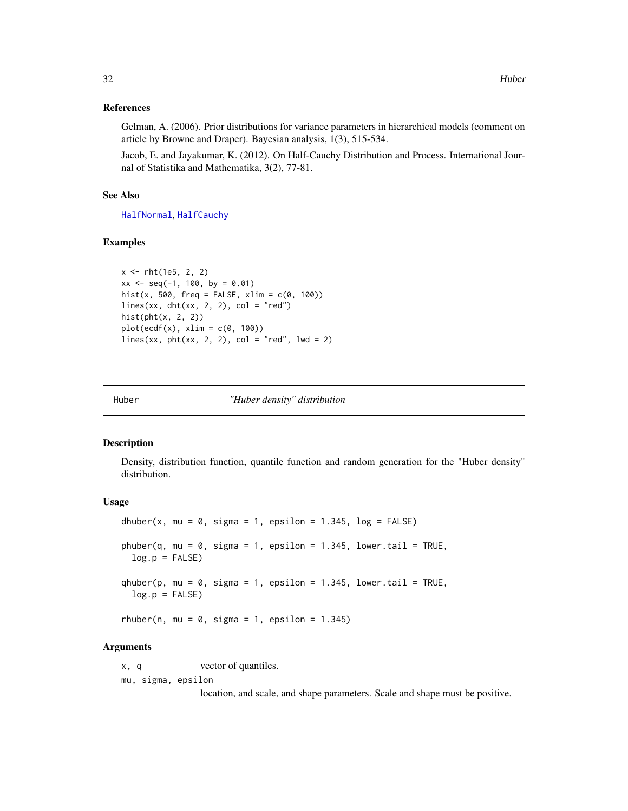#### <span id="page-31-0"></span>References

Gelman, A. (2006). Prior distributions for variance parameters in hierarchical models (comment on article by Browne and Draper). Bayesian analysis, 1(3), 515-534.

Jacob, E. and Jayakumar, K. (2012). On Half-Cauchy Distribution and Process. International Journal of Statistika and Mathematika, 3(2), 77-81.

#### See Also

[HalfNormal](#page-29-1), [HalfCauchy](#page-27-1)

#### Examples

```
x <- rht(1e5, 2, 2)
xx \leq -\text{seq}(-1, 100, \text{ by } = 0.01)hist(x, 500, freq = FALSE, xlim = c(0, 100))
lines(xx, dht(xx, 2, 2), col = "red")hist(\text{pht}(x, 2, 2))plot(ecdf(x), xlim = c(0, 100))lines(xx, pht(xx, 2, 2), col = "red", lwd = 2)
```
Huber *"Huber density" distribution*

#### Description

Density, distribution function, quantile function and random generation for the "Huber density" distribution.

#### Usage

```
dhuber(x, mu = 0, sigma = 1, epsilon = 1.345, log = FALSE)
phuber(q, mu = 0, sigma = 1, epsilon = 1.345, lower.tail = TRUE,
  log.p = FALSE)
qhuber(p, mu = 0, sigma = 1, epsilon = 1.345, lower.tail = TRUE,
 log.p = FALSE)
rhuber(n, mu = 0, sigma = 1, epsilon = 1.345)
```
#### Arguments

x, q vector of quantiles. mu, sigma, epsilon

location, and scale, and shape parameters. Scale and shape must be positive.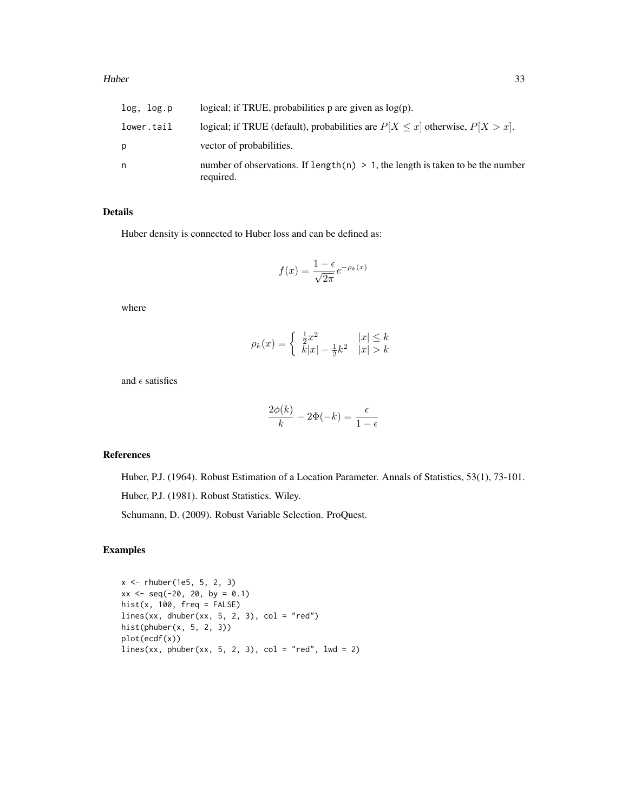| log, log.p | logical; if TRUE, probabilities $p$ are given as $log(p)$ .                                    |
|------------|------------------------------------------------------------------------------------------------|
| lower.tail | logical; if TRUE (default), probabilities are $P[X \le x]$ otherwise, $P[X > x]$ .             |
| р          | vector of probabilities.                                                                       |
| n          | number of observations. If length(n) $> 1$ , the length is taken to be the number<br>required. |

#### Details

Huber density is connected to Huber loss and can be defined as:

$$
f(x) = \frac{1 - \epsilon}{\sqrt{2\pi}} e^{-\rho_k(x)}
$$

where

$$
\rho_k(x) = \begin{cases} \frac{1}{2}x^2 & |x| \le k \\ k|x| - \frac{1}{2}k^2 & |x| > k \end{cases}
$$

and  $\epsilon$  satisfies

$$
\frac{2\phi(k)}{k} - 2\Phi(-k) = \frac{\epsilon}{1 - \epsilon}
$$

#### References

Huber, P.J. (1964). Robust Estimation of a Location Parameter. Annals of Statistics, 53(1), 73-101.

Huber, P.J. (1981). Robust Statistics. Wiley.

Schumann, D. (2009). Robust Variable Selection. ProQuest.

#### Examples

x <- rhuber(1e5, 5, 2, 3)  $xx \le -$  seq(-20, 20, by = 0.1) hist(x,  $100$ ,  $freq = FALSE$ ) lines(xx, dhuber(xx, 5, 2, 3), col = "red") hist(phuber $(x, 5, 2, 3)$ ) plot(ecdf(x))  $lines(xx, phuber(xx, 5, 2, 3), col = "red", lwd = 2)$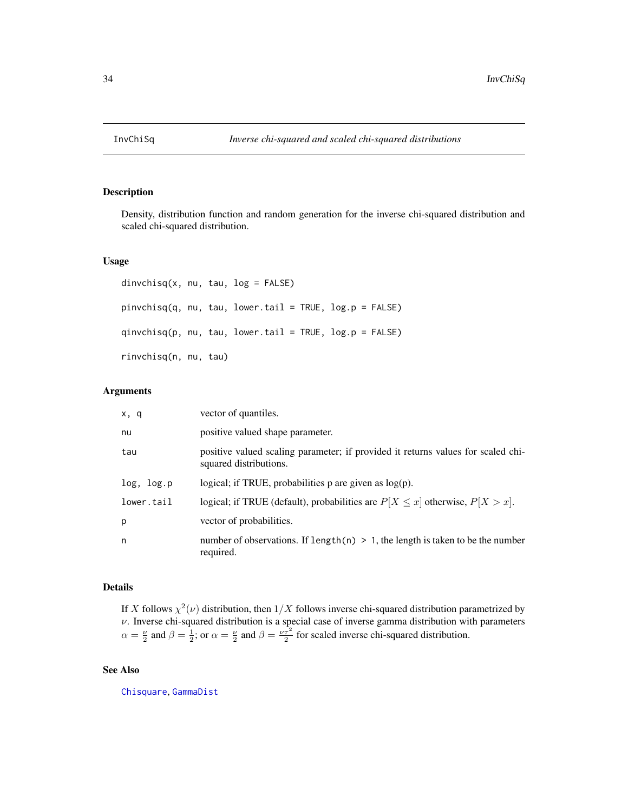<span id="page-33-0"></span>

Density, distribution function and random generation for the inverse chi-squared distribution and scaled chi-squared distribution.

#### Usage

```
divchisq(x, nu, tau, log = FALSE)pinvchisq(q, nu, tau, lower.tail = TRUE, log.p = FALSE)
qinvchisq(p, nu, tau, lower.tail = TRUE, log.p = FALSE)
rinvchisq(n, nu, tau)
```
#### Arguments

| x, q       | vector of quantiles.                                                                                       |
|------------|------------------------------------------------------------------------------------------------------------|
| nu         | positive valued shape parameter.                                                                           |
| tau        | positive valued scaling parameter; if provided it returns values for scaled chi-<br>squared distributions. |
| log, log.p | logical; if TRUE, probabilities $p$ are given as $log(p)$ .                                                |
| lower.tail | logical; if TRUE (default), probabilities are $P[X \le x]$ otherwise, $P[X > x]$ .                         |
| p          | vector of probabilities.                                                                                   |
| n          | number of observations. If length(n) $> 1$ , the length is taken to be the number<br>required.             |

#### Details

If X follows  $\chi^2(\nu)$  distribution, then  $1/X$  follows inverse chi-squared distribution parametrized by  $\nu$ . Inverse chi-squared distribution is a special case of inverse gamma distribution with parameters  $\alpha = \frac{\nu}{2}$  and  $\beta = \frac{1}{2}$ ; or  $\alpha = \frac{\nu}{2}$  and  $\beta = \frac{\nu \tau^2}{2}$  for scaled inverse chi-squared distribution.

#### See Also

[Chisquare](#page-0-0), [GammaDist](#page-0-0)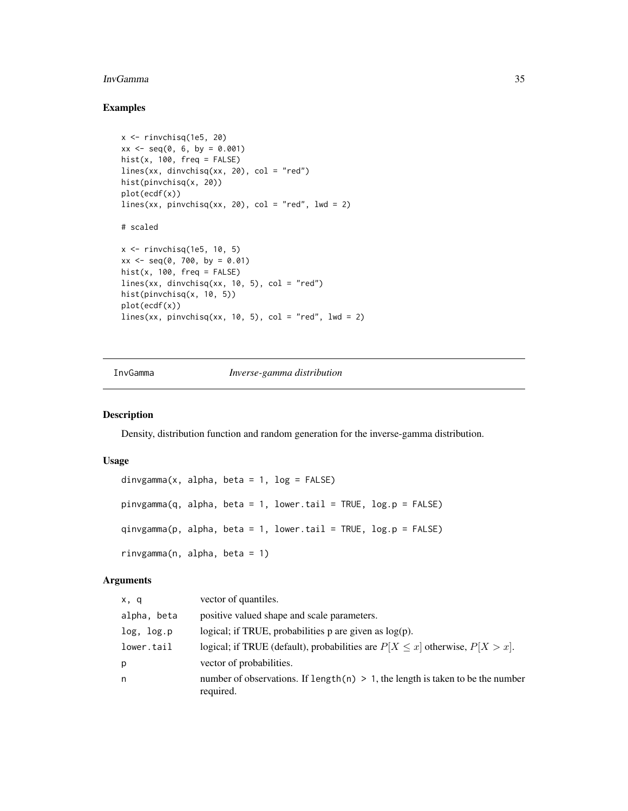#### <span id="page-34-0"></span>InvGamma 35

#### Examples

```
x \le- rinvchisq(1e5, 20)
xx \le - seq(0, 6, by = 0.001)
hist(x, 100, freq = FALSE)
lines(xx, dinvchisq(xx, 20), col = "red")
hist(pinvchisq(x, 20))
plot(ecdf(x))
lines(xx, pinvchisq(xx, 20), col = "red", lwd = 2)
# scaled
x <- rinvchisq(1e5, 10, 5)
xx \le - seq(0, 700, by = 0.01)
hist(x, 100, freq = FALSE)
lines(xx, dinvchisq(xx, 10, 5), col = "red")
hist(pinvchisq(x, 10, 5))
plot(ecdf(x))
lines(xx, pinvchisq(xx, 10, 5), col = "red", 1wd = 2)
```
InvGamma *Inverse-gamma distribution*

#### Description

Density, distribution function and random generation for the inverse-gamma distribution.

#### Usage

```
dinvgamma(x, alpha, beta = 1, log = FALSE)
pinvgamma(q, alpha, beta = 1, lower.tail = TRUE, log.p = FALSE)
qinvgamma(p, alpha, beta = 1, lower.tail = TRUE, log.p = FALSE)
rinvgamma(n, alpha, beta = 1)
```
#### Arguments

| x, q        | vector of quantiles.                                                                           |
|-------------|------------------------------------------------------------------------------------------------|
| alpha, beta | positive valued shape and scale parameters.                                                    |
| log, log.p  | logical; if TRUE, probabilities $p$ are given as $log(p)$ .                                    |
| lower.tail  | logical; if TRUE (default), probabilities are $P[X \le x]$ otherwise, $P[X > x]$ .             |
| р           | vector of probabilities.                                                                       |
| n           | number of observations. If length(n) $> 1$ , the length is taken to be the number<br>required. |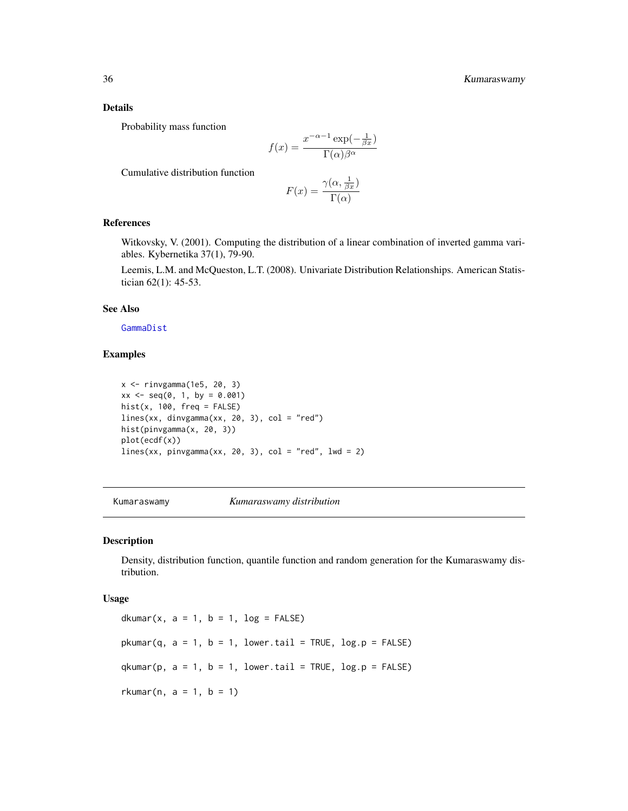#### Details

Probability mass function

$$
f(x) = \frac{x^{-\alpha - 1} \exp(-\frac{1}{\beta x})}{\Gamma(\alpha)\beta^{\alpha}}
$$

Cumulative distribution function

$$
F(x) = \frac{\gamma(\alpha, \frac{1}{\beta x})}{\Gamma(\alpha)}
$$

#### References

Witkovsky, V. (2001). Computing the distribution of a linear combination of inverted gamma variables. Kybernetika 37(1), 79-90.

Leemis, L.M. and McQueston, L.T. (2008). Univariate Distribution Relationships. American Statistician 62(1): 45-53.

#### See Also

[GammaDist](#page-0-0)

#### Examples

```
x <- rinvgamma(1e5, 20, 3)
xx \le - seq(0, 1, by = 0.001)
hist(x, 100, freq = FALSE)
lines(xx, dinvgamma(xx, 20, 3), col = "red")hist(pinvgamma(x, 20, 3))
plot(ecdf(x))
lines(xx, pinvgamma(xx, 20, 3), col = "red", lwd = 2)
```
Kumaraswamy *Kumaraswamy distribution*

#### Description

Density, distribution function, quantile function and random generation for the Kumaraswamy distribution.

#### Usage

dkumar(x,  $a = 1$ ,  $b = 1$ ,  $log = FALSE$ )  $pkumar(q, a = 1, b = 1, lower.tail = TRUE, log.p = FALSE)$  $q$ kumar(p,  $a = 1$ ,  $b = 1$ , lower.tail = TRUE, log.p = FALSE) rkumar(n,  $a = 1$ ,  $b = 1$ )

<span id="page-35-0"></span>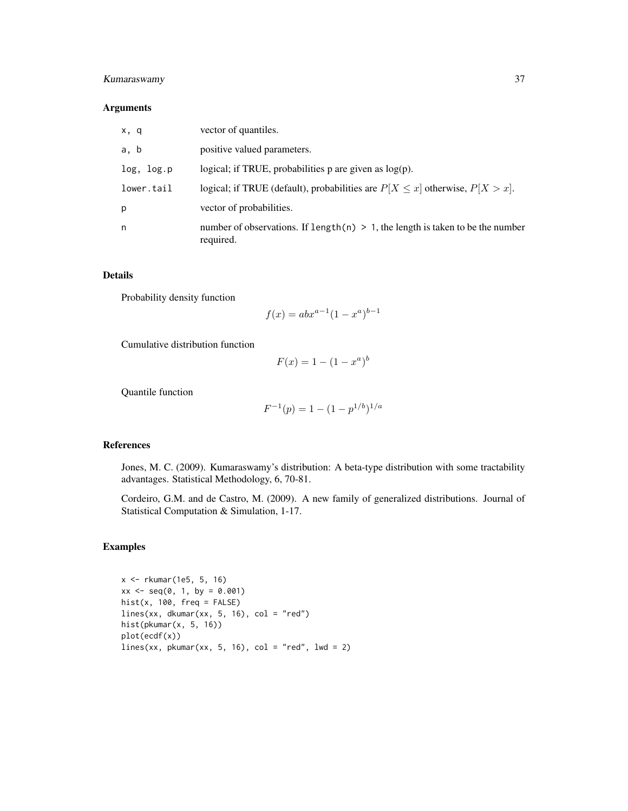#### Kumaraswamy 37

#### Arguments

| x, q       | vector of quantiles.                                                                           |
|------------|------------------------------------------------------------------------------------------------|
| a, b       | positive valued parameters.                                                                    |
| log, log.p | logical; if TRUE, probabilities $p$ are given as $log(p)$ .                                    |
| lower.tail | logical; if TRUE (default), probabilities are $P[X \le x]$ otherwise, $P[X > x]$ .             |
| p          | vector of probabilities.                                                                       |
| n          | number of observations. If length(n) $> 1$ , the length is taken to be the number<br>required. |

#### Details

Probability density function

$$
f(x) = abx^{a-1}(1 - x^a)^{b-1}
$$

Cumulative distribution function

$$
F(x) = 1 - (1 - x^a)^b
$$

Quantile function

$$
F^{-1}(p) = 1 - (1 - p^{1/b})^{1/a}
$$

#### References

Jones, M. C. (2009). Kumaraswamy's distribution: A beta-type distribution with some tractability advantages. Statistical Methodology, 6, 70-81.

Cordeiro, G.M. and de Castro, M. (2009). A new family of generalized distributions. Journal of Statistical Computation & Simulation, 1-17.

#### Examples

x <- rkumar(1e5, 5, 16)  $xx \le -$  seq(0, 1, by = 0.001) hist(x,  $100$ ,  $freq = FALSE$ )  $lines(xx, dkumar(xx, 5, 16), col = "red")$ hist(pkumar(x, 5, 16)) plot(ecdf(x)) lines(xx, pkumar(xx, 5, 16), col = "red", lwd = 2)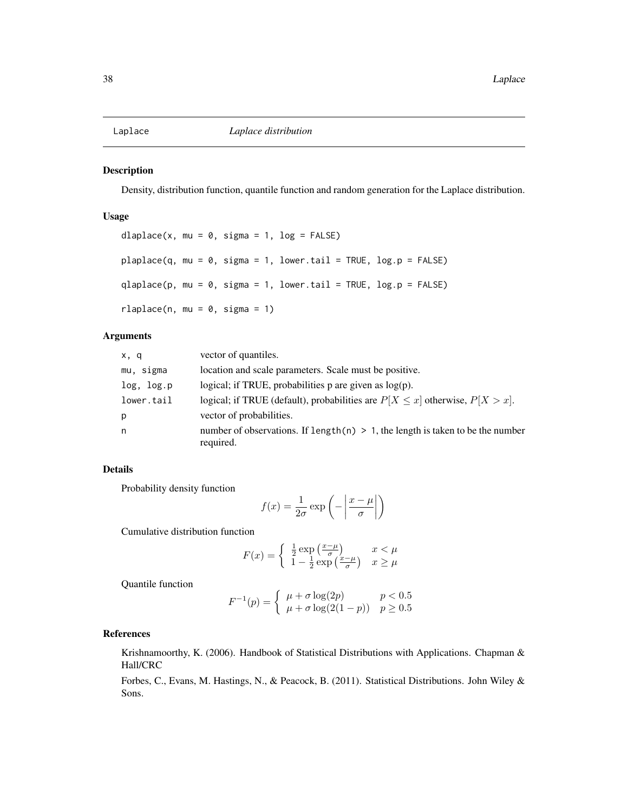<span id="page-37-0"></span>

Density, distribution function, quantile function and random generation for the Laplace distribution.

#### Usage

```
dlaplace(x, mu = 0, sigma = 1, log = FALSE)
plaplace(q, mu = 0, sigma = 1, lower[avalental] = TRUE, <math>log.p = FALSE)
qlaplace(p, mu = 0, sigma = 1, lower.tail = TRUE, log.p = FALSE)rlaplace(n, mu = 0, sigma = 1)
```
#### Arguments

| x, q       | vector of quantiles.                                                                           |
|------------|------------------------------------------------------------------------------------------------|
| mu, sigma  | location and scale parameters. Scale must be positive.                                         |
| log, log.p | logical; if TRUE, probabilities $p$ are given as $log(p)$ .                                    |
| lower.tail | logical; if TRUE (default), probabilities are $P[X \le x]$ otherwise, $P[X > x]$ .             |
| p          | vector of probabilities.                                                                       |
| n          | number of observations. If length(n) $> 1$ , the length is taken to be the number<br>required. |

#### Details

Probability density function

$$
f(x) = \frac{1}{2\sigma} \exp\left(-\left|\frac{x-\mu}{\sigma}\right|\right)
$$

Cumulative distribution function

$$
F(x) = \begin{cases} \frac{1}{2} \exp\left(\frac{x-\mu}{\sigma}\right) & x < \mu\\ 1 - \frac{1}{2} \exp\left(\frac{x-\mu}{\sigma}\right) & x \ge \mu \end{cases}
$$

Quantile function

$$
F^{-1}(p) = \begin{cases} \mu + \sigma \log(2p) & p < 0.5\\ \mu + \sigma \log(2(1-p)) & p \ge 0.5 \end{cases}
$$

#### References

Krishnamoorthy, K. (2006). Handbook of Statistical Distributions with Applications. Chapman & Hall/CRC

Forbes, C., Evans, M. Hastings, N., & Peacock, B. (2011). Statistical Distributions. John Wiley & Sons.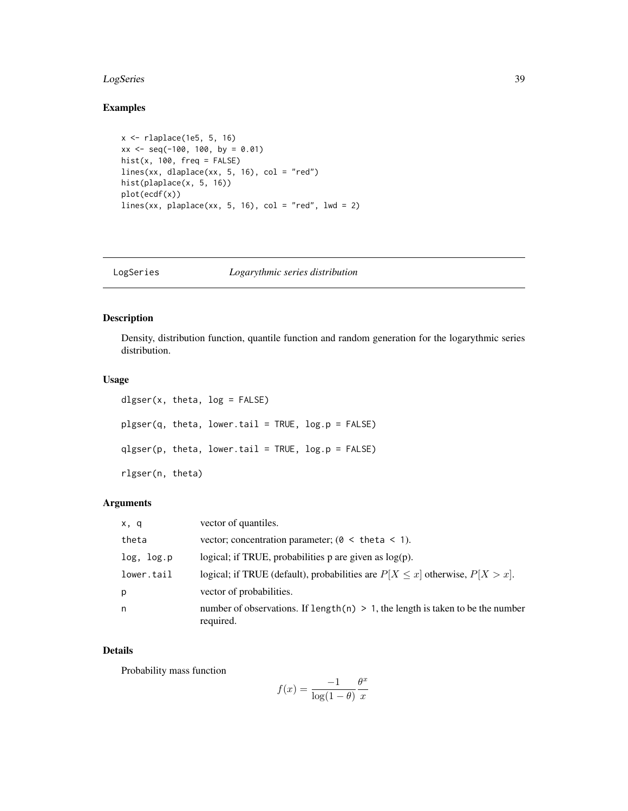#### <span id="page-38-0"></span>LogSeries 39

#### Examples

```
x <- rlaplace(1e5, 5, 16)
xx \le - seq(-100, 100, by = 0.01)
hist(x, 100, freq = FALSE)
lines(xx, dlaplace(xx, 5, 16), col = "red")hist(plaplace(x, 5, 16))
plot(ecdf(x))
lines(xx, plaplace(xx, 5, 16), col = "red", lwd = 2)
```
LogSeries *Logarythmic series distribution*

#### Description

Density, distribution function, quantile function and random generation for the logarythmic series distribution.

#### Usage

```
dlgser(x, theta, log = FALSE)plgser(q, theta, lower.tail = TRUE, log.p = FALSE)
qlgser(p, theta, lower.tail = TRUE, log.p = FALSE)
rlgser(n, theta)
```
#### Arguments

| x, q       | vector of quantiles.                                                                           |
|------------|------------------------------------------------------------------------------------------------|
| theta      | vector; concentration parameter; ( $\theta$ < theta < 1).                                      |
| log, log.p | logical; if TRUE, probabilities $p$ are given as $log(p)$ .                                    |
| lower.tail | logical; if TRUE (default), probabilities are $P[X \le x]$ otherwise, $P[X > x]$ .             |
| p          | vector of probabilities.                                                                       |
| n          | number of observations. If length(n) $> 1$ , the length is taken to be the number<br>required. |

#### Details

Probability mass function

$$
f(x) = \frac{-1}{\log(1-\theta)} \frac{\theta^x}{x}
$$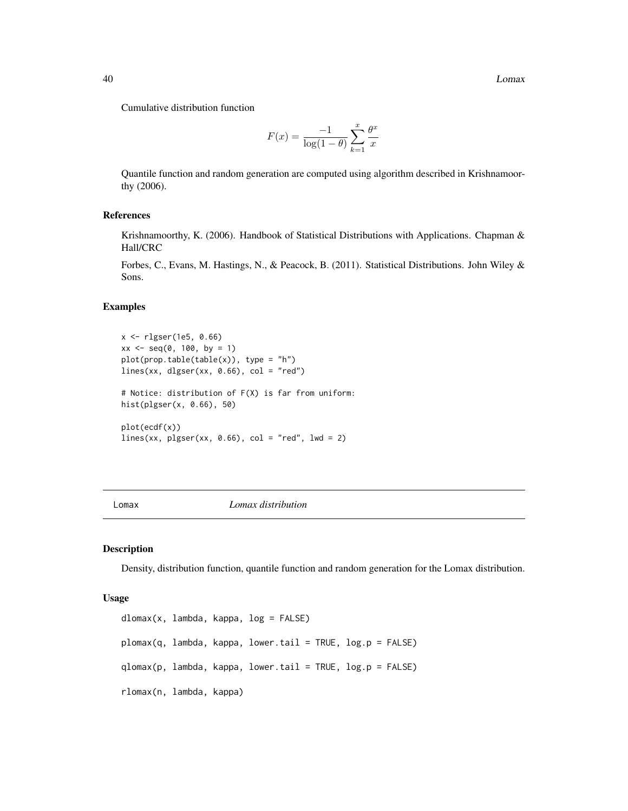<span id="page-39-0"></span>Cumulative distribution function

$$
F(x) = \frac{-1}{\log(1-\theta)} \sum_{k=1}^{x} \frac{\theta^x}{x}
$$

Quantile function and random generation are computed using algorithm described in Krishnamoorthy (2006).

#### References

Krishnamoorthy, K. (2006). Handbook of Statistical Distributions with Applications. Chapman & Hall/CRC

Forbes, C., Evans, M. Hastings, N., & Peacock, B. (2011). Statistical Distributions. John Wiley & Sons.

#### Examples

```
x <- rlgser(1e5, 0.66)
xx \le - seq(0, 100, by = 1)
plot(prop.table(table(x)), type = "h")lines(xx, dlgser(xx, 0.66), col = "red")
# Notice: distribution of F(X) is far from uniform:
hist(plgser(x, 0.66), 50)
plot(ecdf(x))
lines(xx, plgser(xx, 0.66), col = "red", lwd = 2)
```
#### Lomax *Lomax distribution*

#### Description

Density, distribution function, quantile function and random generation for the Lomax distribution.

#### Usage

```
dlomax(x, lambda, kappa, log = FALSE)
plomax(q, lambda, kappa, lower.tail = TRUE, log.p = FALSE)
qlomax(p, lambda, kappa, lower.tail = TRUE, log.p = FALSE)
rlomax(n, lambda, kappa)
```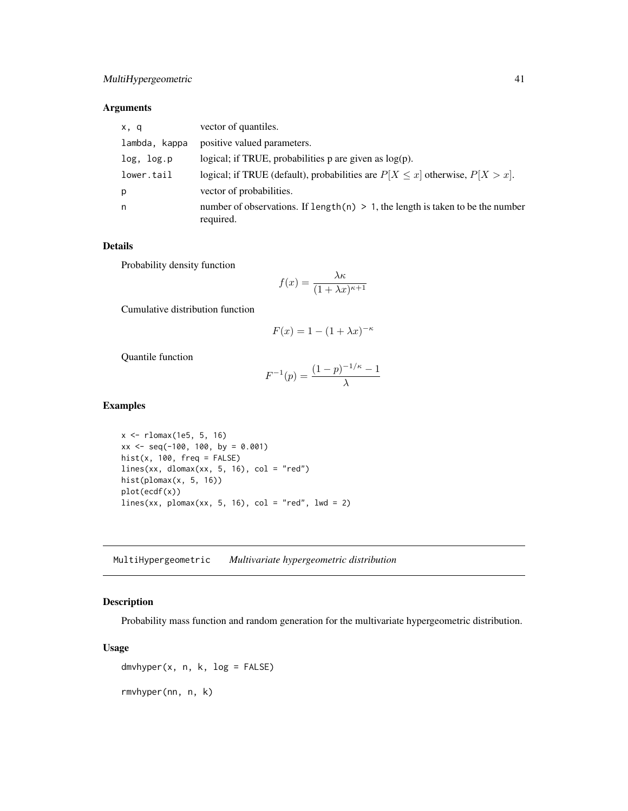#### <span id="page-40-0"></span>Arguments

| x, q          | vector of quantiles.                                                                           |
|---------------|------------------------------------------------------------------------------------------------|
| lambda, kappa | positive valued parameters.                                                                    |
| log, log.p    | logical; if TRUE, probabilities $p$ are given as $log(p)$ .                                    |
| lower.tail    | logical; if TRUE (default), probabilities are $P[X \le x]$ otherwise, $P[X > x]$ .             |
| р             | vector of probabilities.                                                                       |
| n             | number of observations. If length(n) $> 1$ , the length is taken to be the number<br>required. |

#### Details

Probability density function

$$
f(x) = \frac{\lambda \kappa}{(1 + \lambda x)^{\kappa + 1}}
$$

Cumulative distribution function

$$
F(x) = 1 - (1 + \lambda x)^{-\kappa}
$$

Quantile function

$$
F^{-1}(p) = \frac{(1-p)^{-1/\kappa} - 1}{\lambda}
$$

#### Examples

x <- rlomax(1e5, 5, 16)  $xx \le -$  seq(-100, 100, by = 0.001) hist(x,  $100$ ,  $freq = FALSE$ )  $lines(xx, dlomax(xx, 5, 16), col = "red")$ hist(plomax(x, 5, 16)) plot(ecdf(x)) lines(xx, plomax(xx, 5, 16), col = "red", lwd = 2)

MultiHypergeometric *Multivariate hypergeometric distribution*

#### Description

Probability mass function and random generation for the multivariate hypergeometric distribution.

#### Usage

 $dmvhyper(x, n, k, log = FALSE)$ 

rmvhyper(nn, n, k)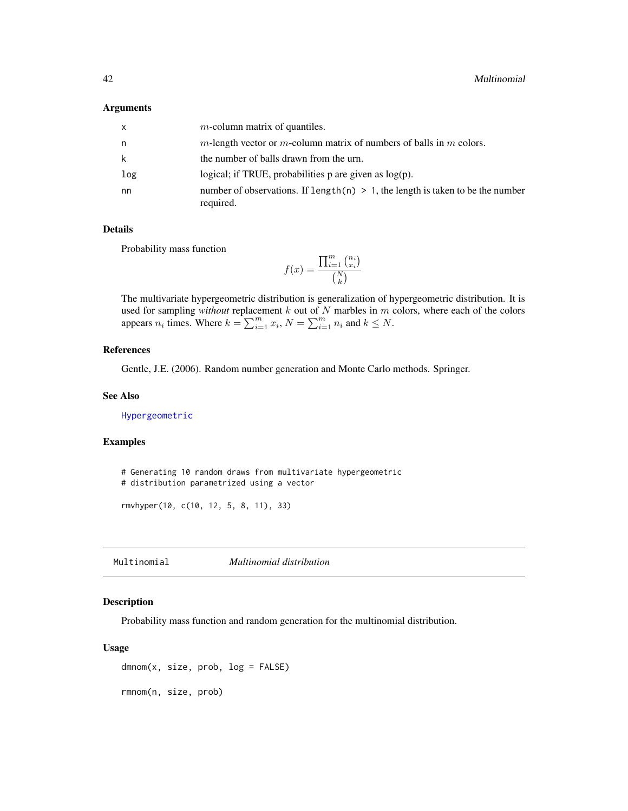#### <span id="page-41-0"></span>Arguments

| x   | $m$ -column matrix of quantiles.                                                               |
|-----|------------------------------------------------------------------------------------------------|
| n   | m-length vector or m-column matrix of numbers of balls in m colors.                            |
| k   | the number of balls drawn from the urn.                                                        |
| log | logical; if TRUE, probabilities $p$ are given as $log(p)$ .                                    |
| nn  | number of observations. If length(n) $> 1$ , the length is taken to be the number<br>required. |

#### Details

Probability mass function

 $f(x) =$  $\prod_{i=1}^m \binom{n_i}{x_i}$  $\binom{N}{k}$ 

The multivariate hypergeometric distribution is generalization of hypergeometric distribution. It is used for sampling *without* replacement  $k$  out of  $N$  marbles in  $m$  colors, where each of the colors appears  $n_i$  times. Where  $k = \sum_{i=1}^m x_i$ ,  $N = \sum_{i=1}^m n_i$  and  $k \leq N$ .

#### References

Gentle, J.E. (2006). Random number generation and Monte Carlo methods. Springer.

#### See Also

[Hypergeometric](#page-0-0)

#### Examples

# Generating 10 random draws from multivariate hypergeometric # distribution parametrized using a vector

rmvhyper(10, c(10, 12, 5, 8, 11), 33)

<span id="page-41-1"></span>Multinomial *Multinomial distribution*

#### Description

Probability mass function and random generation for the multinomial distribution.

#### Usage

 $d$ mnom $(x, size, prob, log = FALSE)$ 

rmnom(n, size, prob)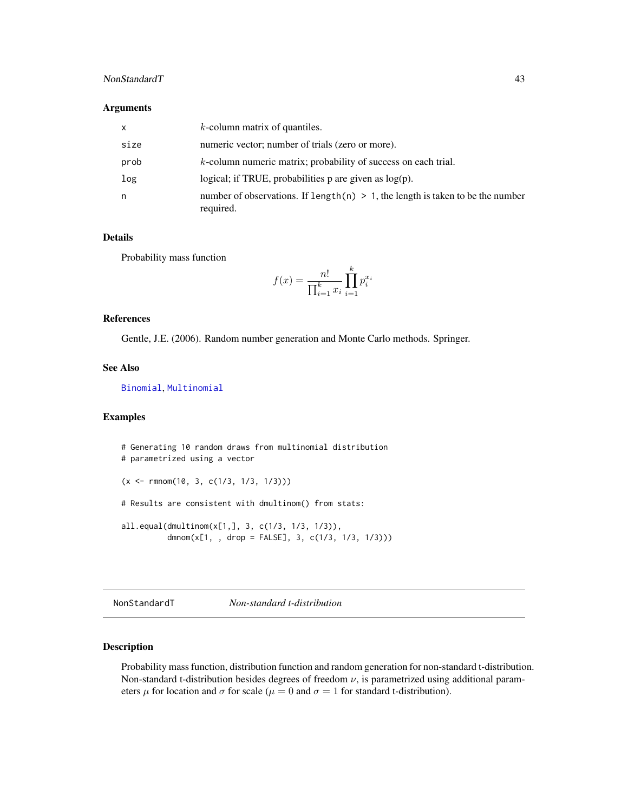#### <span id="page-42-0"></span>NonStandardT 43

#### Arguments

| X    | $k$ -column matrix of quantiles.                                                               |
|------|------------------------------------------------------------------------------------------------|
| size | numeric vector; number of trials (zero or more).                                               |
| prob | $k$ -column numeric matrix; probability of success on each trial.                              |
| log  | logical; if TRUE, probabilities $p$ are given as $log(p)$ .                                    |
| n    | number of observations. If length(n) $> 1$ , the length is taken to be the number<br>required. |

#### Details

Probability mass function

$$
f(x) = \frac{n!}{\prod_{i=1}^{k} x_i} \prod_{i=1}^{k} p_i^{x_i}
$$

#### References

Gentle, J.E. (2006). Random number generation and Monte Carlo methods. Springer.

#### See Also

[Binomial](#page-0-0), [Multinomial](#page-41-1)

#### Examples

```
# Generating 10 random draws from multinomial distribution
# parametrized using a vector
(x \leq r \text{ mnom}(10, 3, c(1/3, 1/3, 1/3)))# Results are consistent with dmultinom() from stats:
all.equal(dmultinom(x[1,], 3, c(1/3, 1/3, 1/3)),
          dmnom(x[1, , drop = FALSE], 3, c(1/3, 1/3, 1/3)))
```
NonStandardT *Non-standard t-distribution*

#### Description

Probability mass function, distribution function and random generation for non-standard t-distribution. Non-standard t-distribution besides degrees of freedom  $\nu$ , is parametrized using additional parameters  $\mu$  for location and  $\sigma$  for scale ( $\mu = 0$  and  $\sigma = 1$  for standard t-distribution).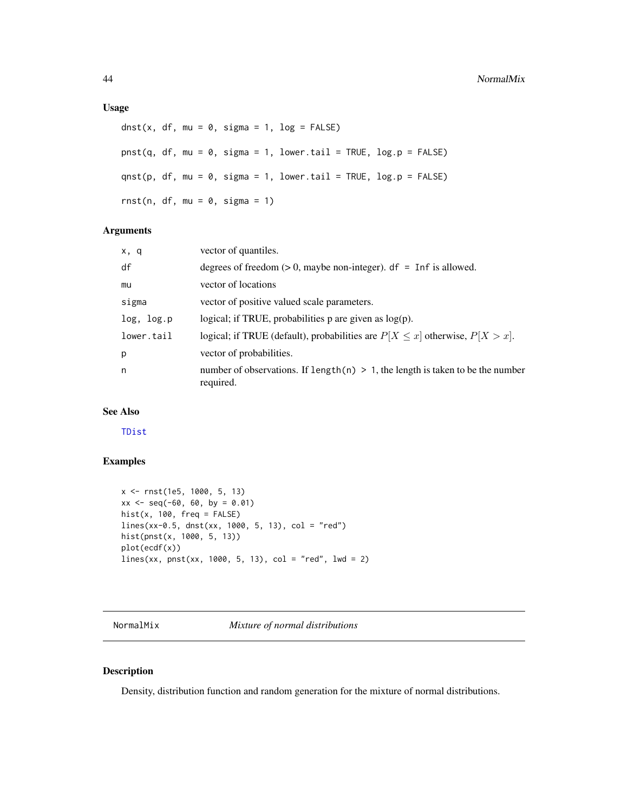#### <span id="page-43-0"></span>Usage

```
dnst(x, df, mu = 0, sigma = 1, log = FALSE)
pnst(q, df, mu = 0, sigma = 1, lower.tail = TRUE, log.p = FALSE)qnst(p, df, mu = 0, sigma = 1, lower.tail = TRUE, log.p = FALSE)
rnst(n, df, mu = 0, sigma = 1)
```
#### Arguments

| x, q       | vector of quantiles.                                                                           |
|------------|------------------------------------------------------------------------------------------------|
| df         | degrees of freedom $(> 0$ , maybe non-integer). df = Inf is allowed.                           |
| mu         | vector of locations                                                                            |
| sigma      | vector of positive valued scale parameters.                                                    |
| log, log.p | logical; if TRUE, probabilities $p$ are given as $log(p)$ .                                    |
| lower.tail | logical; if TRUE (default), probabilities are $P[X \le x]$ otherwise, $P[X > x]$ .             |
| p          | vector of probabilities.                                                                       |
| n          | number of observations. If length(n) $> 1$ , the length is taken to be the number<br>required. |

#### See Also

[TDist](#page-0-0)

### Examples

```
x <- rnst(1e5, 1000, 5, 13)
xx \le - seq(-60, 60, by = 0.01)
hist(x, 100, freq = FALSE)lines(xx-0.5, dnst(xx, 1000, 5, 13), col = "red")
hist(pnst(x, 1000, 5, 13))
plot(ecdf(x))
lines(xx, prst(xx, 1000, 5, 13), col = "red", lwd = 2)
```
NormalMix *Mixture of normal distributions*

#### Description

Density, distribution function and random generation for the mixture of normal distributions.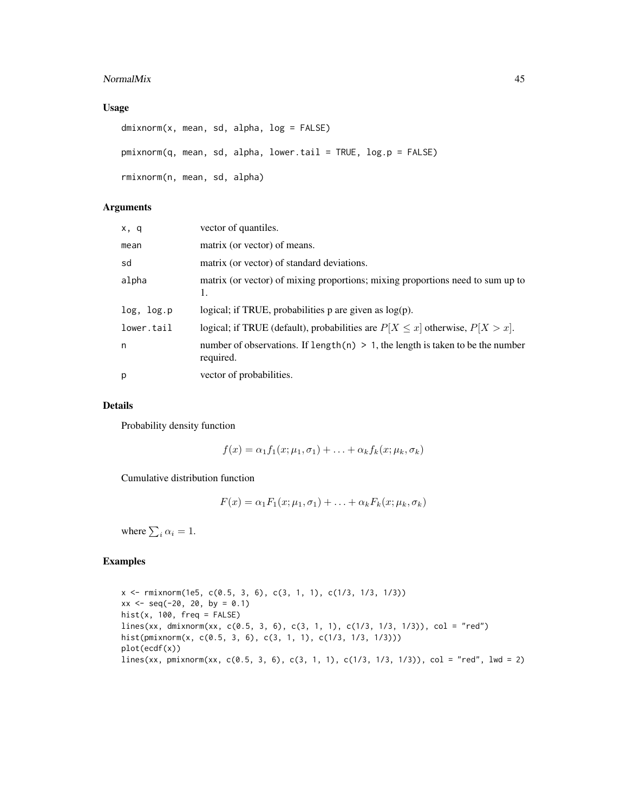#### NormalMix 45

#### Usage

```
dmixnorm(x, mean, sd, alpha, log = FALSE)
pmixnorm(q, mean, sd, alpha, lower.tail = TRUE, log.p = FALSE)
rmixnorm(n, mean, sd, alpha)
```
#### Arguments

| x, q       | vector of quantiles.                                                                            |
|------------|-------------------------------------------------------------------------------------------------|
| mean       | matrix (or vector) of means.                                                                    |
| sd         | matrix (or vector) of standard deviations.                                                      |
| alpha      | matrix (or vector) of mixing proportions; mixing proportions need to sum up to<br>1.            |
| log, log.p | logical; if TRUE, probabilities $p$ are given as $log(p)$ .                                     |
| lower.tail | logical; if TRUE (default), probabilities are $P[X \le x]$ otherwise, $P[X > x]$ .              |
| n          | number of observations. If length $(n) > 1$ , the length is taken to be the number<br>required. |
| p          | vector of probabilities.                                                                        |

#### Details

Probability density function

$$
f(x) = \alpha_1 f_1(x; \mu_1, \sigma_1) + \ldots + \alpha_k f_k(x; \mu_k, \sigma_k)
$$

Cumulative distribution function

$$
F(x) = \alpha_1 F_1(x; \mu_1, \sigma_1) + \ldots + \alpha_k F_k(x; \mu_k, \sigma_k)
$$

where  $\sum_i \alpha_i = 1$ .

#### Examples

x <- rmixnorm(1e5, c(0.5, 3, 6), c(3, 1, 1), c(1/3, 1/3, 1/3))  $xx \le -$  seq(-20, 20, by = 0.1) hist $(x, 100,$  freq = FALSE) lines(xx, dmixnorm(xx, c(0.5, 3, 6), c(3, 1, 1), c(1/3, 1/3, 1/3)), col = "red") hist(pmixnorm(x, c(0.5, 3, 6), c(3, 1, 1), c(1/3, 1/3, 1/3))) plot(ecdf(x)) lines(xx, pmixnorm(xx, c(0.5, 3, 6), c(3, 1, 1), c(1/3, 1/3, 1/3)), col = "red", lwd = 2)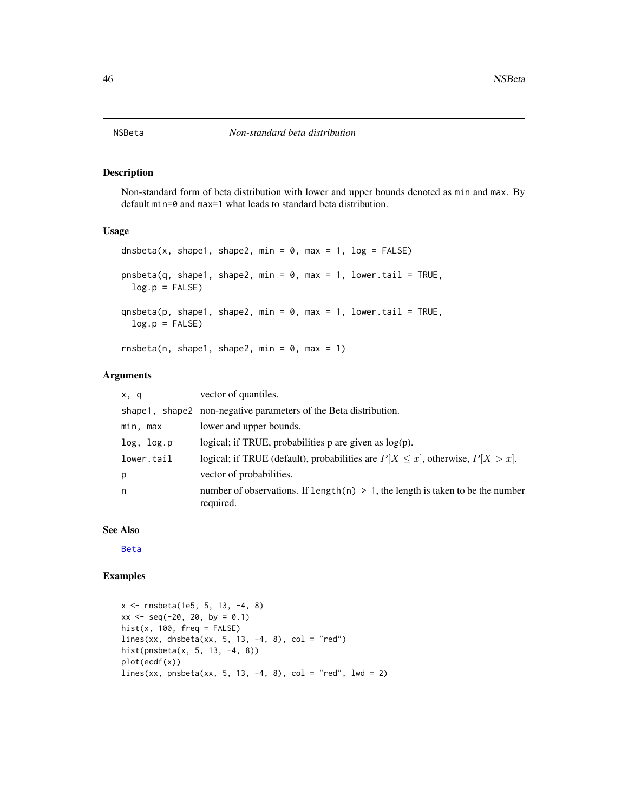<span id="page-45-0"></span>Non-standard form of beta distribution with lower and upper bounds denoted as min and max. By default min=0 and max=1 what leads to standard beta distribution.

#### Usage

```
dnsbeta(x, shape1, shape2, min = 0, max = 1, log = FALSE)
pnsbeta(q, shape1, shape2, min = 0, max = 1, lower.tail = TRUE,
 log.p = FALSEqnsbeta(p, shape1, shape2, min = 0, max = 1, lower.tail = TRUE,
 log.p = FALSErnsbeta(n, shape1, shape2, min = 0, max = 1)
```
#### Arguments

| x, q       | vector of quantiles.                                                                            |
|------------|-------------------------------------------------------------------------------------------------|
|            | shape 1, shape 2 non-negative parameters of the Beta distribution.                              |
| min, max   | lower and upper bounds.                                                                         |
| log, log.p | logical; if TRUE, probabilities $p$ are given as $log(p)$ .                                     |
| lower.tail | logical; if TRUE (default), probabilities are $P[X \le x]$ , otherwise, $P[X > x]$ .            |
| p          | vector of probabilities.                                                                        |
| n          | number of observations. If length (n) $> 1$ , the length is taken to be the number<br>required. |

#### See Also

[Beta](#page-0-0)

#### Examples

```
x <- rnsbeta(1e5, 5, 13, -4, 8)
xx \le - seq(-20, 20, by = 0.1)
hist(x, 100, freq = FALSE)lines(xx, dnsbeta(xx, 5, 13, -4, 8), col = "red")hist(pnsbeta(x, 5, 13, -4, 8))
plot(ecdf(x))
lines(xx, pnsbeta(xx, 5, 13, -4, 8), col = "red", lwd = 2)
```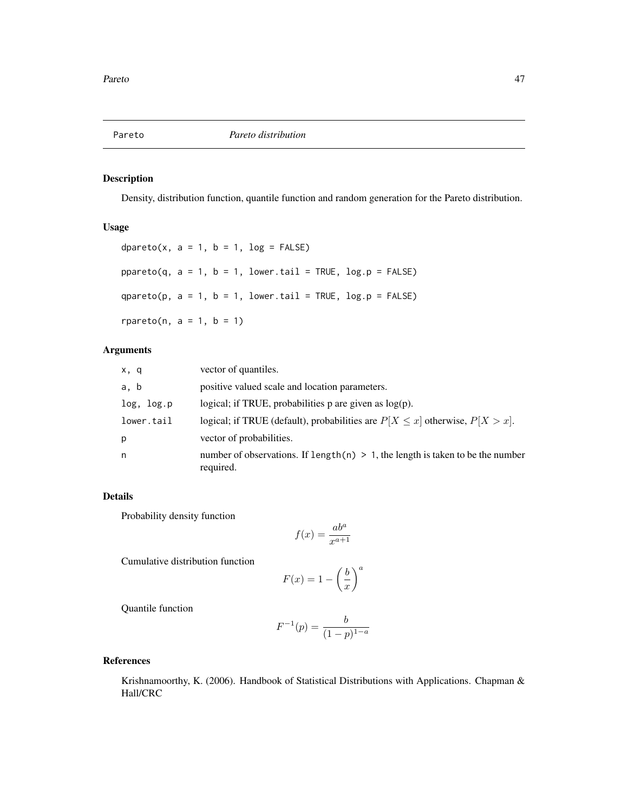<span id="page-46-0"></span>

Density, distribution function, quantile function and random generation for the Pareto distribution.

#### Usage

dpareto(x,  $a = 1$ ,  $b = 1$ ,  $log = FALSE$ )  $ppareto(q, a = 1, b = 1, lower$ **tail = TRUE, log.p = FALSE** $)$ qpareto(p,  $a = 1$ ,  $b = 1$ , lower.tail = TRUE, log.p = FALSE)  $rparto(n, a = 1, b = 1)$ 

#### Arguments

| x, q       | vector of quantiles.                                                                           |
|------------|------------------------------------------------------------------------------------------------|
| a, b       | positive valued scale and location parameters.                                                 |
| log, log.p | logical; if TRUE, probabilities $p$ are given as $log(p)$ .                                    |
| lower.tail | logical; if TRUE (default), probabilities are $P[X \le x]$ otherwise, $P[X > x]$ .             |
| p          | vector of probabilities.                                                                       |
| n          | number of observations. If length(n) $> 1$ , the length is taken to be the number<br>required. |

#### Details

Probability density function

$$
f(x) = \frac{ab^a}{x^{a+1}}
$$

Cumulative distribution function

$$
F(x) = 1 - \left(\frac{b}{x}\right)^a
$$

Quantile function

$$
F^{-1}(p) = \frac{b}{(1-p)^{1-a}}
$$

#### References

Krishnamoorthy, K. (2006). Handbook of Statistical Distributions with Applications. Chapman & Hall/CRC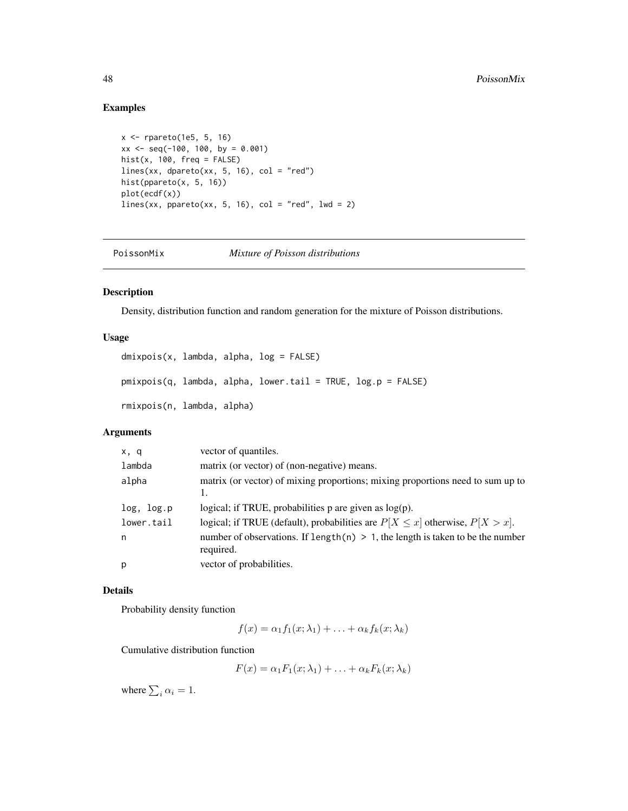#### Examples

```
x <- rpareto(1e5, 5, 16)
xx \le - seq(-100, 100, by = 0.001)
hist(x, 100, freq = FALSE)
lines(xx, dpareto(xx, 5, 16), col = "red")
hist(ppareto(x, 5, 16))
plot(ecdf(x))
lines(xx, ppareto(xx, 5, 16), col = "red", 1wd = 2)
```
PoissonMix *Mixture of Poisson distributions*

#### Description

Density, distribution function and random generation for the mixture of Poisson distributions.

#### Usage

```
dmixpois(x, lambda, alpha, log = FALSE)
pmixpois(q, lambda, alpha, lower.tail = TRUE, log.p = FALSE)
rmixpois(n, lambda, alpha)
```
#### Arguments

| x, q       | vector of quantiles.                                                                           |
|------------|------------------------------------------------------------------------------------------------|
| lambda     | matrix (or vector) of (non-negative) means.                                                    |
| alpha      | matrix (or vector) of mixing proportions; mixing proportions need to sum up to                 |
| log, log.p | logical; if TRUE, probabilities $p$ are given as $log(p)$ .                                    |
| lower.tail | logical; if TRUE (default), probabilities are $P[X \le x]$ otherwise, $P[X > x]$ .             |
| n          | number of observations. If length(n) $> 1$ , the length is taken to be the number<br>required. |
| p          | vector of probabilities.                                                                       |

#### Details

Probability density function

 $f(x) = \alpha_1 f_1(x; \lambda_1) + \ldots + \alpha_k f_k(x; \lambda_k)$ 

Cumulative distribution function

 $F(x) = \alpha_1 F_1(x; \lambda_1) + \ldots + \alpha_k F_k(x; \lambda_k)$ 

where  $\sum_i \alpha_i = 1$ .

<span id="page-47-0"></span>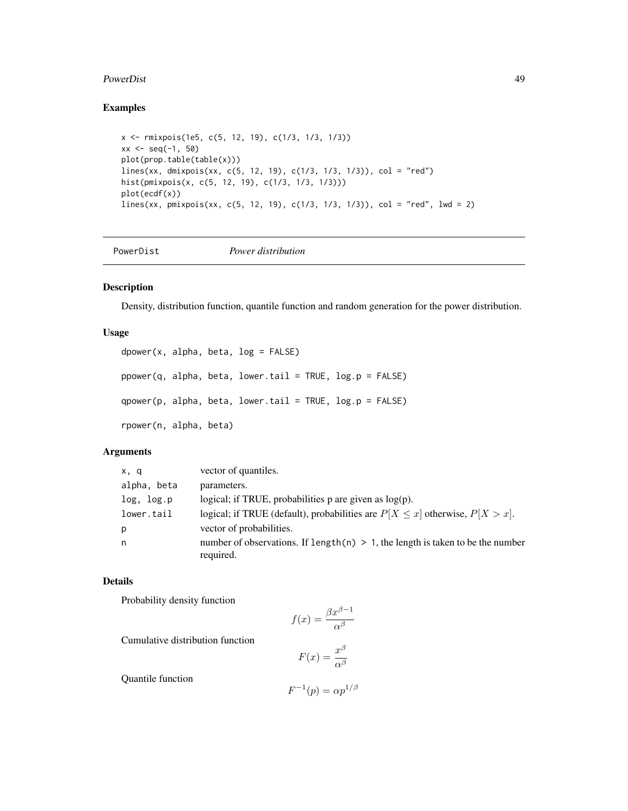#### <span id="page-48-0"></span>PowerDist 49

#### Examples

```
x <- rmixpois(1e5, c(5, 12, 19), c(1/3, 1/3, 1/3))
xx \le - seq(-1, 50)
plot(prop.table(table(x)))
lines(xx, dmixpois(xx, c(5, 12, 19), c(1/3, 1/3, 1/3)), col = "red")
hist(pmixpois(x, c(5, 12, 19), c(1/3, 1/3, 1/3)))
plot(ecdf(x))
lines(xx, pmixpois(xx, c(5, 12, 19), c(1/3, 1/3, 1/3)), col = "red", lwd = 2)
```

```
PowerDist Power distribution
```
#### Description

Density, distribution function, quantile function and random generation for the power distribution.

#### Usage

```
dpower(x, alpha, beta, log = FALSE)
ppower(q, alpha, beta, lower.tail = TRUE, log.p = FALSE)qpower(p, alpha, beta, lower.tail = TRUE, log.p = FALSE)rpower(n, alpha, beta)
```
#### Arguments

| x, q        | vector of quantiles.                                                                           |
|-------------|------------------------------------------------------------------------------------------------|
| alpha, beta | parameters.                                                                                    |
| log, log.p  | logical; if TRUE, probabilities $p$ are given as $log(p)$ .                                    |
| lower.tail  | logical; if TRUE (default), probabilities are $P[X \le x]$ otherwise, $P[X > x]$ .             |
| p           | vector of probabilities.                                                                       |
| n           | number of observations. If length(n) $> 1$ , the length is taken to be the number<br>required. |

#### Details

Probability density function

$$
f(x) = \frac{\beta x^{\beta - 1}}{\alpha^{\beta}}
$$

Cumulative distribution function

$$
F(x) = \frac{x^{\beta}}{\alpha^{\beta}}
$$

Quantile function

$$
F^{-1}(p) = \alpha p^{1/\beta}
$$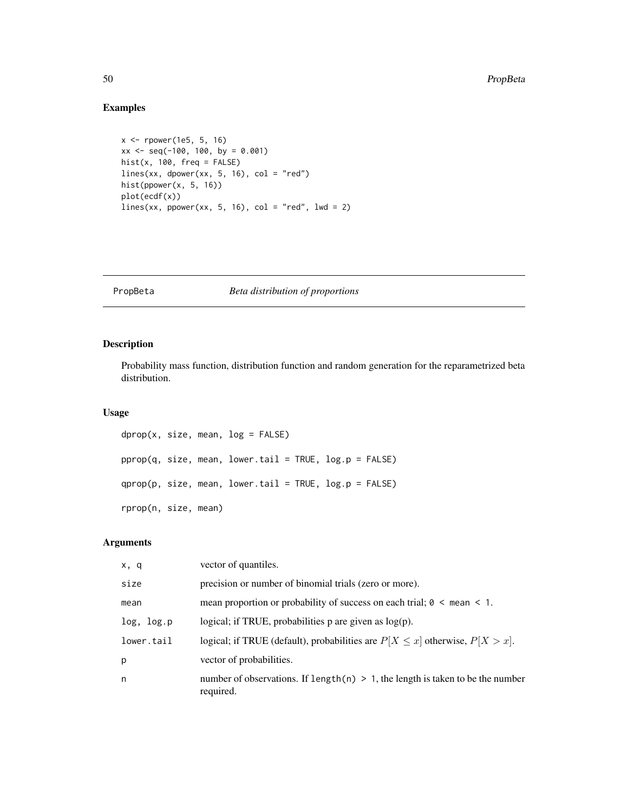#### Examples

```
x <- rpower(1e5, 5, 16)
xx \le - seq(-100, 100, by = 0.001)
hist(x, 100, freq = FALSE)lines(xx, doower(xx, 5, 16), col = "red")hist(ppower(x, 5, 16))
plot(ecdf(x))
lines(xx, power(xx, 5, 16), col = "red", lwd = 2)
```
#### PropBeta *Beta distribution of proportions*

#### Description

Probability mass function, distribution function and random generation for the reparametrized beta distribution.

#### Usage

```
dprop(x, size, mean, log = FALSE)pprop(q, size, mean, lower.tail = TRUE, log.p = FALSE)
qprop(p, size, mean, lower.tail = TRUE, log.p = FALSE)
rprop(n, size, mean)
```
#### Arguments

| x, q       | vector of quantiles.                                                                           |
|------------|------------------------------------------------------------------------------------------------|
| size       | precision or number of binomial trials (zero or more).                                         |
| mean       | mean proportion or probability of success on each trial; $0 \le$ mean $\le$ 1.                 |
| log, log.p | logical; if TRUE, probabilities $p$ are given as $log(p)$ .                                    |
| lower.tail | logical; if TRUE (default), probabilities are $P[X \le x]$ otherwise, $P[X > x]$ .             |
| p          | vector of probabilities.                                                                       |
| n          | number of observations. If length(n) $> 1$ , the length is taken to be the number<br>required. |

<span id="page-49-0"></span>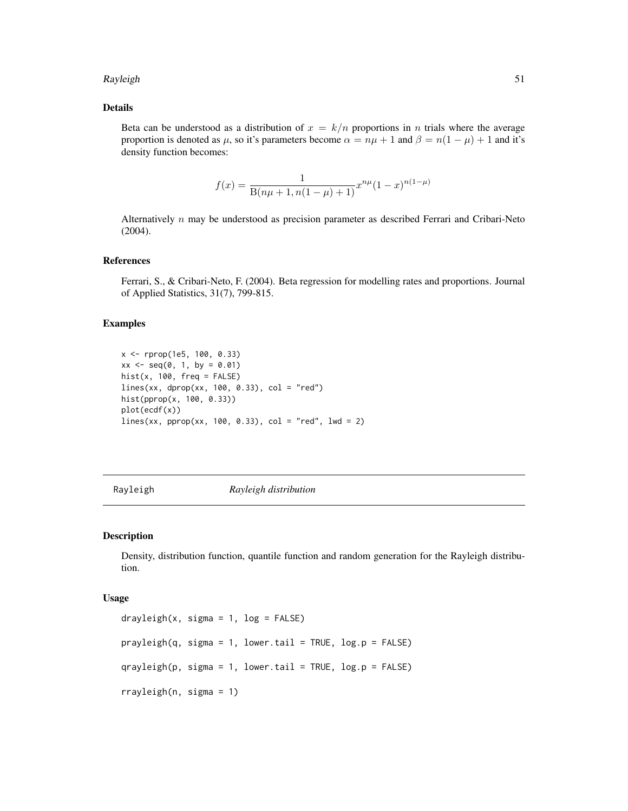#### <span id="page-50-0"></span>Rayleigh 51

#### Details

Beta can be understood as a distribution of  $x = k/n$  proportions in n trials where the average proportion is denoted as  $\mu$ , so it's parameters become  $\alpha = n\mu + 1$  and  $\beta = n(1 - \mu) + 1$  and it's density function becomes:

$$
f(x) = \frac{1}{B(n\mu + 1, n(1 - \mu) + 1)} x^{n\mu} (1 - x)^{n(1 - \mu)}
$$

Alternatively n may be understood as precision parameter as described Ferrari and Cribari-Neto (2004).

#### References

Ferrari, S., & Cribari-Neto, F. (2004). Beta regression for modelling rates and proportions. Journal of Applied Statistics, 31(7), 799-815.

#### Examples

```
x <- rprop(1e5, 100, 0.33)
xx \le - seq(0, 1, by = 0.01)
hist(x, 100, freq = FALSE)lines(xx, dprop(xx, 100, 0.33), col = "red")
hist(pprop(x, 100, 0.33))
plot(ecdf(x))
lines(xx, prop(xx, 100, 0.33), col = "red", lwd = 2)
```
Rayleigh *Rayleigh distribution*

#### Description

Density, distribution function, quantile function and random generation for the Rayleigh distribution.

#### Usage

```
drayleigh(x, sigma = 1, log = FALSE)
prayleigh(q, sigma = 1, lower.tail = TRUE, log.p = FALSE)qrayleigh(p, sigma = 1, lower.tail = TRUE, log.p = FALSE)
rrayleigh(n, sigma = 1)
```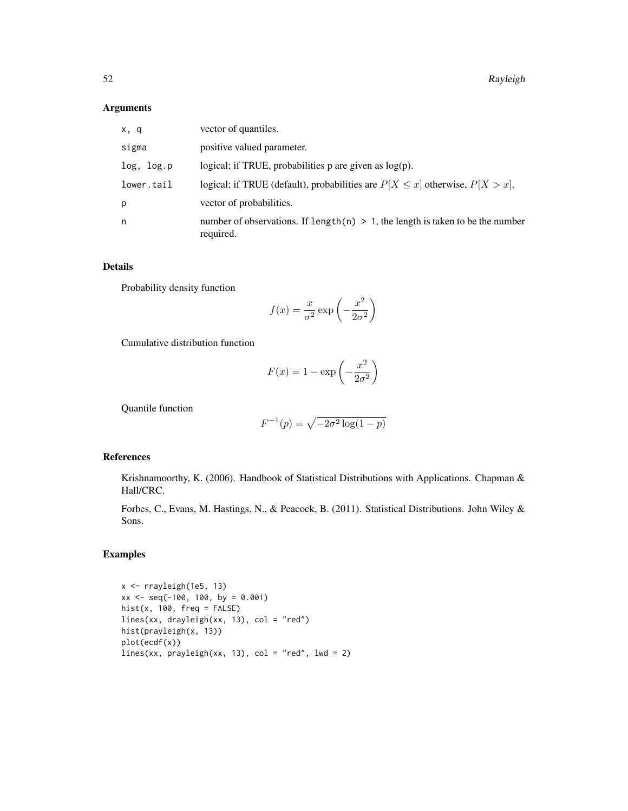#### Arguments

| x, q       | vector of quantiles.                                                                           |
|------------|------------------------------------------------------------------------------------------------|
| sigma      | positive valued parameter.                                                                     |
| log, log.p | logical; if TRUE, probabilities $p$ are given as $log(p)$ .                                    |
| lower.tail | logical; if TRUE (default), probabilities are $P[X \le x]$ otherwise, $P[X > x]$ .             |
| p          | vector of probabilities.                                                                       |
| n          | number of observations. If length(n) $> 1$ , the length is taken to be the number<br>required. |

#### Details

Probability density function

$$
f(x) = \frac{x}{\sigma^2} \exp\left(-\frac{x^2}{2\sigma^2}\right)
$$

Cumulative distribution function

$$
F(x) = 1 - \exp\left(-\frac{x^2}{2\sigma^2}\right)
$$

Quantile function

$$
F^{-1}(p)=\sqrt{-2\sigma^2\log(1-p)}
$$

#### References

Krishnamoorthy, K. (2006). Handbook of Statistical Distributions with Applications. Chapman & Hall/CRC.

Forbes, C., Evans, M. Hastings, N., & Peacock, B. (2011). Statistical Distributions. John Wiley & Sons.

#### Examples

x <- rrayleigh(1e5, 13)  $xx \le -$  seq(-100, 100, by = 0.001)  $hist(x, 100, freq = FALSE)$ lines(xx, drayleigh(xx, 13), col = "red") hist(prayleigh(x, 13)) plot(ecdf(x)) lines(xx,  $prayleigh(xx, 13)$ ,  $col = "red", lwd = 2)$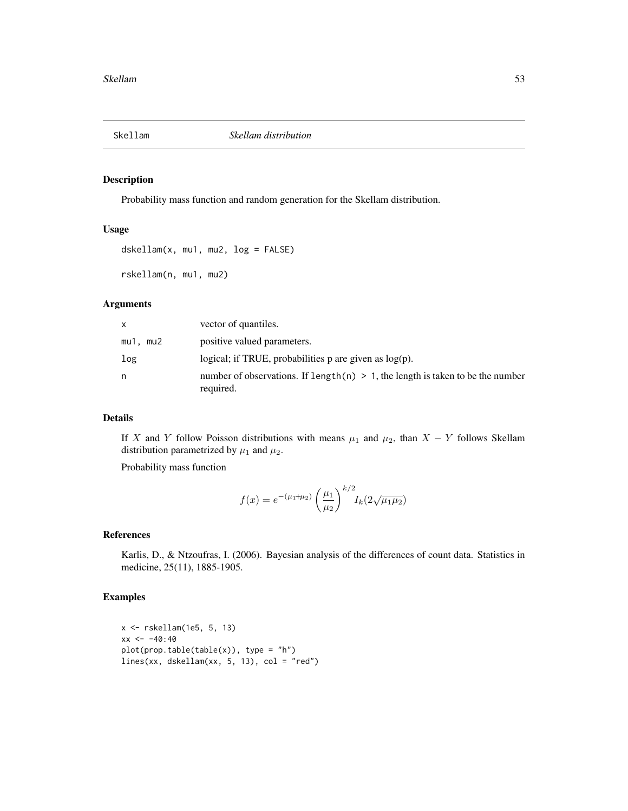<span id="page-52-0"></span>

Probability mass function and random generation for the Skellam distribution.

#### Usage

```
dskellam(x, mu1, mu2, log = FALSE)
rskellam(n, mu1, mu2)
```
#### Arguments

| x.       | vector of quantiles.                                                                            |
|----------|-------------------------------------------------------------------------------------------------|
| mu1. mu2 | positive valued parameters.                                                                     |
| log      | logical; if TRUE, probabilities $p$ are given as $log(p)$ .                                     |
| n        | number of observations. If length $(n) > 1$ , the length is taken to be the number<br>required. |

#### Details

If X and Y follow Poisson distributions with means  $\mu_1$  and  $\mu_2$ , than  $X - Y$  follows Skellam distribution parametrized by  $\mu_1$  and  $\mu_2$ .

Probability mass function

$$
f(x) = e^{-(\mu_1 + \mu_2)} \left(\frac{\mu_1}{\mu_2}\right)^{k/2} I_k(2\sqrt{\mu_1 \mu_2})
$$

#### References

Karlis, D., & Ntzoufras, I. (2006). Bayesian analysis of the differences of count data. Statistics in medicine, 25(11), 1885-1905.

#### Examples

```
x <- rskellam(1e5, 5, 13)
xx < -40:40plot(prop.table(table(x)), type = "h")
lines(xx, dskellam(xx, 5, 13), col = "red")
```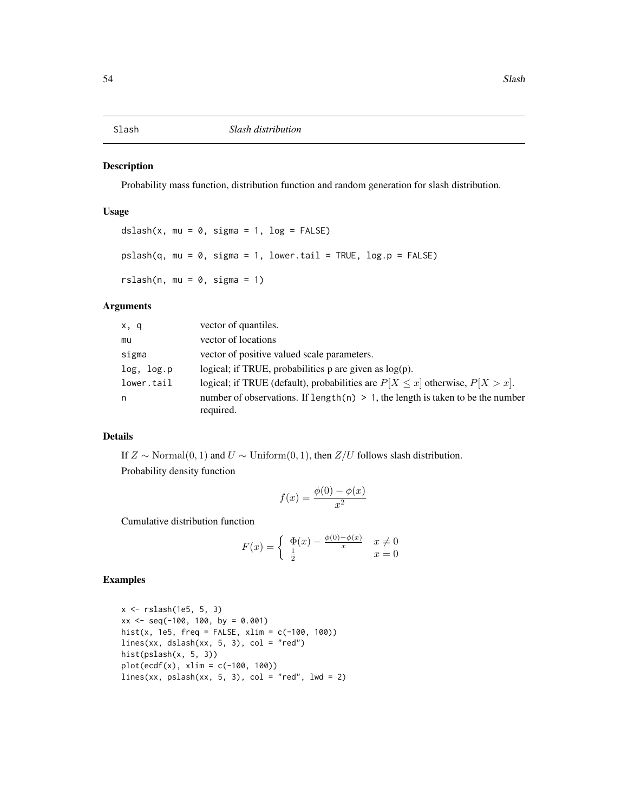<span id="page-53-0"></span>Probability mass function, distribution function and random generation for slash distribution.

#### Usage

```
dslash(x, mu = 0, sigma = 1, log = FALSE)pslash(q, mu = 0, sigma = 1, lower[a] = TRUE, log.p = FALSE)rslash(n, mu = 0, sigma = 1)
```
#### Arguments

| x, q       | vector of quantiles.                                                                            |
|------------|-------------------------------------------------------------------------------------------------|
| mu         | vector of locations                                                                             |
| sigma      | vector of positive valued scale parameters.                                                     |
| log, log.p | logical; if TRUE, probabilities $p$ are given as $log(p)$ .                                     |
| lower.tail | logical; if TRUE (default), probabilities are $P[X \le x]$ otherwise, $P[X > x]$ .              |
| n          | number of observations. If length $(n) > 1$ , the length is taken to be the number<br>required. |

#### Details

If  $Z \sim \text{Normal}(0, 1)$  and  $U \sim \text{Uniform}(0, 1)$ , then  $Z/U$  follows slash distribution. Probability density function

$$
f(x) = \frac{\phi(0) - \phi(x)}{x^2}
$$

Cumulative distribution function

$$
F(x) = \begin{cases} \n\Phi(x) - \frac{\phi(0) - \phi(x)}{x} & x \neq 0 \\ \n\frac{1}{2} & x = 0 \n\end{cases}
$$

#### Examples

```
x <- rslash(1e5, 5, 3)
xx \le - seq(-100, 100, by = 0.001)
hist(x, 1e5, freq = FALSE, xlim = c(-100, 100))
lines(xx, dslash(xx, 5, 3), col = "red")hist(pslash(x, 5, 3))
plot(ccdf(x), xlim = c(-100, 100))lines(xx, pslash(xx, 5, 3), col = "red", lwd = 2)
```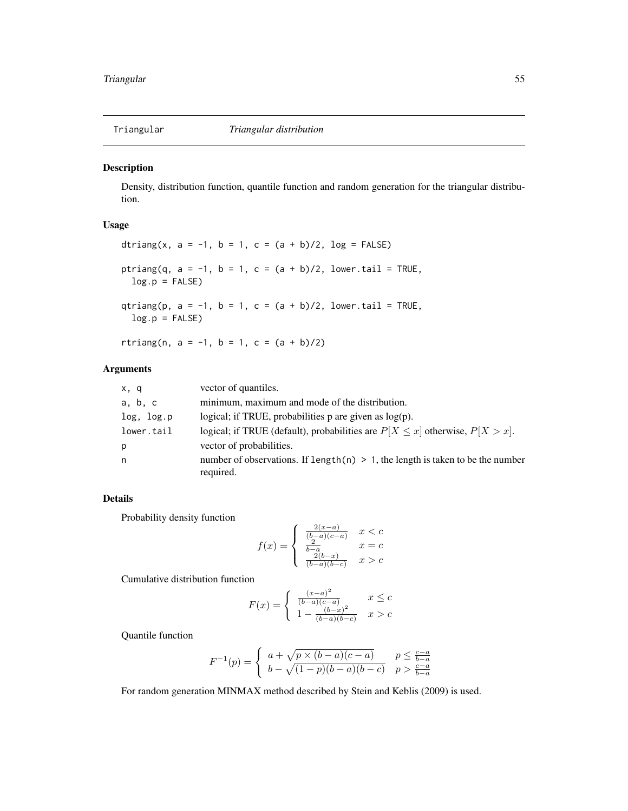<span id="page-54-0"></span>

Density, distribution function, quantile function and random generation for the triangular distribution.

### Usage

dtriang(x,  $a = -1$ ,  $b = 1$ ,  $c = (a + b)/2$ ,  $log = FALSE$ ) ptriang(q,  $a = -1$ ,  $b = 1$ ,  $c = (a + b)/2$ , lower.tail = TRUE,  $log.p = FALSE$ qtriang(p,  $a = -1$ ,  $b = 1$ ,  $c = (a + b)/2$ , lower.tail = TRUE,  $log.p = FALSE)$ rtriang(n,  $a = -1$ ,  $b = 1$ ,  $c = (a + b)/2$ )

#### Arguments

| x, q       | vector of quantiles.                                                                           |
|------------|------------------------------------------------------------------------------------------------|
| a, b, c    | minimum, maximum and mode of the distribution.                                                 |
| log, log.p | logical; if TRUE, probabilities $p$ are given as $log(p)$ .                                    |
| lower.tail | logical; if TRUE (default), probabilities are $P[X \le x]$ otherwise, $P[X > x]$ .             |
| p          | vector of probabilities.                                                                       |
| n          | number of observations. If length(n) $> 1$ , the length is taken to be the number<br>required. |

#### Details

Probability density function

$$
f(x) = \begin{cases} \frac{2(x-a)}{(b-a)(c-a)} & x < c\\ \frac{b-a}{b-a} & x = c\\ \frac{2(b-x)}{(b-a)(b-c)} & x > c \end{cases}
$$

Cumulative distribution function

$$
F(x) = \begin{cases} \frac{(x-a)^2}{(b-a)(c-a)} & x \leq c \\ 1 - \frac{(b-x)^2}{(b-a)(b-c)} & x > c \end{cases}
$$

Quantile function

$$
F^{-1}(p) = \begin{cases} a + \sqrt{p \times (b-a)(c-a)} & p \le \frac{c-a}{b-a} \\ b - \sqrt{(1-p)(b-a)(b-c)} & p > \frac{c-a}{b-a} \end{cases}
$$

For random generation MINMAX method described by Stein and Keblis (2009) is used.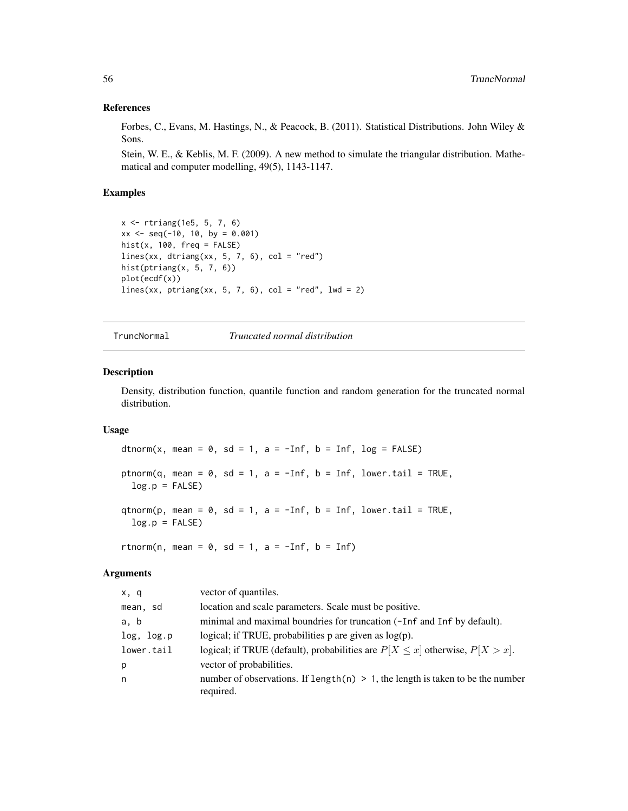#### References

Forbes, C., Evans, M. Hastings, N., & Peacock, B. (2011). Statistical Distributions. John Wiley & Sons.

Stein, W. E., & Keblis, M. F. (2009). A new method to simulate the triangular distribution. Mathematical and computer modelling, 49(5), 1143-1147.

#### Examples

```
x <- rtriang(1e5, 5, 7, 6)
xx \leq -\text{seq}(-10, 10, \text{ by } = 0.001)hist(x, 100, freq = FALSE)
lines(xx, dtriang(xx, 5, 7, 6), col = "red")hist(ptriang(x, 5, 7, 6))
plot(ecdf(x))
lines(xx, ptriang(xx, 5, 7, 6), col = "red", lwd = 2)
```
TruncNormal *Truncated normal distribution*

#### Description

Density, distribution function, quantile function and random generation for the truncated normal distribution.

#### Usage

dtnorm(x, mean = 0, sd = 1, a =  $-Inf$ , b = Inf, log = FALSE) ptnorm(q, mean =  $0$ , sd = 1, a =  $-Inf$ , b = Inf, lower.tail = TRUE,  $log.p = FALSE$ qtnorm(p, mean =  $0$ , sd = 1, a =  $-Inf$ , b = Inf, lower.tail = TRUE,  $log.p = FALSE)$ rtnorm(n, mean =  $0$ , sd = 1, a =  $-Inf$ , b = Inf)

#### Arguments

| x, q       | vector of quantiles.                                                                           |
|------------|------------------------------------------------------------------------------------------------|
| mean, sd   | location and scale parameters. Scale must be positive.                                         |
| a, b       | minimal and maximal boundries for truncation (-Inf and Inf by default).                        |
| log, log.p | logical; if TRUE, probabilities $p$ are given as $log(p)$ .                                    |
| lower.tail | logical; if TRUE (default), probabilities are $P[X \le x]$ otherwise, $P[X > x]$ .             |
| р          | vector of probabilities.                                                                       |
| n          | number of observations. If length(n) $> 1$ , the length is taken to be the number<br>required. |

<span id="page-55-0"></span>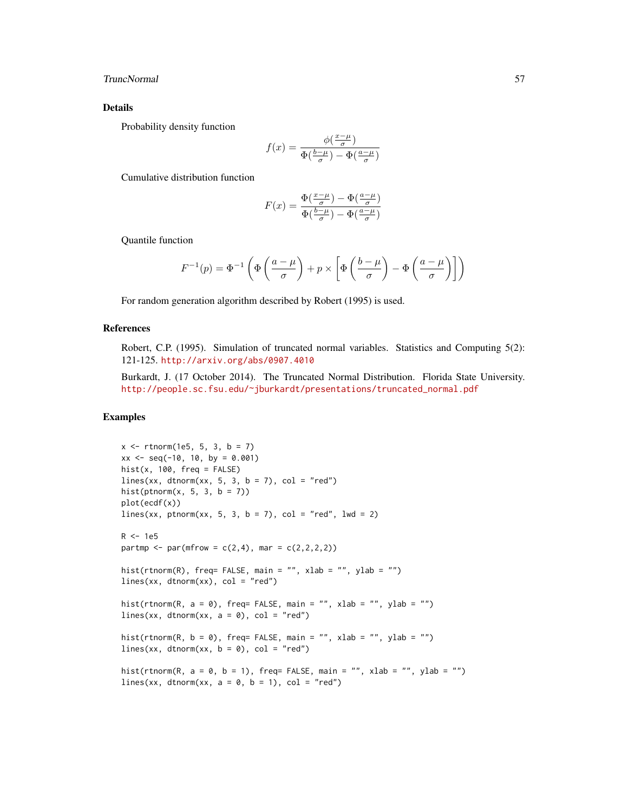#### TruncNormal 57

#### Details

Probability density function

$$
f(x) = \frac{\phi(\frac{x-\mu}{\sigma})}{\Phi(\frac{b-\mu}{\sigma}) - \Phi(\frac{a-\mu}{\sigma})}
$$

Cumulative distribution function

$$
F(x) = \frac{\Phi(\frac{x-\mu}{\sigma}) - \Phi(\frac{a-\mu}{\sigma})}{\Phi(\frac{b-\mu}{\sigma}) - \Phi(\frac{a-\mu}{\sigma})}
$$

Quantile function

$$
F^{-1}(p) = \Phi^{-1}\left(\Phi\left(\frac{a-\mu}{\sigma}\right) + p \times \left[\Phi\left(\frac{b-\mu}{\sigma}\right) - \Phi\left(\frac{a-\mu}{\sigma}\right)\right]\right)
$$

For random generation algorithm described by Robert (1995) is used.

#### References

Robert, C.P. (1995). Simulation of truncated normal variables. Statistics and Computing 5(2): 121-125. <http://arxiv.org/abs/0907.4010>

Burkardt, J. (17 October 2014). The Truncated Normal Distribution. Florida State University. [http://people.sc.fsu.edu/~jburkardt/presentations/truncated\\_normal.pdf](http://people.sc.fsu.edu/~jburkardt/presentations/truncated_normal.pdf)

#### Examples

```
x \le rtnorm(1e5, 5, 3, b = 7)
xx \leq -\text{seq}(-10, 10, \text{ by } = 0.001)hist(x, 100, freq = FALSE)
lines(xx, dtnorm(xx, 5, 3, b = 7), col = "red")hist(ptnorm(x, 5, 3, b = 7))
plot(ecdf(x))
lines(xx, ptnorm(xx, 5, 3, b = 7), col = "red", 1wd = 2)
R < -1e5partmp <- par(mfrow = c(2,4), mar = c(2,2,2,2))
hist(rtnorm(R), freq= FALSE, main = "", xlab = "", ylab = "")
lines(xx, dtnorm(xx), col = "red")hist(rtnorm(R, a = 0), freq= FALSE, main = "", xlab = "", ylab = "")
lines(xx, dtnorm(xx, a = 0), col = "red")
hist(rtnorm(R, b = 0), freq= FALSE, main = "", xlab = "", ylab = "")
lines(xx, dtnorm(xx, b = 0), col = "red")
hist(rtnorm(R, a = 0, b = 1), freq= FALSE, main = "", xlab = "", ylab = "")
lines(xx, dtnorm(xx, a = 0, b = 1), col = "red")
```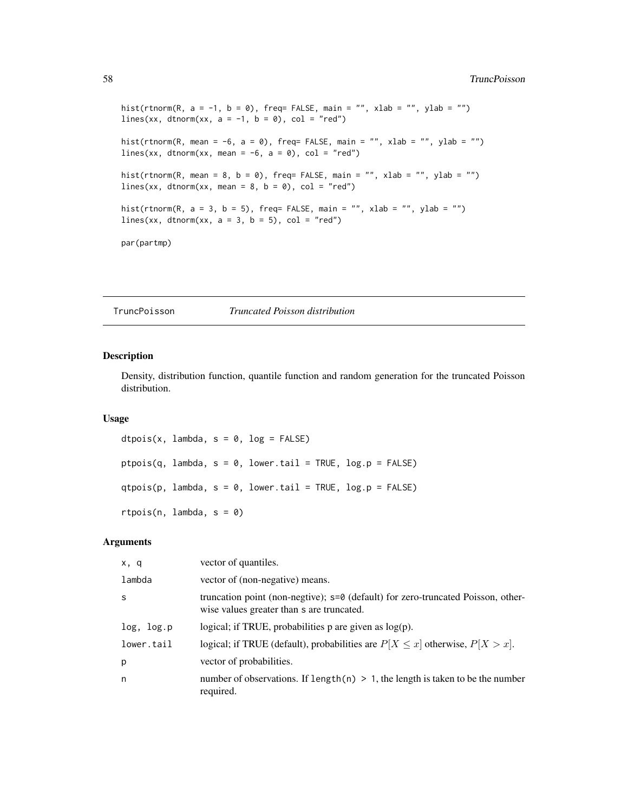```
hist(rtnorm(R, a = -1, b = 0), freq= FALSE, main = "", xlab = "", ylab = "")
lines(xx, dtnorm(xx, a = -1, b = 0), col = "red")hist(rtnorm(R, mean = -6, a = 0), freq= FALSE, main = "", xlab = "", ylab = "")
lines(xx, dtnorm(xx, mean = -6, a = 0), col = "red")
hist(rtnorm(R, mean = 8, b = 0), freq= FALSE, main = "", xlab = "", ylab = "")
lines(xx, dtnorm(xx, mean = 8, b = 0), col = "red")
hist(rtnorm(R, a = 3, b = 5), freq= FALSE, main = "", xlab = "", ylab = "")
lines(xx, dtnorm(xx, a = 3, b = 5), col = "red")par(partmp)
```
TruncPoisson *Truncated Poisson distribution*

#### Description

Density, distribution function, quantile function and random generation for the truncated Poisson distribution.

#### Usage

```
dtpois(x, lambda, s = 0, log = FALSE)
ptpois(q, lambda, s = 0, lower.tail = TRUE, log.p = FALSE)
qtpois(p, lambda, s = 0, lower.tail = TRUE, log.p = FALSE)
rtpois(n, lambda, s = 0)
```
#### Arguments

| x, q       | vector of quantiles.                                                                                                          |
|------------|-------------------------------------------------------------------------------------------------------------------------------|
| lambda     | vector of (non-negative) means.                                                                                               |
| S          | truncation point (non-negtive); s=0 (default) for zero-truncated Poisson, other-<br>wise values greater than s are truncated. |
| log, log.p | logical; if TRUE, probabilities $p$ are given as $log(p)$ .                                                                   |
| lower.tail | logical; if TRUE (default), probabilities are $P[X \le x]$ otherwise, $P[X > x]$ .                                            |
| p          | vector of probabilities.                                                                                                      |
| n          | number of observations. If length(n) $> 1$ , the length is taken to be the number<br>required.                                |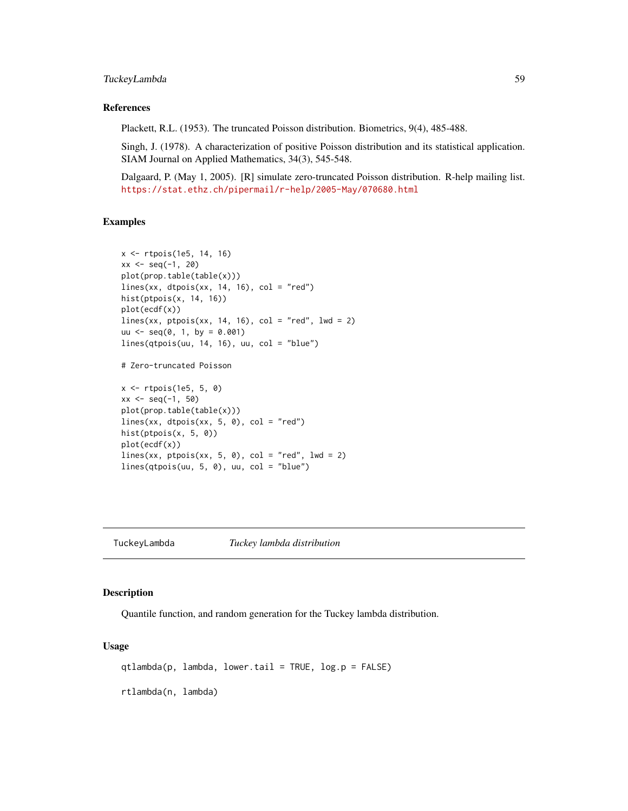#### <span id="page-58-0"></span>TuckeyLambda 59

#### References

Plackett, R.L. (1953). The truncated Poisson distribution. Biometrics, 9(4), 485-488.

Singh, J. (1978). A characterization of positive Poisson distribution and its statistical application. SIAM Journal on Applied Mathematics, 34(3), 545-548.

Dalgaard, P. (May 1, 2005). [R] simulate zero-truncated Poisson distribution. R-help mailing list. <https://stat.ethz.ch/pipermail/r-help/2005-May/070680.html>

#### Examples

```
x <- rtpois(1e5, 14, 16)
xx \le - seq(-1, 20)
plot(prop.table(table(x)))
lines(xx, dtpois(xx, 14, 16), col = "red")hist(ptpois(x, 14, 16))
plot(ecdf(x))
lines(xx, ptpois(xx, 14, 16), col = "red", lwd = 2)
uu \leq - seq(0, 1, by = 0.001)
lines(qtpois(uu, 14, 16), uu, col = "blue")
```
# Zero-truncated Poisson

```
x <- rtpois(1e5, 5, 0)
xx \le - seq(-1, 50)
plot(prop.table(table(x)))
lines(xx, dtpois(xx, 5, 0), col = "red")hist(ptpois(x, 5, 0))
plot(ecdf(x))
lines(xx, ptpois(xx, 5, 0), col = "red", 1wd = 2)lines(qtpois(uu, 5, 0), uu, col = "blue")
```
TuckeyLambda *Tuckey lambda distribution*

#### Description

Quantile function, and random generation for the Tuckey lambda distribution.

#### Usage

qtlambda(p, lambda, lower.tail = TRUE, log.p = FALSE)

rtlambda(n, lambda)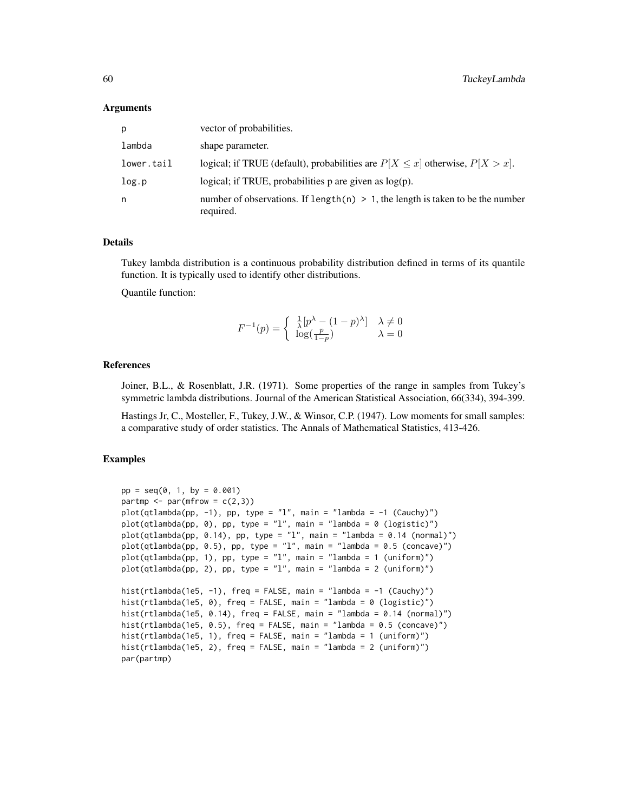#### Arguments

| р          | vector of probabilities.                                                                       |
|------------|------------------------------------------------------------------------------------------------|
| lambda     | shape parameter.                                                                               |
| lower.tail | logical; if TRUE (default), probabilities are $P[X \le x]$ otherwise, $P[X > x]$ .             |
| log.p      | logical; if TRUE, probabilities $p$ are given as $log(p)$ .                                    |
| n          | number of observations. If length(n) $> 1$ , the length is taken to be the number<br>required. |

#### Details

Tukey lambda distribution is a continuous probability distribution defined in terms of its quantile function. It is typically used to identify other distributions.

Quantile function:

$$
F^{-1}(p) = \begin{cases} \frac{1}{\lambda} [p^{\lambda} - (1-p)^{\lambda}] & \lambda \neq 0\\ \log(\frac{p}{1-p}) & \lambda = 0 \end{cases}
$$

#### References

Joiner, B.L., & Rosenblatt, J.R. (1971). Some properties of the range in samples from Tukey's symmetric lambda distributions. Journal of the American Statistical Association, 66(334), 394-399.

Hastings Jr, C., Mosteller, F., Tukey, J.W., & Winsor, C.P. (1947). Low moments for small samples: a comparative study of order statistics. The Annals of Mathematical Statistics, 413-426.

#### Examples

```
pp = seq(0, 1, by = 0.001)partmp \leq par(mfrow = c(2,3))
plot(qtlambda(p, -1), pp, type = "l", main = "lambda = -1 (Cauchy)")plot(qtlambda(pp, 0), pp, type = "l", main = "lambda = 0 (logistic)")
plot(qtlambda(pp, 0.14), pp, type = "l", main = "lambda = 0.14 (normal)"plot(qtlambda(pp, 0.5), pp, type = "l", main = "lambda = 0.5 (concave)")
plot(qtlambda(pp, 1), pp, type = "l", main = "lambda = 1 (uniform)")
plot(qtlambda(pp, 2), pp, type = "l", main = "lambda = 2 (uniform)")
hist(rtlambda(1e5, -1), freq = FALSE, main = "lambda = -1 (Cauchy)")
hist(rtlambda(1e5, 0), freq = FALSE, main = "lambda = 0 (logistic)")
hist(rtlambda(1e5, 0.14), freq = FALSE, main = "lambda = 0.14 (normal)")
hist(rtlambda(1e5, 0.5), freq = FALSE, main = "lambda = 0.5 (concave)")
hist(rtlambda(1e5, 1), freq = FALSE, main = "lambda = 1 (uniform)")
hist(rtlambda(1e5, 2), freq = FALSE, main = "lambda = 2 (uniform)")
par(partmp)
```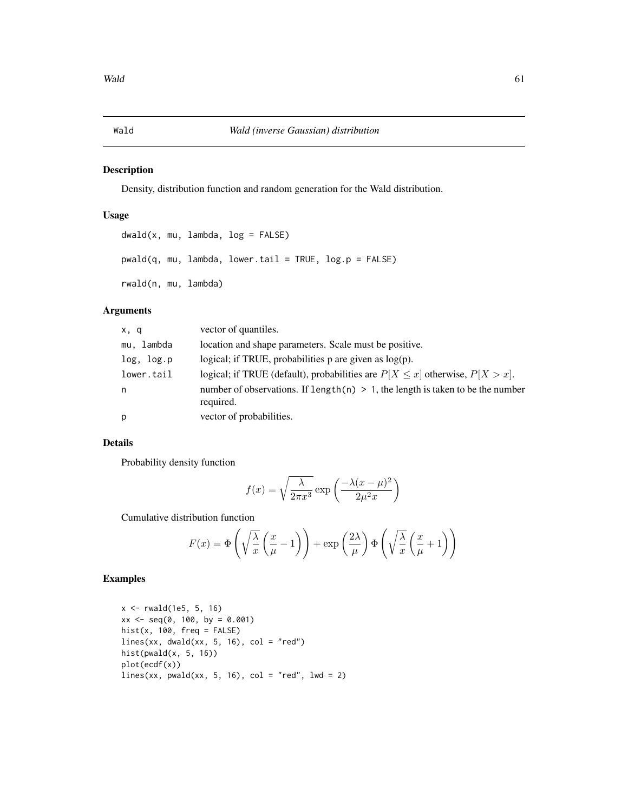<span id="page-60-0"></span>

Density, distribution function and random generation for the Wald distribution.

#### Usage

```
dwald(x, mu, lambda, log = FALSE)
pwald(q, mu, lambda, lower.tail = TRUE, log.p = FALSE)
rwald(n, mu, lambda)
```
### Arguments

| x, q       | vector of quantiles.                                                                            |
|------------|-------------------------------------------------------------------------------------------------|
| mu, lambda | location and shape parameters. Scale must be positive.                                          |
| log, log.p | logical; if TRUE, probabilities $p$ are given as $log(p)$ .                                     |
| lower.tail | logical; if TRUE (default), probabilities are $P[X \le x]$ otherwise, $P[X > x]$ .              |
| n          | number of observations. If length $(n) > 1$ , the length is taken to be the number<br>required. |
| p          | vector of probabilities.                                                                        |

#### Details

Probability density function

$$
f(x) = \sqrt{\frac{\lambda}{2\pi x^3}} \exp\left(\frac{-\lambda(x-\mu)^2}{2\mu^2 x}\right)
$$

Cumulative distribution function

$$
F(x) = \Phi\left(\sqrt{\frac{\lambda}{x}} \left(\frac{x}{\mu} - 1\right)\right) + \exp\left(\frac{2\lambda}{\mu}\right) \Phi\left(\sqrt{\frac{\lambda}{x}} \left(\frac{x}{\mu} + 1\right)\right)
$$

#### Examples

```
x \le -r rwald(1e5, 5, 16)
xx \le - seq(0, 100, by = 0.001)
hist(x, 100, freq = FALSE)lines(xx, dwald(xx, 5, 16), col = "red")hist(pwald(x, 5, 16))
plot(ecdf(x))
lines(xx, pwald(xx, 5, 16), col = "red", lwd = 2)
```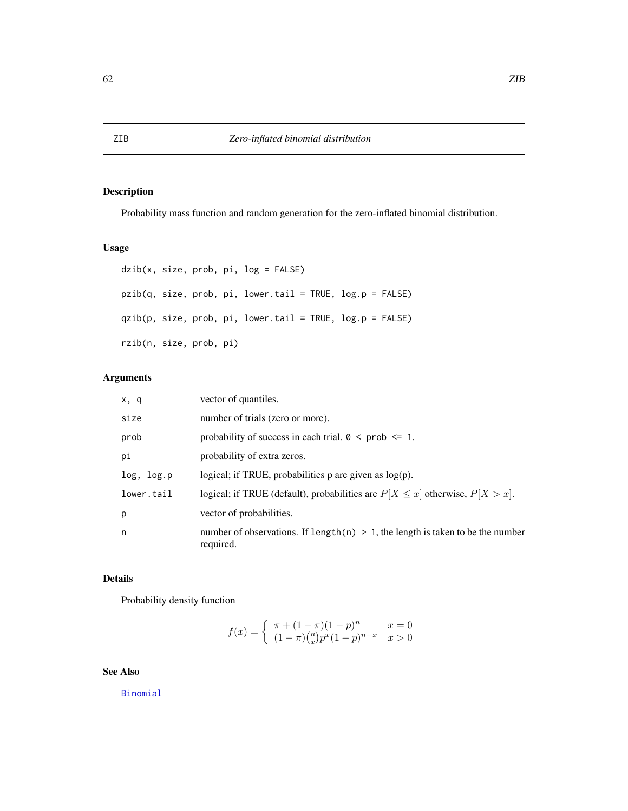<span id="page-61-0"></span>Probability mass function and random generation for the zero-inflated binomial distribution.

### Usage

```
dzib(x, size, prob, pi, log = FALSE)
pzib(q, size, prob, pi, lower.tail = TRUE, log.p = FALSE)
qzib(p, size, prob, pi, lower.tail = TRUE, log.p = FALSE)
rzib(n, size, prob, pi)
```
### Arguments

| x, q       | vector of quantiles.                                                                           |
|------------|------------------------------------------------------------------------------------------------|
| size       | number of trials (zero or more).                                                               |
| prob       | probability of success in each trial. $0 \leq prob \leq 1$ .                                   |
| рi         | probability of extra zeros.                                                                    |
| log, log.p | logical; if TRUE, probabilities $p$ are given as $log(p)$ .                                    |
| lower.tail | logical; if TRUE (default), probabilities are $P[X \le x]$ otherwise, $P[X > x]$ .             |
| p          | vector of probabilities.                                                                       |
| n          | number of observations. If length(n) $> 1$ , the length is taken to be the number<br>required. |

#### Details

Probability density function

$$
f(x) = \begin{cases} \pi + (1 - \pi)(1 - p)^n & x = 0\\ (1 - \pi)\binom{n}{x}p^x(1 - p)^{n - x} & x > 0 \end{cases}
$$

### See Also

[Binomial](#page-0-0)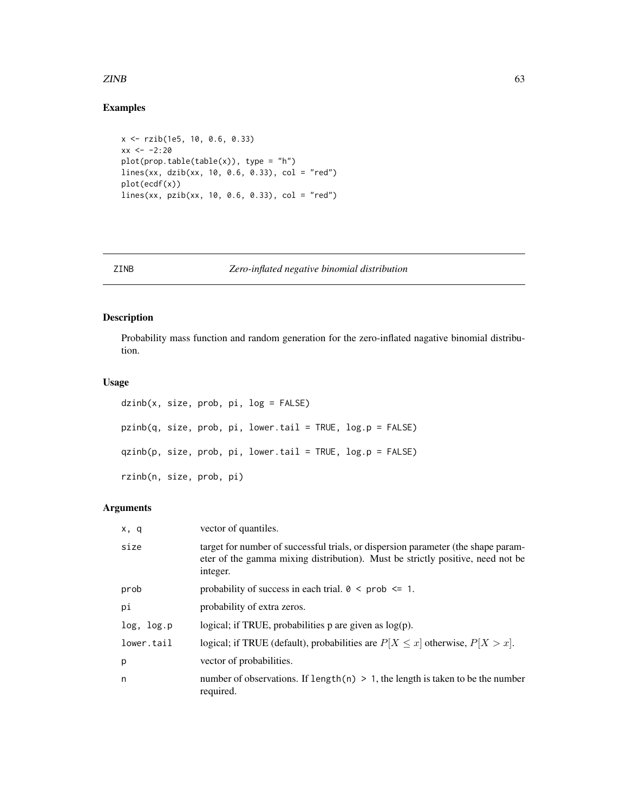#### <span id="page-62-0"></span> $ZINB$  63

#### Examples

```
x <- rzib(1e5, 10, 0.6, 0.33)
xx < -2:20plot(prop.table(table(x)), type = "h")lines(xx, dzib(xx, 10, 0.6, 0.33), col = "red")
plot(ecdf(x))
lines(xx, pzib(xx, 10, 0.6, 0.33), col = "red")
```
#### ZINB *Zero-inflated negative binomial distribution*

#### Description

Probability mass function and random generation for the zero-inflated nagative binomial distribution.

#### Usage

```
dzinb(x, size, prob, pi, log = FALSE)
pzinb(q, size, prob, pi, lower.tail = TRUE, log.p = FALSE)
qzinb(p, size, prob, pi, lower.tail = TRUE, log.p = FALSE)
rzinb(n, size, prob, pi)
```
#### Arguments

| x, q       | vector of quantiles.                                                                                                                                                            |
|------------|---------------------------------------------------------------------------------------------------------------------------------------------------------------------------------|
| size       | target for number of successful trials, or dispersion parameter (the shape param-<br>eter of the gamma mixing distribution). Must be strictly positive, need not be<br>integer. |
| prob       | probability of success in each trial. $0 \leq prob \leq 1$ .                                                                                                                    |
| рi         | probability of extra zeros.                                                                                                                                                     |
| log, log.p | logical; if TRUE, probabilities $p$ are given as $log(p)$ .                                                                                                                     |
| lower.tail | logical; if TRUE (default), probabilities are $P[X \le x]$ otherwise, $P[X > x]$ .                                                                                              |
| p          | vector of probabilities.                                                                                                                                                        |
| n          | number of observations. If length(n) $> 1$ , the length is taken to be the number<br>required.                                                                                  |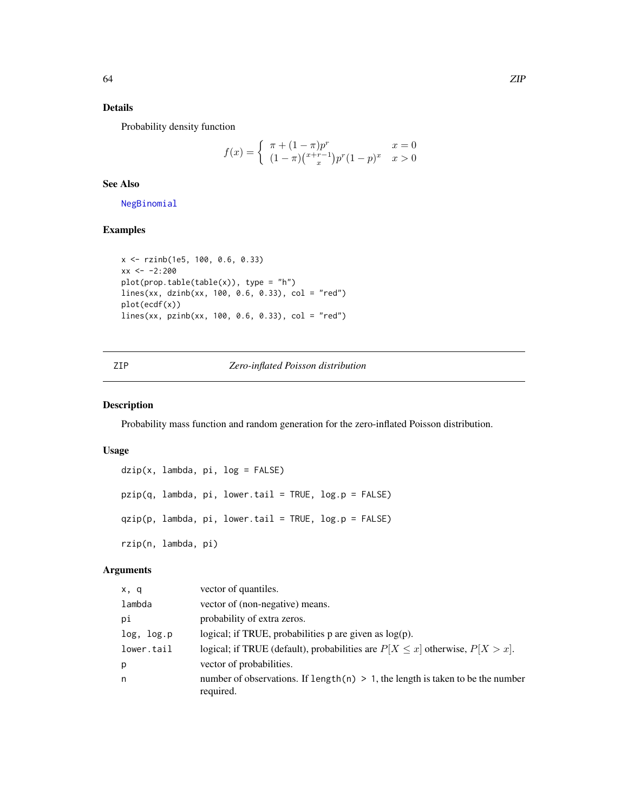#### <span id="page-63-0"></span>Details

Probability density function

$$
f(x) = \begin{cases} \pi + (1 - \pi)p^{r} & x = 0\\ (1 - \pi)(\frac{x + r - 1}{x})p^{r}(1 - p)^{x} & x > 0 \end{cases}
$$

#### See Also

[NegBinomial](#page-0-0)

#### Examples

```
x <- rzinb(1e5, 100, 0.6, 0.33)
xx < -2:200plot(prop.table(table(x)), type = "h")
lines(xx, dzinb(xx, 100, 0.6, 0.33), col = "red")
plot(ecdf(x))
lines(xx, pzinb(xx, 100, 0.6, 0.33), col = "red")
```
#### ZIP *Zero-inflated Poisson distribution*

#### Description

Probability mass function and random generation for the zero-inflated Poisson distribution.

#### Usage

```
dzip(x, lambda, pi, log = FALSE)
pzip(q, lambda, pi, lower.tail = TRUE, log.p = FALSE)
qzip(p, lambda, pi, lower.tail = TRUE, log.p = FALSE)rzip(n, lambda, pi)
```
#### Arguments

| x, q       | vector of quantiles.                                                                           |
|------------|------------------------------------------------------------------------------------------------|
| lambda     | vector of (non-negative) means.                                                                |
| рi         | probability of extra zeros.                                                                    |
| log, log.p | logical; if TRUE, probabilities $p$ are given as $log(p)$ .                                    |
| lower.tail | logical; if TRUE (default), probabilities are $P[X \le x]$ otherwise, $P[X > x]$ .             |
| p          | vector of probabilities.                                                                       |
| n          | number of observations. If length(n) $> 1$ , the length is taken to be the number<br>required. |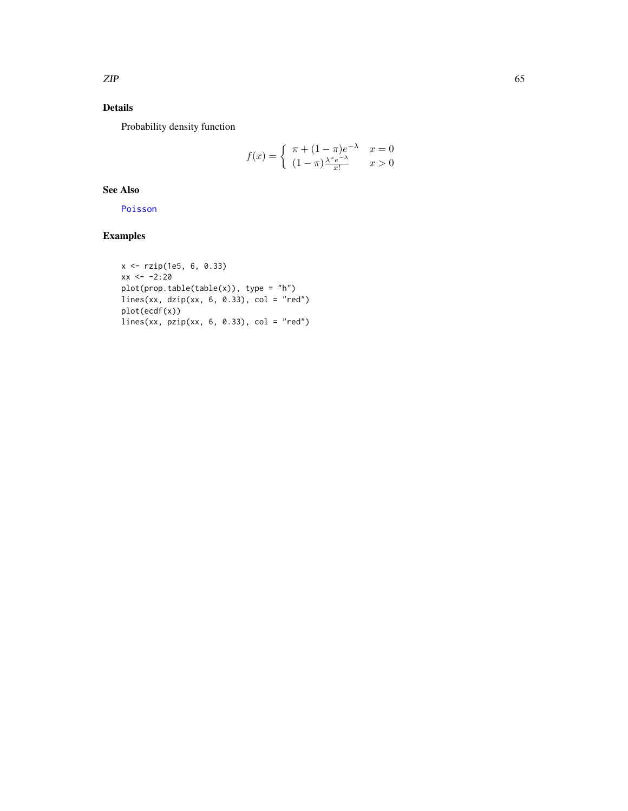#### <span id="page-64-0"></span>Details

Probability density function

$$
f(x) = \begin{cases} \pi + (1 - \pi)e^{-\lambda} & x = 0\\ (1 - \pi)\frac{\lambda^x e^{-\lambda}}{x!} & x > 0 \end{cases}
$$

#### See Also

[Poisson](#page-0-0)

### Examples

```
x <- rzip(1e5, 6, 0.33)
xx < -2:20plot(prop.table(table(x)), type = "h")
lines(xx, dzip(xx, 6, 0.33), col = "red")
plot(ecdf(x))
lines(xx, pzip(xx, 6, 0.33), col = "red")
```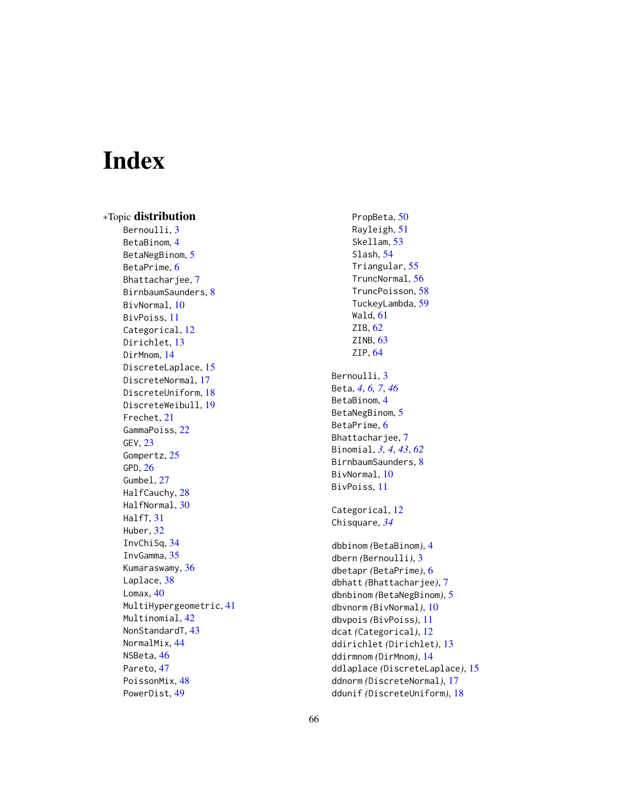# <span id="page-65-0"></span>Index

∗Topic distribution Bernoulli, [3](#page-2-0) BetaBinom , [4](#page-3-0) BetaNegBinom, [5](#page-4-0) BetaPrime, [6](#page-5-0) Bhattacharjee , [7](#page-6-0) BirnbaumSaunders , [8](#page-7-0) BivNormal, [10](#page-9-0) BivPoiss , [11](#page-10-0) Categorical, [12](#page-11-0) Dirichlet, [13](#page-12-0) DirMnom, [14](#page-13-0) DiscreteLaplace, [15](#page-14-0) DiscreteNormal , [17](#page-16-0) DiscreteUniform , [18](#page-17-0) DiscreteWeibull , [19](#page-18-0) Frechet , [21](#page-20-0) GammaPoiss , [22](#page-21-0) GEV , [23](#page-22-0) Gompertz, [25](#page-24-0) GPD , [26](#page-25-0) Gumbel, [27](#page-26-0) HalfCauchy, [28](#page-27-0) HalfNormal , [30](#page-29-0) HalfT, [31](#page-30-0) Huber , [32](#page-31-0) InvChiSq , [34](#page-33-0) InvGamma , [35](#page-34-0) Kumaraswamy , [36](#page-35-0) Laplace, [38](#page-37-0) Lomax, [40](#page-39-0) MultiHypergeometric , [41](#page-40-0) Multinomial , [42](#page-41-0) NonStandardT, [43](#page-42-0) NormalMix , [44](#page-43-0) NSBeta , [46](#page-45-0) Pareto, [47](#page-46-0) PoissonMix, [48](#page-47-0) PowerDist , [49](#page-48-0)

PropBeta, <mark>5</mark>0 Rayleigh , [51](#page-50-0) Skellam, [53](#page-52-0) Slash , [54](#page-53-0) Triangular , [55](#page-54-0) TruncNormal , [56](#page-55-0) TruncPoisson , [58](#page-57-0) TuckeyLambda , [59](#page-58-0) Wald , [61](#page-60-0) ZIB, [62](#page-61-0) ZINB, [63](#page-62-0) ZIP , [64](#page-63-0) Bernoulli, [3](#page-2-0) Beta , *[4](#page-3-0)* , *[6,](#page-5-0) [7](#page-6-0)* , *[46](#page-45-0)* BetaBinom , [4](#page-3-0) BetaNegBinom, [5](#page-4-0) BetaPrime, [6](#page-5-0) Bhattacharjee, [7](#page-6-0) Binomial , *[3](#page-2-0) , [4](#page-3-0)* , *[43](#page-42-0)* , *[62](#page-61-0)* BirnbaumSaunders, [8](#page-7-0) BivNormal, [10](#page-9-0) BivPoiss , [11](#page-10-0) Categorical, [12](#page-11-0) Chisquare , *[34](#page-33-0)* dbbinom *(*BetaBinom *)* , [4](#page-3-0) dbern *(*Bernoulli *)* , [3](#page-2-0) dbetapr *(*BetaPrime *)* , [6](#page-5-0) dbhatt *(*Bhattacharjee *)* , [7](#page-6-0) dbnbinom *(*BetaNegBinom *)* , [5](#page-4-0) dbvnorm *(*BivNormal *)* , [10](#page-9-0) dbvpois *(*BivPoiss *)* , [11](#page-10-0) dcat *(*Categorical *)* , [12](#page-11-0) ddirichlet *(*Dirichlet *)* , [13](#page-12-0) ddirmnom *(*DirMnom *)* , [14](#page-13-0) ddlaplace *(*DiscreteLaplace *)* , [15](#page-14-0) ddnorm *(*DiscreteNormal *)* , [17](#page-16-0) ddunif *(*DiscreteUniform *)* , [18](#page-17-0)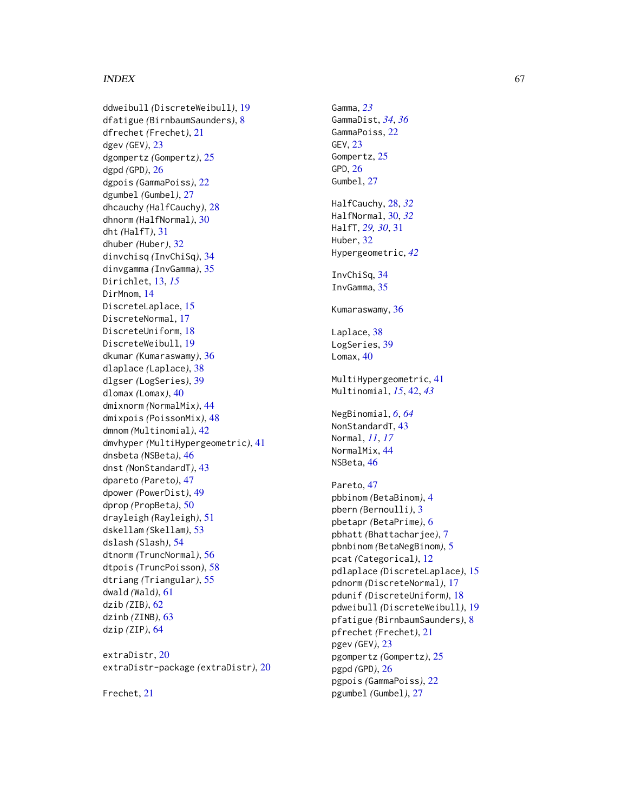#### INDEX  $67$

ddweibull *(*DiscreteWeibull *)* , [19](#page-18-0) dfatigue *(*BirnbaumSaunders *)* , [8](#page-7-0) dfrechet *(*Frechet *)* , [21](#page-20-0) dgev *(*GEV *)* , [23](#page-22-0) dgompertz *(*Gompertz *)* , [25](#page-24-0) dgpd *(*GPD *)* , [26](#page-25-0) dgpois *(*GammaPoiss *)* , [22](#page-21-0) dgumbel *(*Gumbel *)* , [27](#page-26-0) dhcauchy *(*HalfCauchy *)* , [28](#page-27-0) dhnorm *(*HalfNormal *)* , [30](#page-29-0) dht *(*HalfT *)* , [31](#page-30-0) dhuber *(*Huber *)* , [32](#page-31-0) dinvchisq *(*InvChiSq *)* , [34](#page-33-0) dinvgamma *(*InvGamma *)* , [35](#page-34-0) Dirichlet , [13](#page-12-0) , *[15](#page-14-0)* DirMnom, [14](#page-13-0) DiscreteLaplace, [15](#page-14-0) DiscreteNormal, [17](#page-16-0) DiscreteUniform , [18](#page-17-0) DiscreteWeibull , [19](#page-18-0) dkumar *(*Kumaraswamy *)* , [36](#page-35-0) dlaplace *(*Laplace *)* , [38](#page-37-0) dlgser *(*LogSeries *)* , [39](#page-38-0) dlomax *(*Lomax *)* , [40](#page-39-0) dmixnorm *(*NormalMix *)* , [44](#page-43-0) dmixpois *(*PoissonMix *)* , [48](#page-47-0) dmnom *(*Multinomial *)* , [42](#page-41-0) dmvhyper *(*MultiHypergeometric *)* , [41](#page-40-0) dnsbeta *(*NSBeta *)* , [46](#page-45-0) dnst *(*NonStandardT *)* , [43](#page-42-0) dpareto *(*Pareto *)* , [47](#page-46-0) dpower *(*PowerDist *)* , [49](#page-48-0) dprop *(*PropBeta *)* , [50](#page-49-0) drayleigh *(*Rayleigh *)* , [51](#page-50-0) dskellam *(*Skellam *)* , [53](#page-52-0) dslash *(*Slash *)* , [54](#page-53-0) dtnorm *(*TruncNormal *)* , [56](#page-55-0) dtpois *(*TruncPoisson *)* , [58](#page-57-0) dtriang *(*Triangular *)* , [55](#page-54-0) dwald *(*Wald *)* , [61](#page-60-0) dzib *(*ZIB *)* , [62](#page-61-0) dzinb *(*ZINB *)* , [63](#page-62-0) dzip *(*ZIP *)* , [64](#page-63-0)

extraDistr , [20](#page-19-0) extraDistr-package *(*extraDistr *)* , [20](#page-19-0)

Frechet , [21](#page-20-0)

Gamma , *[23](#page-22-0)* GammaDist , *[34](#page-33-0)* , *[36](#page-35-0)* GammaPoiss , [22](#page-21-0) GEV, [23](#page-22-0) Gompertz , [25](#page-24-0) GPD , [26](#page-25-0) Gumbel, [27](#page-26-0) HalfCauchy , [28](#page-27-0) , *[32](#page-31-0)* HalfNormal , [30](#page-29-0) , *[32](#page-31-0)* HalfT , *[29](#page-28-0) , [30](#page-29-0)* , [31](#page-30-0) Huber , [32](#page-31-0) Hypergeometric , *[42](#page-41-0)* InvChiSq , [34](#page-33-0) InvGamma, [35](#page-34-0) Kumaraswamy, [36](#page-35-0) Laplace, [38](#page-37-0) LogSeries, [39](#page-38-0) Lomax, [40](#page-39-0) MultiHypergeometric , [41](#page-40-0) Multinomial , *[15](#page-14-0)* , [42](#page-41-0) , *[43](#page-42-0)* NegBinomial , *[6](#page-5-0)* , *[64](#page-63-0)* NonStandardT, [43](#page-42-0) Normal , *[11](#page-10-0)* , *[17](#page-16-0)* NormalMix , [44](#page-43-0) NSBeta, [46](#page-45-0) Pareto, [47](#page-46-0) pbbinom *(*BetaBinom *)* , [4](#page-3-0) pbern *(*Bernoulli *)* , [3](#page-2-0) pbetapr *(*BetaPrime *)* , [6](#page-5-0) pbhatt *(*Bhattacharjee *)* , [7](#page-6-0) pbnbinom *(*BetaNegBinom *)* , [5](#page-4-0) pcat *(*Categorical *)* , [12](#page-11-0) pdlaplace *(*DiscreteLaplace *)* , [15](#page-14-0) pdnorm *(*DiscreteNormal *)* , [17](#page-16-0) pdunif *(*DiscreteUniform *)* , [18](#page-17-0) pdweibull *(*DiscreteWeibull *)* , [19](#page-18-0) pfatigue *(*BirnbaumSaunders *)* , [8](#page-7-0) pfrechet *(*Frechet *)* , [21](#page-20-0) pgev *(*GEV *)* , [23](#page-22-0) pgompertz *(*Gompertz *)* , [25](#page-24-0) pgpd *(*GPD *)* , [26](#page-25-0) pgpois *(*GammaPoiss *)* , [22](#page-21-0) pgumbel *(*Gumbel *)* , [27](#page-26-0)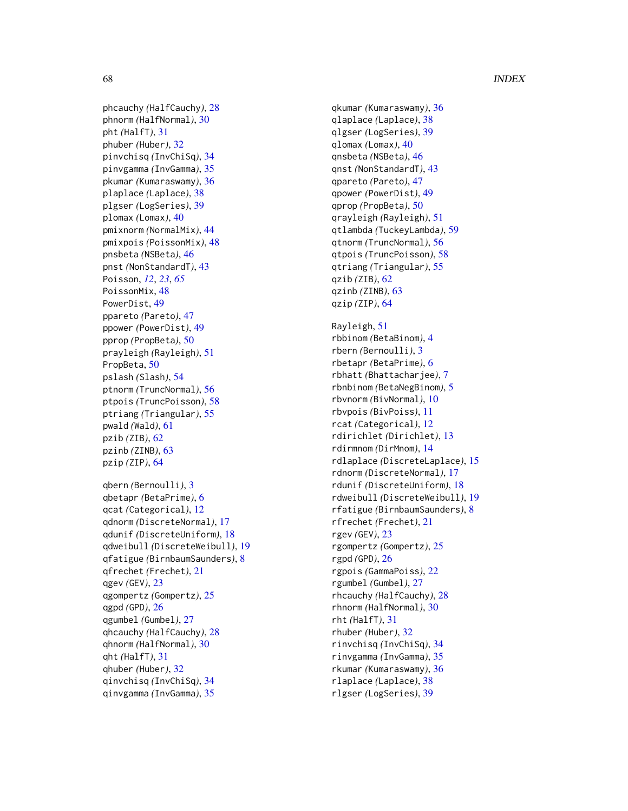#### 68 INDEX

phcauchy *(*HalfCauchy*)*, [28](#page-27-0) phnorm *(*HalfNormal*)*, [30](#page-29-0) pht *(*HalfT*)*, [31](#page-30-0) phuber *(*Huber*)*, [32](#page-31-0) pinvchisq *(*InvChiSq*)*, [34](#page-33-0) pinvgamma *(*InvGamma*)*, [35](#page-34-0) pkumar *(*Kumaraswamy*)*, [36](#page-35-0) plaplace *(*Laplace*)*, [38](#page-37-0) plgser *(*LogSeries*)*, [39](#page-38-0) plomax *(*Lomax*)*, [40](#page-39-0) pmixnorm *(*NormalMix*)*, [44](#page-43-0) pmixpois *(*PoissonMix*)*, [48](#page-47-0) pnsbeta *(*NSBeta*)*, [46](#page-45-0) pnst *(*NonStandardT*)*, [43](#page-42-0) Poisson, *[12](#page-11-0)*, *[23](#page-22-0)*, *[65](#page-64-0)* PoissonMix, [48](#page-47-0) PowerDist, [49](#page-48-0) ppareto *(*Pareto*)*, [47](#page-46-0) ppower *(*PowerDist*)*, [49](#page-48-0) pprop *(*PropBeta*)*, [50](#page-49-0) prayleigh *(*Rayleigh*)*, [51](#page-50-0) PropBeta, [50](#page-49-0) pslash *(*Slash*)*, [54](#page-53-0) ptnorm *(*TruncNormal*)*, [56](#page-55-0) ptpois *(*TruncPoisson*)*, [58](#page-57-0) ptriang *(*Triangular*)*, [55](#page-54-0) pwald *(*Wald*)*, [61](#page-60-0) pzib *(*ZIB*)*, [62](#page-61-0) pzinb *(*ZINB*)*, [63](#page-62-0) pzip *(*ZIP*)*, [64](#page-63-0)

qbern *(*Bernoulli*)*, [3](#page-2-0) qbetapr *(*BetaPrime*)*, [6](#page-5-0) qcat *(*Categorical*)*, [12](#page-11-0) qdnorm *(*DiscreteNormal*)*, [17](#page-16-0) qdunif *(*DiscreteUniform*)*, [18](#page-17-0) qdweibull *(*DiscreteWeibull*)*, [19](#page-18-0) qfatigue *(*BirnbaumSaunders*)*, [8](#page-7-0) qfrechet *(*Frechet*)*, [21](#page-20-0) qgev *(*GEV*)*, [23](#page-22-0) qgompertz *(*Gompertz*)*, [25](#page-24-0) qgpd *(*GPD*)*, [26](#page-25-0) qgumbel *(*Gumbel*)*, [27](#page-26-0) qhcauchy *(*HalfCauchy*)*, [28](#page-27-0) qhnorm *(*HalfNormal*)*, [30](#page-29-0) qht *(*HalfT*)*, [31](#page-30-0) qhuber *(*Huber*)*, [32](#page-31-0) qinvchisq *(*InvChiSq*)*, [34](#page-33-0) qinvgamma *(*InvGamma*)*, [35](#page-34-0)

qkumar *(*Kumaraswamy*)*, [36](#page-35-0) qlaplace *(*Laplace*)*, [38](#page-37-0) qlgser *(*LogSeries*)*, [39](#page-38-0) qlomax *(*Lomax*)*, [40](#page-39-0) qnsbeta *(*NSBeta*)*, [46](#page-45-0) qnst *(*NonStandardT*)*, [43](#page-42-0) qpareto *(*Pareto*)*, [47](#page-46-0) qpower *(*PowerDist*)*, [49](#page-48-0) qprop *(*PropBeta*)*, [50](#page-49-0) qrayleigh *(*Rayleigh*)*, [51](#page-50-0) qtlambda *(*TuckeyLambda*)*, [59](#page-58-0) qtnorm *(*TruncNormal*)*, [56](#page-55-0) qtpois *(*TruncPoisson*)*, [58](#page-57-0) qtriang *(*Triangular*)*, [55](#page-54-0) qzib *(*ZIB*)*, [62](#page-61-0) qzinb *(*ZINB*)*, [63](#page-62-0) qzip *(*ZIP*)*, [64](#page-63-0) Rayleigh, [51](#page-50-0) rbbinom *(*BetaBinom*)*, [4](#page-3-0) rbern *(*Bernoulli*)*, [3](#page-2-0) rbetapr *(*BetaPrime*)*, [6](#page-5-0) rbhatt *(*Bhattacharjee*)*, [7](#page-6-0) rbnbinom *(*BetaNegBinom*)*, [5](#page-4-0) rbvnorm *(*BivNormal*)*, [10](#page-9-0) rbvpois *(*BivPoiss*)*, [11](#page-10-0) rcat *(*Categorical*)*, [12](#page-11-0) rdirichlet *(*Dirichlet*)*, [13](#page-12-0) rdirmnom *(*DirMnom*)*, [14](#page-13-0) rdlaplace *(*DiscreteLaplace*)*, [15](#page-14-0) rdnorm *(*DiscreteNormal*)*, [17](#page-16-0) rdunif *(*DiscreteUniform*)*, [18](#page-17-0) rdweibull *(*DiscreteWeibull*)*, [19](#page-18-0) rfatigue *(*BirnbaumSaunders*)*, [8](#page-7-0) rfrechet *(*Frechet*)*, [21](#page-20-0) rgev *(*GEV*)*, [23](#page-22-0) rgompertz *(*Gompertz*)*, [25](#page-24-0) rgpd *(*GPD*)*, [26](#page-25-0) rgpois *(*GammaPoiss*)*, [22](#page-21-0) rgumbel *(*Gumbel*)*, [27](#page-26-0) rhcauchy *(*HalfCauchy*)*, [28](#page-27-0) rhnorm *(*HalfNormal*)*, [30](#page-29-0) rht *(*HalfT*)*, [31](#page-30-0) rhuber *(*Huber*)*, [32](#page-31-0) rinvchisq *(*InvChiSq*)*, [34](#page-33-0) rinvgamma *(*InvGamma*)*, [35](#page-34-0) rkumar *(*Kumaraswamy*)*, [36](#page-35-0) rlaplace *(*Laplace*)*, [38](#page-37-0) rlgser *(*LogSeries*)*, [39](#page-38-0)